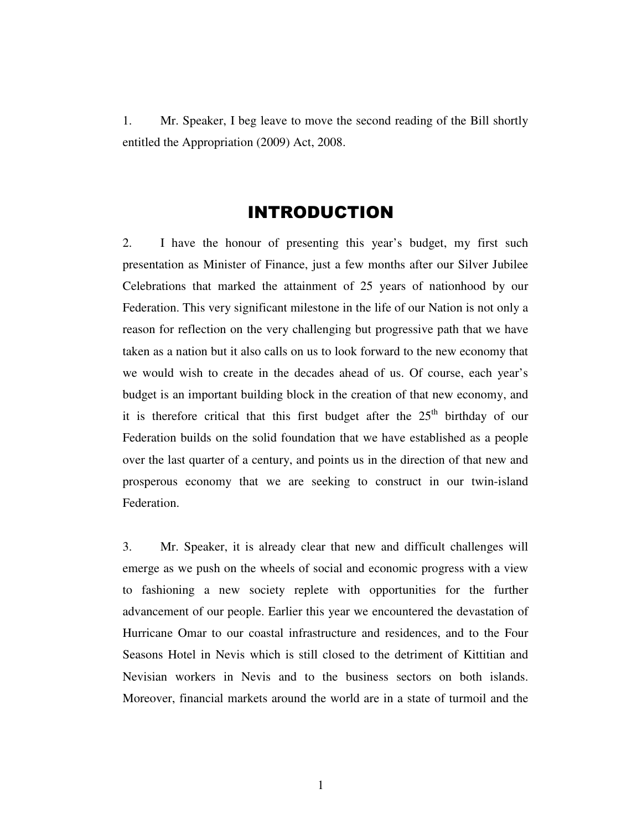1. Mr. Speaker, I beg leave to move the second reading of the Bill shortly entitled the Appropriation (2009) Act, 2008.

# INTRODUCTION

2. I have the honour of presenting this year's budget, my first such presentation as Minister of Finance, just a few months after our Silver Jubilee Celebrations that marked the attainment of 25 years of nationhood by our Federation. This very significant milestone in the life of our Nation is not only a reason for reflection on the very challenging but progressive path that we have taken as a nation but it also calls on us to look forward to the new economy that we would wish to create in the decades ahead of us. Of course, each year's budget is an important building block in the creation of that new economy, and it is therefore critical that this first budget after the  $25<sup>th</sup>$  birthday of our Federation builds on the solid foundation that we have established as a people over the last quarter of a century, and points us in the direction of that new and prosperous economy that we are seeking to construct in our twin-island Federation.

3. Mr. Speaker, it is already clear that new and difficult challenges will emerge as we push on the wheels of social and economic progress with a view to fashioning a new society replete with opportunities for the further advancement of our people. Earlier this year we encountered the devastation of Hurricane Omar to our coastal infrastructure and residences, and to the Four Seasons Hotel in Nevis which is still closed to the detriment of Kittitian and Nevisian workers in Nevis and to the business sectors on both islands. Moreover, financial markets around the world are in a state of turmoil and the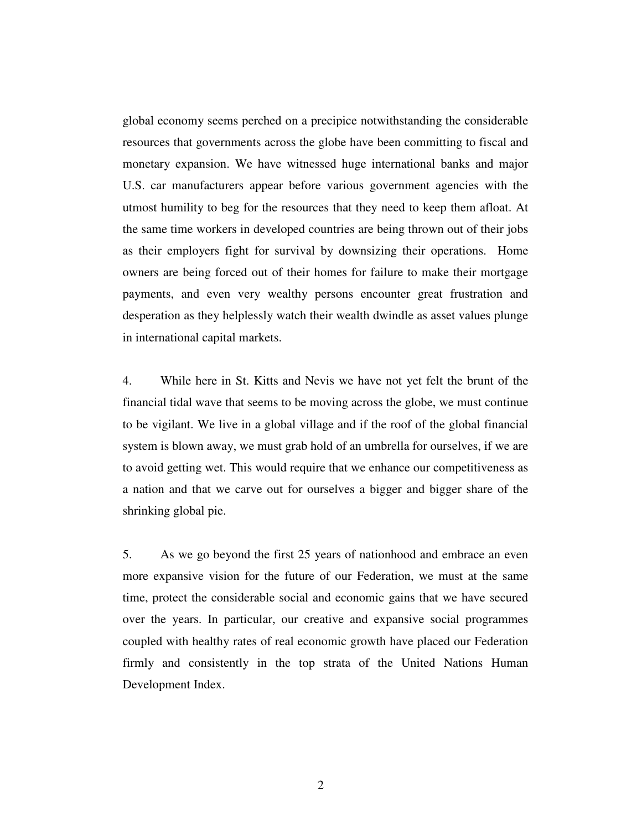global economy seems perched on a precipice notwithstanding the considerable resources that governments across the globe have been committing to fiscal and monetary expansion. We have witnessed huge international banks and major U.S. car manufacturers appear before various government agencies with the utmost humility to beg for the resources that they need to keep them afloat. At the same time workers in developed countries are being thrown out of their jobs as their employers fight for survival by downsizing their operations. Home owners are being forced out of their homes for failure to make their mortgage payments, and even very wealthy persons encounter great frustration and desperation as they helplessly watch their wealth dwindle as asset values plunge in international capital markets.

4. While here in St. Kitts and Nevis we have not yet felt the brunt of the financial tidal wave that seems to be moving across the globe, we must continue to be vigilant. We live in a global village and if the roof of the global financial system is blown away, we must grab hold of an umbrella for ourselves, if we are to avoid getting wet. This would require that we enhance our competitiveness as a nation and that we carve out for ourselves a bigger and bigger share of the shrinking global pie.

5. As we go beyond the first 25 years of nationhood and embrace an even more expansive vision for the future of our Federation, we must at the same time, protect the considerable social and economic gains that we have secured over the years. In particular, our creative and expansive social programmes coupled with healthy rates of real economic growth have placed our Federation firmly and consistently in the top strata of the United Nations Human Development Index.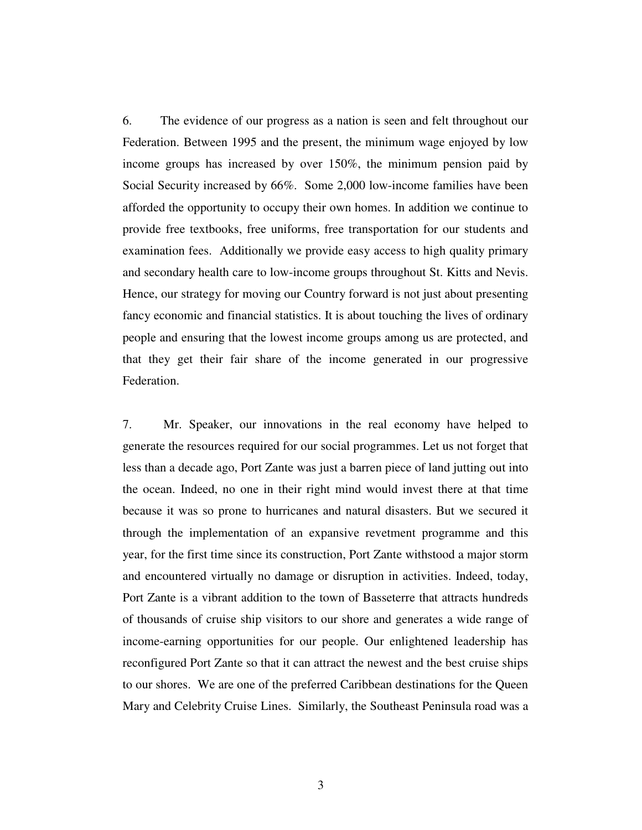6. The evidence of our progress as a nation is seen and felt throughout our Federation. Between 1995 and the present, the minimum wage enjoyed by low income groups has increased by over 150%, the minimum pension paid by Social Security increased by 66%. Some 2,000 low-income families have been afforded the opportunity to occupy their own homes. In addition we continue to provide free textbooks, free uniforms, free transportation for our students and examination fees. Additionally we provide easy access to high quality primary and secondary health care to low-income groups throughout St. Kitts and Nevis. Hence, our strategy for moving our Country forward is not just about presenting fancy economic and financial statistics. It is about touching the lives of ordinary people and ensuring that the lowest income groups among us are protected, and that they get their fair share of the income generated in our progressive Federation.

7. Mr. Speaker, our innovations in the real economy have helped to generate the resources required for our social programmes. Let us not forget that less than a decade ago, Port Zante was just a barren piece of land jutting out into the ocean. Indeed, no one in their right mind would invest there at that time because it was so prone to hurricanes and natural disasters. But we secured it through the implementation of an expansive revetment programme and this year, for the first time since its construction, Port Zante withstood a major storm and encountered virtually no damage or disruption in activities. Indeed, today, Port Zante is a vibrant addition to the town of Basseterre that attracts hundreds of thousands of cruise ship visitors to our shore and generates a wide range of income-earning opportunities for our people. Our enlightened leadership has reconfigured Port Zante so that it can attract the newest and the best cruise ships to our shores. We are one of the preferred Caribbean destinations for the Queen Mary and Celebrity Cruise Lines. Similarly, the Southeast Peninsula road was a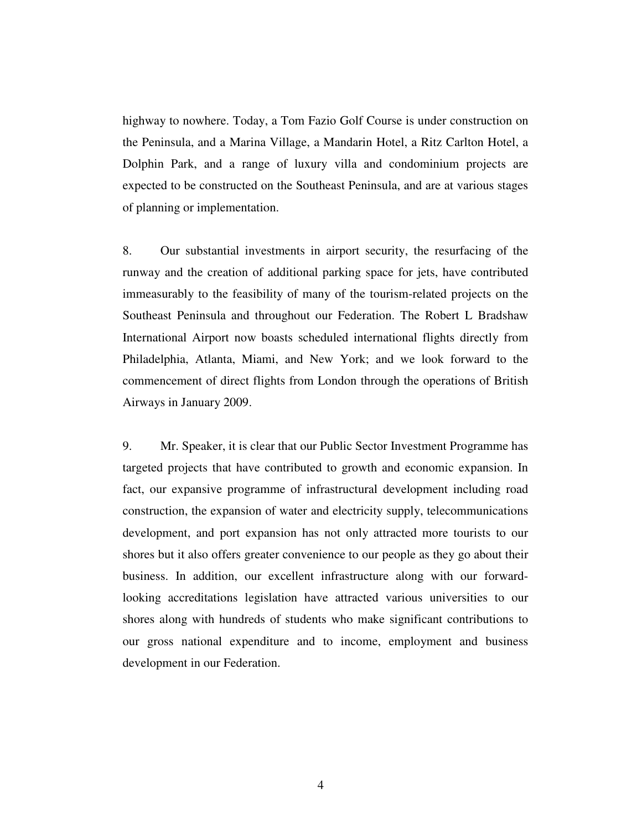highway to nowhere. Today, a Tom Fazio Golf Course is under construction on the Peninsula, and a Marina Village, a Mandarin Hotel, a Ritz Carlton Hotel, a Dolphin Park, and a range of luxury villa and condominium projects are expected to be constructed on the Southeast Peninsula, and are at various stages of planning or implementation.

8. Our substantial investments in airport security, the resurfacing of the runway and the creation of additional parking space for jets, have contributed immeasurably to the feasibility of many of the tourism-related projects on the Southeast Peninsula and throughout our Federation. The Robert L Bradshaw International Airport now boasts scheduled international flights directly from Philadelphia, Atlanta, Miami, and New York; and we look forward to the commencement of direct flights from London through the operations of British Airways in January 2009.

9. Mr. Speaker, it is clear that our Public Sector Investment Programme has targeted projects that have contributed to growth and economic expansion. In fact, our expansive programme of infrastructural development including road construction, the expansion of water and electricity supply, telecommunications development, and port expansion has not only attracted more tourists to our shores but it also offers greater convenience to our people as they go about their business. In addition, our excellent infrastructure along with our forwardlooking accreditations legislation have attracted various universities to our shores along with hundreds of students who make significant contributions to our gross national expenditure and to income, employment and business development in our Federation.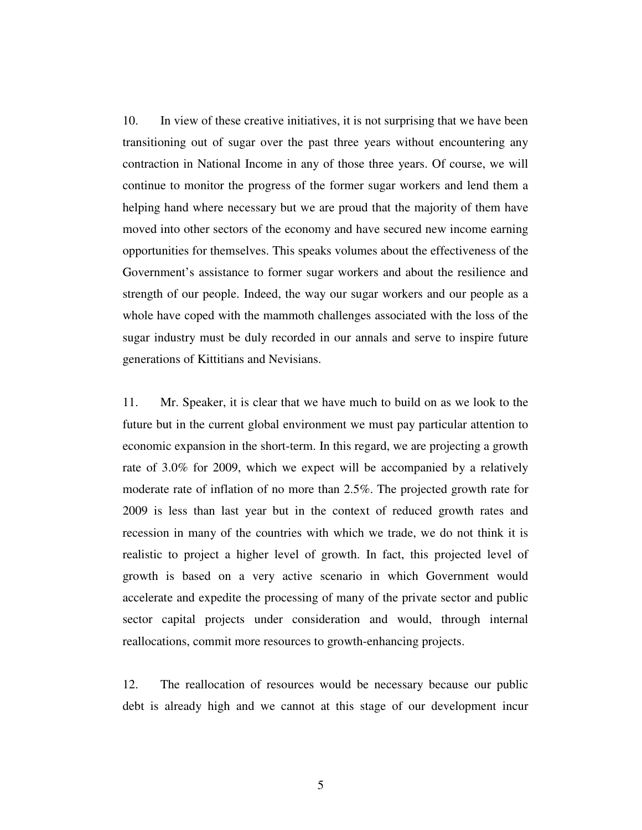10. In view of these creative initiatives, it is not surprising that we have been transitioning out of sugar over the past three years without encountering any contraction in National Income in any of those three years. Of course, we will continue to monitor the progress of the former sugar workers and lend them a helping hand where necessary but we are proud that the majority of them have moved into other sectors of the economy and have secured new income earning opportunities for themselves. This speaks volumes about the effectiveness of the Government's assistance to former sugar workers and about the resilience and strength of our people. Indeed, the way our sugar workers and our people as a whole have coped with the mammoth challenges associated with the loss of the sugar industry must be duly recorded in our annals and serve to inspire future generations of Kittitians and Nevisians.

11. Mr. Speaker, it is clear that we have much to build on as we look to the future but in the current global environment we must pay particular attention to economic expansion in the short-term. In this regard, we are projecting a growth rate of 3.0% for 2009, which we expect will be accompanied by a relatively moderate rate of inflation of no more than 2.5%. The projected growth rate for 2009 is less than last year but in the context of reduced growth rates and recession in many of the countries with which we trade, we do not think it is realistic to project a higher level of growth. In fact, this projected level of growth is based on a very active scenario in which Government would accelerate and expedite the processing of many of the private sector and public sector capital projects under consideration and would, through internal reallocations, commit more resources to growth-enhancing projects.

12. The reallocation of resources would be necessary because our public debt is already high and we cannot at this stage of our development incur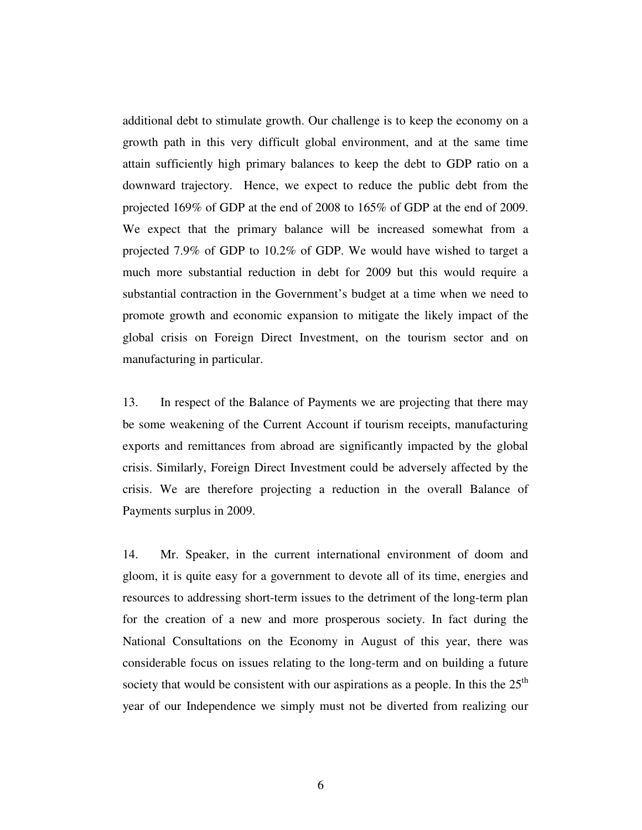additional debt to stimulate growth. Our challenge is to keep the economy on a growth path in this very difficult global environment, and at the same time attain sufficiently high primary balances to keep the debt to GDP ratio on a downward trajectory. Hence, we expect to reduce the public debt from the projected 169% of GDP at the end of 2008 to 165% of GDP at the end of 2009. We expect that the primary balance will be increased somewhat from a projected 7.9% of GDP to 10.2% of GDP. We would have wished to target a much more substantial reduction in debt for 2009 but this would require a substantial contraction in the Government's budget at a time when we need to promote growth and economic expansion to mitigate the likely impact of the global crisis on Foreign Direct Investment, on the tourism sector and on manufacturing in particular.

13. In respect of the Balance of Payments we are projecting that there may be some weakening of the Current Account if tourism receipts, manufacturing exports and remittances from abroad are significantly impacted by the global crisis. Similarly, Foreign Direct Investment could be adversely affected by the crisis. We are therefore projecting a reduction in the overall Balance of Payments surplus in 2009.

14. Mr. Speaker, in the current international environment of doom and gloom, it is quite easy for a government to devote all of its time, energies and resources to addressing short-term issues to the detriment of the long-term plan for the creation of a new and more prosperous society. In fact during the National Consultations on the Economy in August of this year, there was considerable focus on issues relating to the long-term and on building a future society that would be consistent with our aspirations as a people. In this the  $25<sup>th</sup>$ year of our Independence we simply must not be diverted from realizing our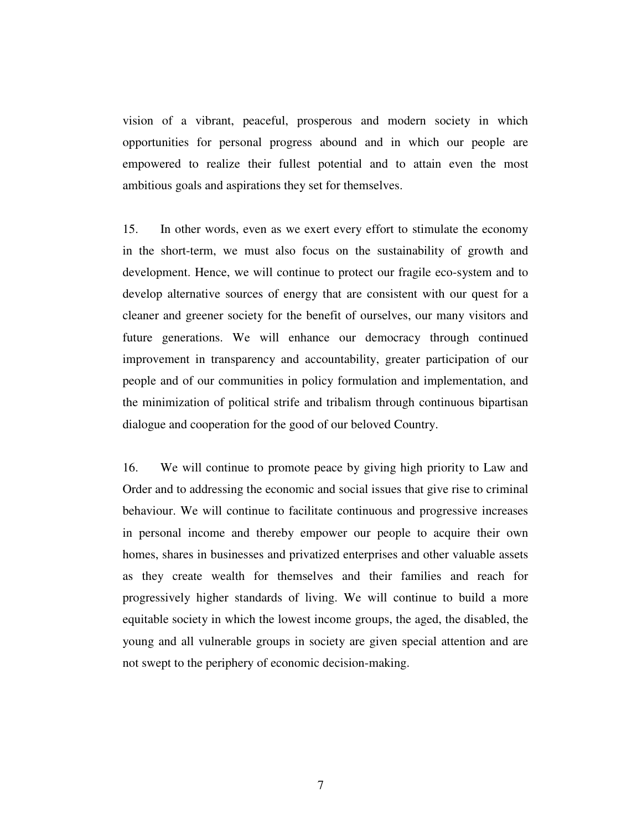vision of a vibrant, peaceful, prosperous and modern society in which opportunities for personal progress abound and in which our people are empowered to realize their fullest potential and to attain even the most ambitious goals and aspirations they set for themselves.

15. In other words, even as we exert every effort to stimulate the economy in the short-term, we must also focus on the sustainability of growth and development. Hence, we will continue to protect our fragile eco-system and to develop alternative sources of energy that are consistent with our quest for a cleaner and greener society for the benefit of ourselves, our many visitors and future generations. We will enhance our democracy through continued improvement in transparency and accountability, greater participation of our people and of our communities in policy formulation and implementation, and the minimization of political strife and tribalism through continuous bipartisan dialogue and cooperation for the good of our beloved Country.

16. We will continue to promote peace by giving high priority to Law and Order and to addressing the economic and social issues that give rise to criminal behaviour. We will continue to facilitate continuous and progressive increases in personal income and thereby empower our people to acquire their own homes, shares in businesses and privatized enterprises and other valuable assets as they create wealth for themselves and their families and reach for progressively higher standards of living. We will continue to build a more equitable society in which the lowest income groups, the aged, the disabled, the young and all vulnerable groups in society are given special attention and are not swept to the periphery of economic decision-making.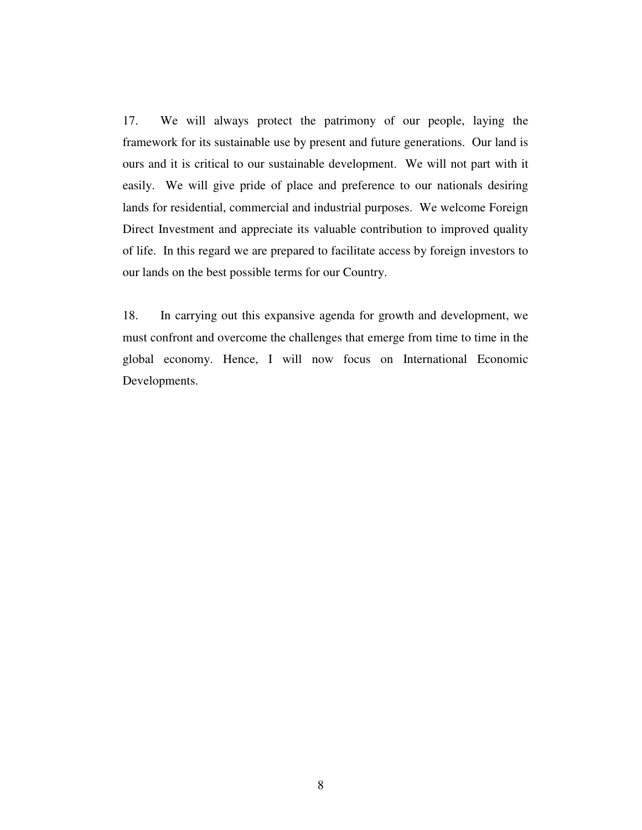17. We will always protect the patrimony of our people, laying the framework for its sustainable use by present and future generations. Our land is ours and it is critical to our sustainable development. We will not part with it easily. We will give pride of place and preference to our nationals desiring lands for residential, commercial and industrial purposes. We welcome Foreign Direct Investment and appreciate its valuable contribution to improved quality of life. In this regard we are prepared to facilitate access by foreign investors to our lands on the best possible terms for our Country.

18. In carrying out this expansive agenda for growth and development, we must confront and overcome the challenges that emerge from time to time in the global economy. Hence, I will now focus on International Economic Developments.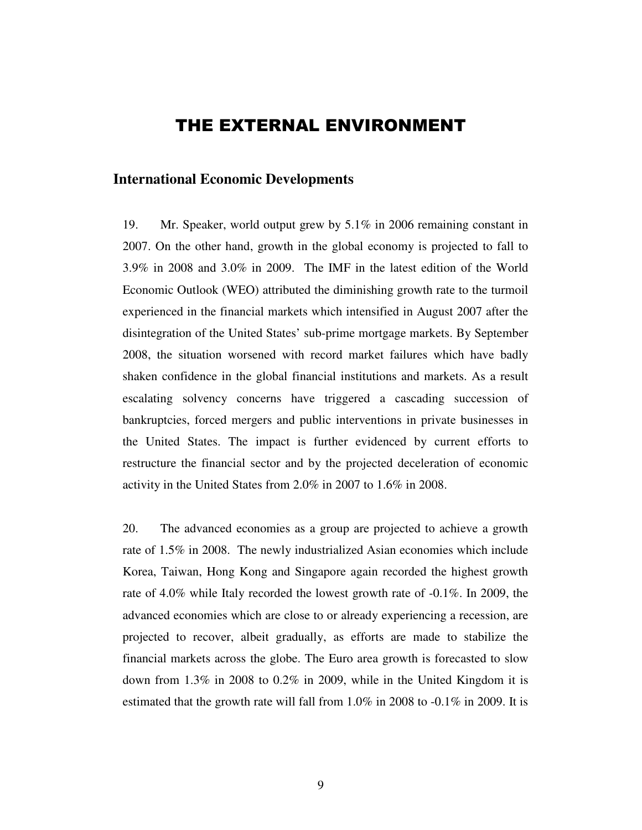# THE EXTERNAL ENVIRONMENT

#### **International Economic Developments**

19. Mr. Speaker, world output grew by 5.1% in 2006 remaining constant in 2007. On the other hand, growth in the global economy is projected to fall to 3.9% in 2008 and 3.0% in 2009. The IMF in the latest edition of the World Economic Outlook (WEO) attributed the diminishing growth rate to the turmoil experienced in the financial markets which intensified in August 2007 after the disintegration of the United States' sub-prime mortgage markets. By September 2008, the situation worsened with record market failures which have badly shaken confidence in the global financial institutions and markets. As a result escalating solvency concerns have triggered a cascading succession of bankruptcies, forced mergers and public interventions in private businesses in the United States. The impact is further evidenced by current efforts to restructure the financial sector and by the projected deceleration of economic activity in the United States from 2.0% in 2007 to 1.6% in 2008.

20. The advanced economies as a group are projected to achieve a growth rate of 1.5% in 2008. The newly industrialized Asian economies which include Korea, Taiwan, Hong Kong and Singapore again recorded the highest growth rate of 4.0% while Italy recorded the lowest growth rate of -0.1%. In 2009, the advanced economies which are close to or already experiencing a recession, are projected to recover, albeit gradually, as efforts are made to stabilize the financial markets across the globe. The Euro area growth is forecasted to slow down from 1.3% in 2008 to 0.2% in 2009, while in the United Kingdom it is estimated that the growth rate will fall from  $1.0\%$  in 2008 to  $-0.1\%$  in 2009. It is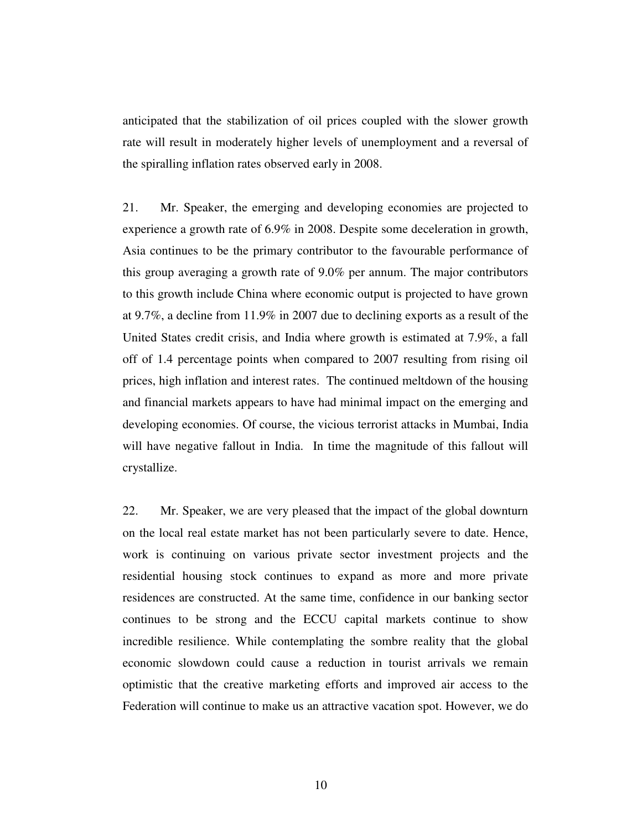anticipated that the stabilization of oil prices coupled with the slower growth rate will result in moderately higher levels of unemployment and a reversal of the spiralling inflation rates observed early in 2008.

21. Mr. Speaker, the emerging and developing economies are projected to experience a growth rate of 6.9% in 2008. Despite some deceleration in growth, Asia continues to be the primary contributor to the favourable performance of this group averaging a growth rate of 9.0% per annum. The major contributors to this growth include China where economic output is projected to have grown at 9.7%, a decline from 11.9% in 2007 due to declining exports as a result of the United States credit crisis, and India where growth is estimated at 7.9%, a fall off of 1.4 percentage points when compared to 2007 resulting from rising oil prices, high inflation and interest rates. The continued meltdown of the housing and financial markets appears to have had minimal impact on the emerging and developing economies. Of course, the vicious terrorist attacks in Mumbai, India will have negative fallout in India. In time the magnitude of this fallout will crystallize.

22. Mr. Speaker, we are very pleased that the impact of the global downturn on the local real estate market has not been particularly severe to date. Hence, work is continuing on various private sector investment projects and the residential housing stock continues to expand as more and more private residences are constructed. At the same time, confidence in our banking sector continues to be strong and the ECCU capital markets continue to show incredible resilience. While contemplating the sombre reality that the global economic slowdown could cause a reduction in tourist arrivals we remain optimistic that the creative marketing efforts and improved air access to the Federation will continue to make us an attractive vacation spot. However, we do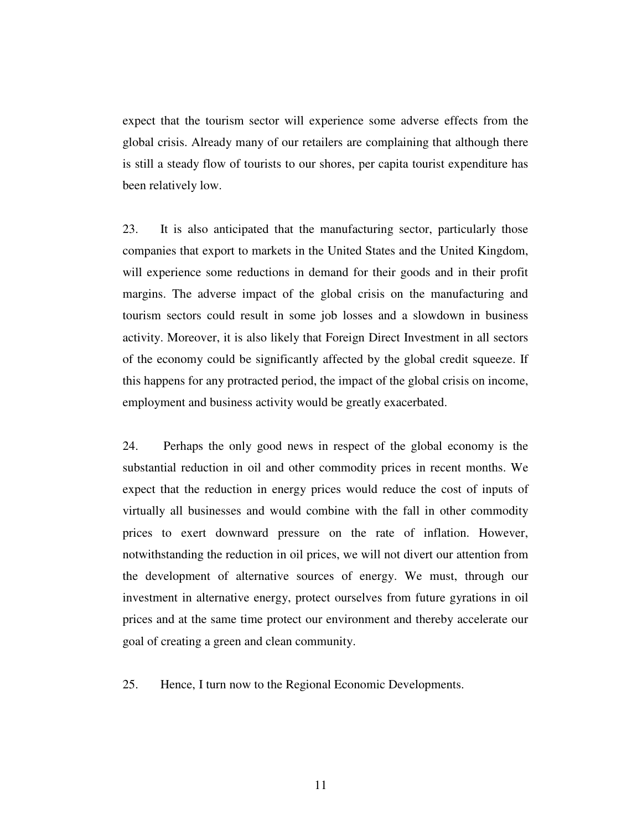expect that the tourism sector will experience some adverse effects from the global crisis. Already many of our retailers are complaining that although there is still a steady flow of tourists to our shores, per capita tourist expenditure has been relatively low.

23. It is also anticipated that the manufacturing sector, particularly those companies that export to markets in the United States and the United Kingdom, will experience some reductions in demand for their goods and in their profit margins. The adverse impact of the global crisis on the manufacturing and tourism sectors could result in some job losses and a slowdown in business activity. Moreover, it is also likely that Foreign Direct Investment in all sectors of the economy could be significantly affected by the global credit squeeze. If this happens for any protracted period, the impact of the global crisis on income, employment and business activity would be greatly exacerbated.

24. Perhaps the only good news in respect of the global economy is the substantial reduction in oil and other commodity prices in recent months. We expect that the reduction in energy prices would reduce the cost of inputs of virtually all businesses and would combine with the fall in other commodity prices to exert downward pressure on the rate of inflation. However, notwithstanding the reduction in oil prices, we will not divert our attention from the development of alternative sources of energy. We must, through our investment in alternative energy, protect ourselves from future gyrations in oil prices and at the same time protect our environment and thereby accelerate our goal of creating a green and clean community.

25. Hence, I turn now to the Regional Economic Developments.

11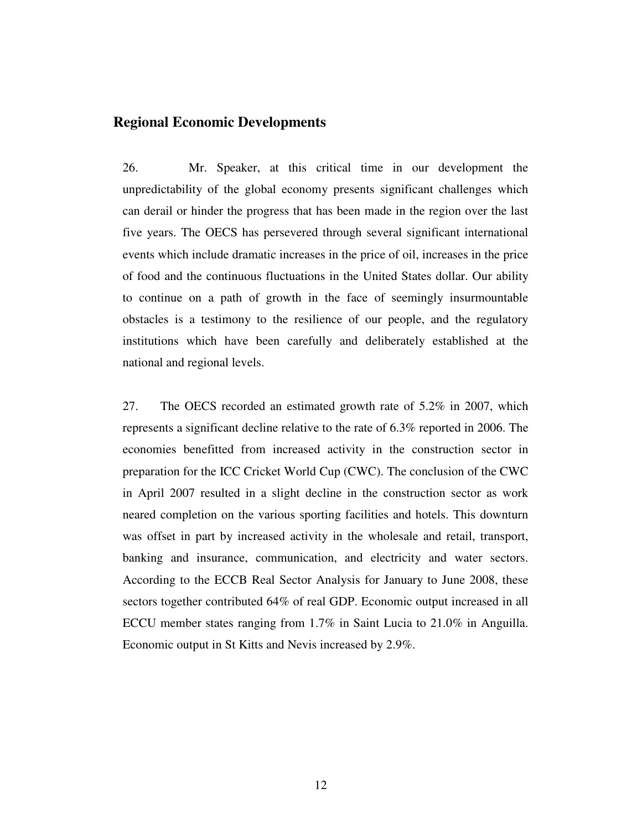## **Regional Economic Developments**

26. Mr. Speaker, at this critical time in our development the unpredictability of the global economy presents significant challenges which can derail or hinder the progress that has been made in the region over the last five years. The OECS has persevered through several significant international events which include dramatic increases in the price of oil, increases in the price of food and the continuous fluctuations in the United States dollar. Our ability to continue on a path of growth in the face of seemingly insurmountable obstacles is a testimony to the resilience of our people, and the regulatory institutions which have been carefully and deliberately established at the national and regional levels.

27. The OECS recorded an estimated growth rate of 5.2% in 2007, which represents a significant decline relative to the rate of 6.3% reported in 2006. The economies benefitted from increased activity in the construction sector in preparation for the ICC Cricket World Cup (CWC). The conclusion of the CWC in April 2007 resulted in a slight decline in the construction sector as work neared completion on the various sporting facilities and hotels. This downturn was offset in part by increased activity in the wholesale and retail, transport, banking and insurance, communication, and electricity and water sectors. According to the ECCB Real Sector Analysis for January to June 2008, these sectors together contributed 64% of real GDP. Economic output increased in all ECCU member states ranging from 1.7% in Saint Lucia to 21.0% in Anguilla. Economic output in St Kitts and Nevis increased by 2.9%.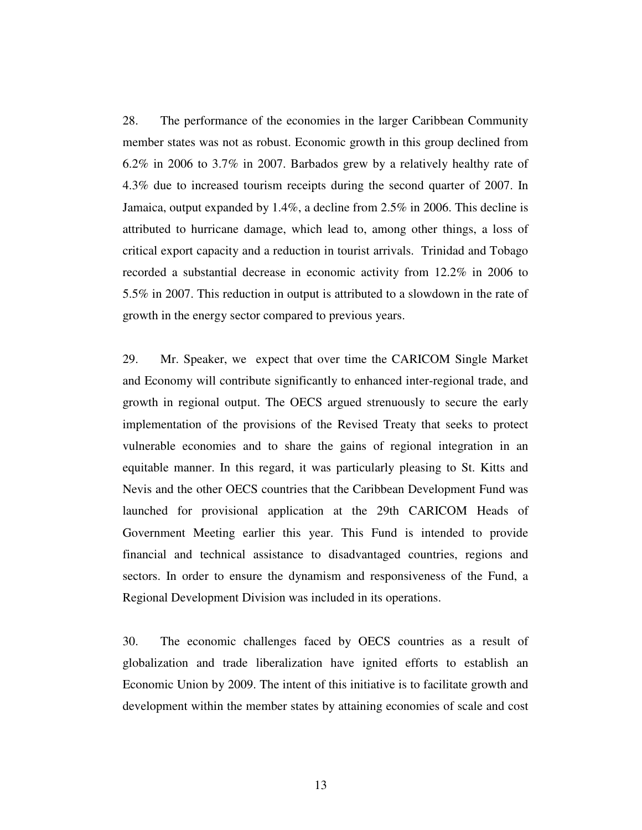28. The performance of the economies in the larger Caribbean Community member states was not as robust. Economic growth in this group declined from 6.2% in 2006 to 3.7% in 2007. Barbados grew by a relatively healthy rate of 4.3% due to increased tourism receipts during the second quarter of 2007. In Jamaica, output expanded by 1.4%, a decline from 2.5% in 2006. This decline is attributed to hurricane damage, which lead to, among other things, a loss of critical export capacity and a reduction in tourist arrivals. Trinidad and Tobago recorded a substantial decrease in economic activity from 12.2% in 2006 to 5.5% in 2007. This reduction in output is attributed to a slowdown in the rate of growth in the energy sector compared to previous years.

29. Mr. Speaker, we expect that over time the CARICOM Single Market and Economy will contribute significantly to enhanced inter-regional trade, and growth in regional output. The OECS argued strenuously to secure the early implementation of the provisions of the Revised Treaty that seeks to protect vulnerable economies and to share the gains of regional integration in an equitable manner. In this regard, it was particularly pleasing to St. Kitts and Nevis and the other OECS countries that the Caribbean Development Fund was launched for provisional application at the 29th CARICOM Heads of Government Meeting earlier this year. This Fund is intended to provide financial and technical assistance to disadvantaged countries, regions and sectors. In order to ensure the dynamism and responsiveness of the Fund, a Regional Development Division was included in its operations.

30. The economic challenges faced by OECS countries as a result of globalization and trade liberalization have ignited efforts to establish an Economic Union by 2009. The intent of this initiative is to facilitate growth and development within the member states by attaining economies of scale and cost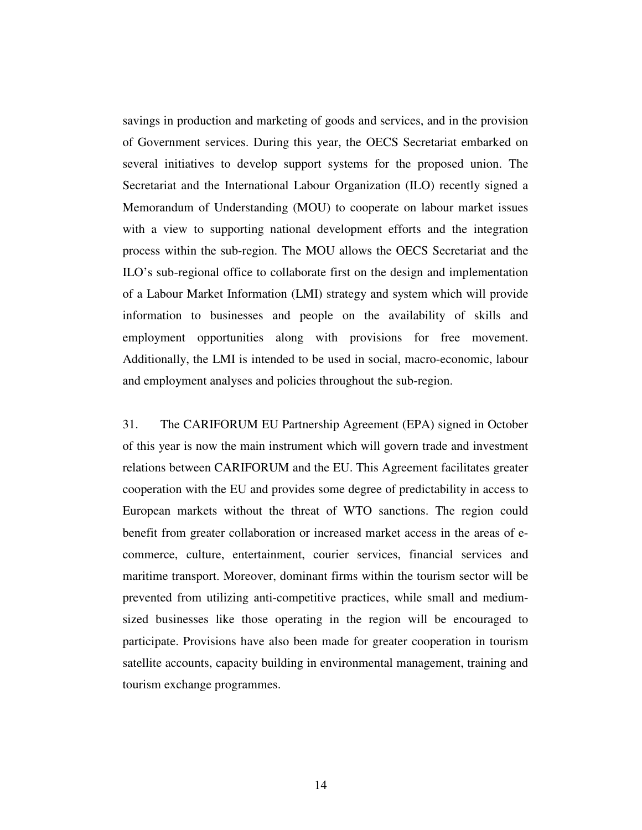savings in production and marketing of goods and services, and in the provision of Government services. During this year, the OECS Secretariat embarked on several initiatives to develop support systems for the proposed union. The Secretariat and the International Labour Organization (ILO) recently signed a Memorandum of Understanding (MOU) to cooperate on labour market issues with a view to supporting national development efforts and the integration process within the sub-region. The MOU allows the OECS Secretariat and the ILO's sub-regional office to collaborate first on the design and implementation of a Labour Market Information (LMI) strategy and system which will provide information to businesses and people on the availability of skills and employment opportunities along with provisions for free movement. Additionally, the LMI is intended to be used in social, macro-economic, labour and employment analyses and policies throughout the sub-region.

31. The CARIFORUM EU Partnership Agreement (EPA) signed in October of this year is now the main instrument which will govern trade and investment relations between CARIFORUM and the EU. This Agreement facilitates greater cooperation with the EU and provides some degree of predictability in access to European markets without the threat of WTO sanctions. The region could benefit from greater collaboration or increased market access in the areas of ecommerce, culture, entertainment, courier services, financial services and maritime transport. Moreover, dominant firms within the tourism sector will be prevented from utilizing anti-competitive practices, while small and mediumsized businesses like those operating in the region will be encouraged to participate. Provisions have also been made for greater cooperation in tourism satellite accounts, capacity building in environmental management, training and tourism exchange programmes.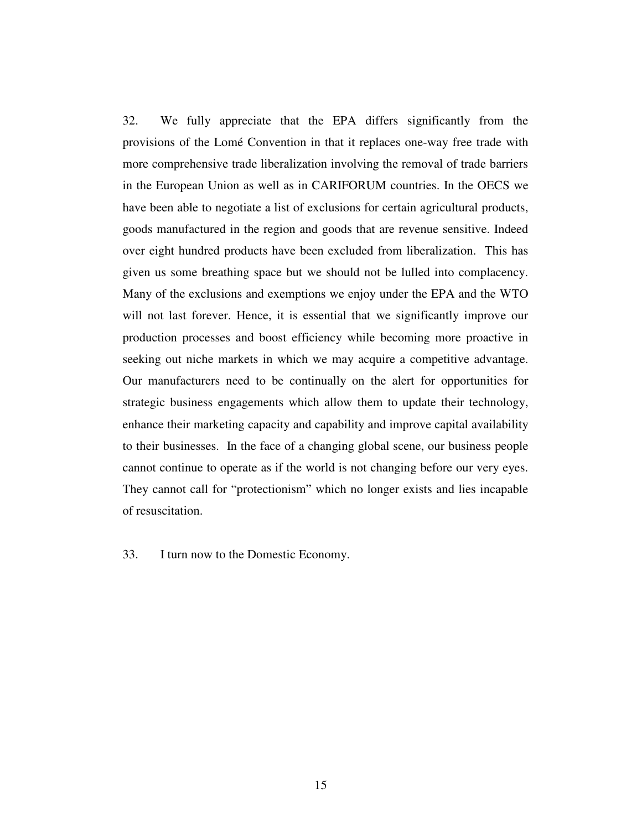32. We fully appreciate that the EPA differs significantly from the provisions of the Lomé Convention in that it replaces one-way free trade with more comprehensive trade liberalization involving the removal of trade barriers in the European Union as well as in CARIFORUM countries. In the OECS we have been able to negotiate a list of exclusions for certain agricultural products, goods manufactured in the region and goods that are revenue sensitive. Indeed over eight hundred products have been excluded from liberalization. This has given us some breathing space but we should not be lulled into complacency. Many of the exclusions and exemptions we enjoy under the EPA and the WTO will not last forever. Hence, it is essential that we significantly improve our production processes and boost efficiency while becoming more proactive in seeking out niche markets in which we may acquire a competitive advantage. Our manufacturers need to be continually on the alert for opportunities for strategic business engagements which allow them to update their technology, enhance their marketing capacity and capability and improve capital availability to their businesses. In the face of a changing global scene, our business people cannot continue to operate as if the world is not changing before our very eyes. They cannot call for "protectionism" which no longer exists and lies incapable of resuscitation.

33. I turn now to the Domestic Economy.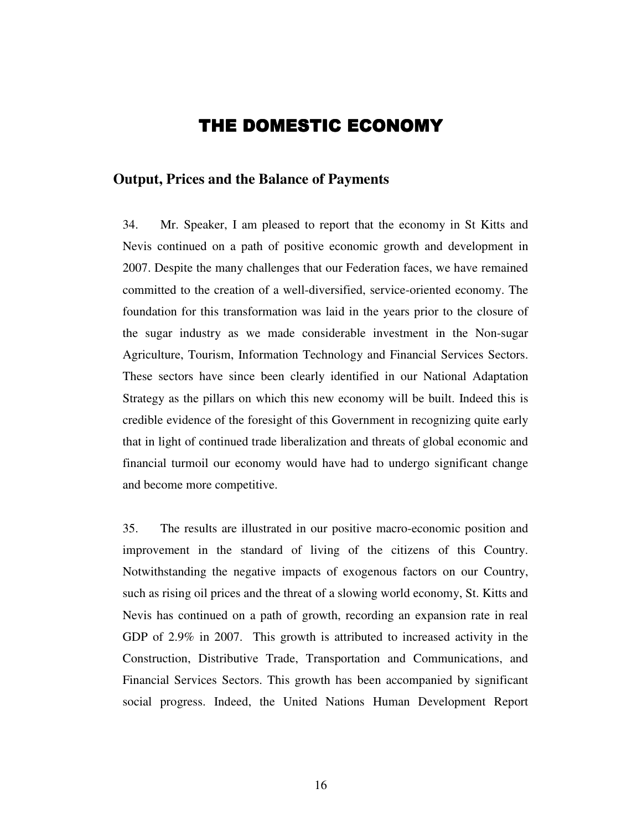# THE DOMESTIC ECONOMY

### **Output, Prices and the Balance of Payments**

34. Mr. Speaker, I am pleased to report that the economy in St Kitts and Nevis continued on a path of positive economic growth and development in 2007. Despite the many challenges that our Federation faces, we have remained committed to the creation of a well-diversified, service-oriented economy. The foundation for this transformation was laid in the years prior to the closure of the sugar industry as we made considerable investment in the Non-sugar Agriculture, Tourism, Information Technology and Financial Services Sectors. These sectors have since been clearly identified in our National Adaptation Strategy as the pillars on which this new economy will be built. Indeed this is credible evidence of the foresight of this Government in recognizing quite early that in light of continued trade liberalization and threats of global economic and financial turmoil our economy would have had to undergo significant change and become more competitive.

35. The results are illustrated in our positive macro-economic position and improvement in the standard of living of the citizens of this Country. Notwithstanding the negative impacts of exogenous factors on our Country, such as rising oil prices and the threat of a slowing world economy, St. Kitts and Nevis has continued on a path of growth, recording an expansion rate in real GDP of 2.9% in 2007. This growth is attributed to increased activity in the Construction, Distributive Trade, Transportation and Communications, and Financial Services Sectors. This growth has been accompanied by significant social progress. Indeed, the United Nations Human Development Report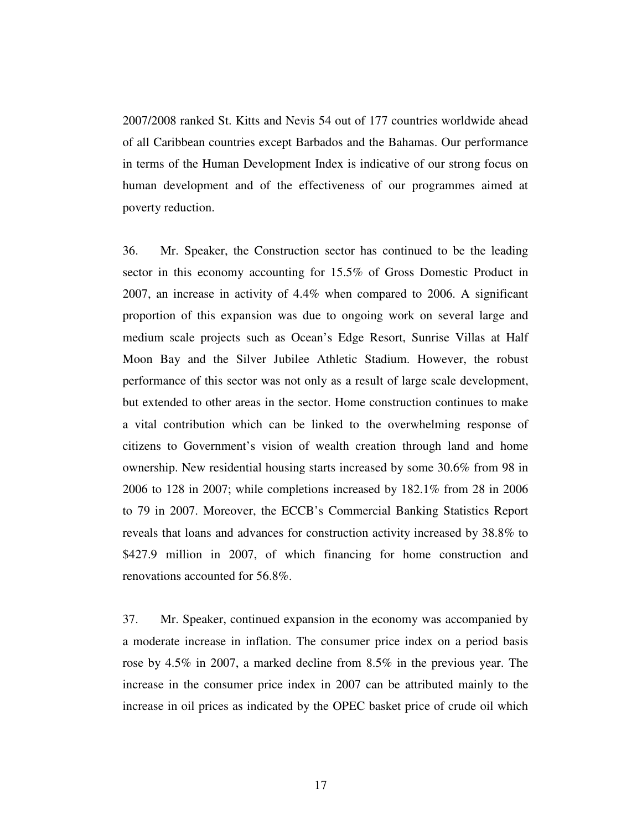2007/2008 ranked St. Kitts and Nevis 54 out of 177 countries worldwide ahead of all Caribbean countries except Barbados and the Bahamas. Our performance in terms of the Human Development Index is indicative of our strong focus on human development and of the effectiveness of our programmes aimed at poverty reduction.

36. Mr. Speaker, the Construction sector has continued to be the leading sector in this economy accounting for 15.5% of Gross Domestic Product in 2007, an increase in activity of 4.4% when compared to 2006. A significant proportion of this expansion was due to ongoing work on several large and medium scale projects such as Ocean's Edge Resort, Sunrise Villas at Half Moon Bay and the Silver Jubilee Athletic Stadium. However, the robust performance of this sector was not only as a result of large scale development, but extended to other areas in the sector. Home construction continues to make a vital contribution which can be linked to the overwhelming response of citizens to Government's vision of wealth creation through land and home ownership. New residential housing starts increased by some 30.6% from 98 in 2006 to 128 in 2007; while completions increased by 182.1% from 28 in 2006 to 79 in 2007. Moreover, the ECCB's Commercial Banking Statistics Report reveals that loans and advances for construction activity increased by 38.8% to \$427.9 million in 2007, of which financing for home construction and renovations accounted for 56.8%.

37. Mr. Speaker, continued expansion in the economy was accompanied by a moderate increase in inflation. The consumer price index on a period basis rose by 4.5% in 2007, a marked decline from 8.5% in the previous year. The increase in the consumer price index in 2007 can be attributed mainly to the increase in oil prices as indicated by the OPEC basket price of crude oil which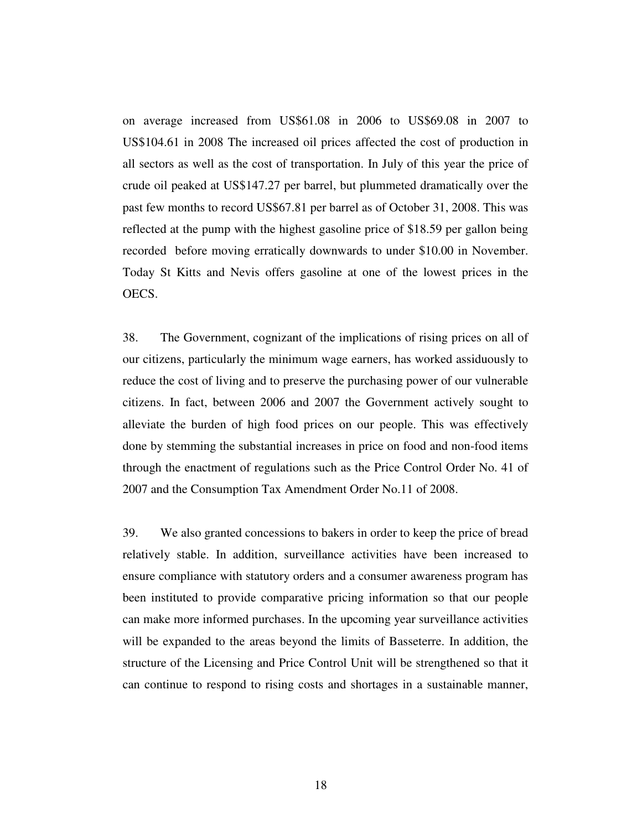on average increased from US\$61.08 in 2006 to US\$69.08 in 2007 to US\$104.61 in 2008 The increased oil prices affected the cost of production in all sectors as well as the cost of transportation. In July of this year the price of crude oil peaked at US\$147.27 per barrel, but plummeted dramatically over the past few months to record US\$67.81 per barrel as of October 31, 2008. This was reflected at the pump with the highest gasoline price of \$18.59 per gallon being recorded before moving erratically downwards to under \$10.00 in November. Today St Kitts and Nevis offers gasoline at one of the lowest prices in the OECS.

38. The Government, cognizant of the implications of rising prices on all of our citizens, particularly the minimum wage earners, has worked assiduously to reduce the cost of living and to preserve the purchasing power of our vulnerable citizens. In fact, between 2006 and 2007 the Government actively sought to alleviate the burden of high food prices on our people. This was effectively done by stemming the substantial increases in price on food and non-food items through the enactment of regulations such as the Price Control Order No. 41 of 2007 and the Consumption Tax Amendment Order No.11 of 2008.

39. We also granted concessions to bakers in order to keep the price of bread relatively stable. In addition, surveillance activities have been increased to ensure compliance with statutory orders and a consumer awareness program has been instituted to provide comparative pricing information so that our people can make more informed purchases. In the upcoming year surveillance activities will be expanded to the areas beyond the limits of Basseterre. In addition, the structure of the Licensing and Price Control Unit will be strengthened so that it can continue to respond to rising costs and shortages in a sustainable manner,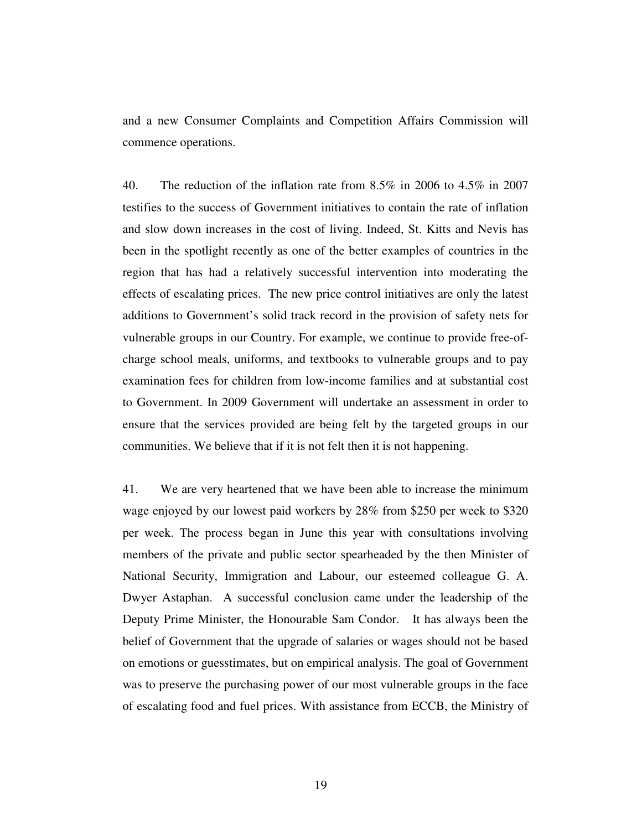and a new Consumer Complaints and Competition Affairs Commission will commence operations.

40. The reduction of the inflation rate from 8.5% in 2006 to 4.5% in 2007 testifies to the success of Government initiatives to contain the rate of inflation and slow down increases in the cost of living. Indeed, St. Kitts and Nevis has been in the spotlight recently as one of the better examples of countries in the region that has had a relatively successful intervention into moderating the effects of escalating prices. The new price control initiatives are only the latest additions to Government's solid track record in the provision of safety nets for vulnerable groups in our Country. For example, we continue to provide free-ofcharge school meals, uniforms, and textbooks to vulnerable groups and to pay examination fees for children from low-income families and at substantial cost to Government. In 2009 Government will undertake an assessment in order to ensure that the services provided are being felt by the targeted groups in our communities. We believe that if it is not felt then it is not happening.

41. We are very heartened that we have been able to increase the minimum wage enjoyed by our lowest paid workers by 28% from \$250 per week to \$320 per week. The process began in June this year with consultations involving members of the private and public sector spearheaded by the then Minister of National Security, Immigration and Labour, our esteemed colleague G. A. Dwyer Astaphan. A successful conclusion came under the leadership of the Deputy Prime Minister, the Honourable Sam Condor. It has always been the belief of Government that the upgrade of salaries or wages should not be based on emotions or guesstimates, but on empirical analysis. The goal of Government was to preserve the purchasing power of our most vulnerable groups in the face of escalating food and fuel prices. With assistance from ECCB, the Ministry of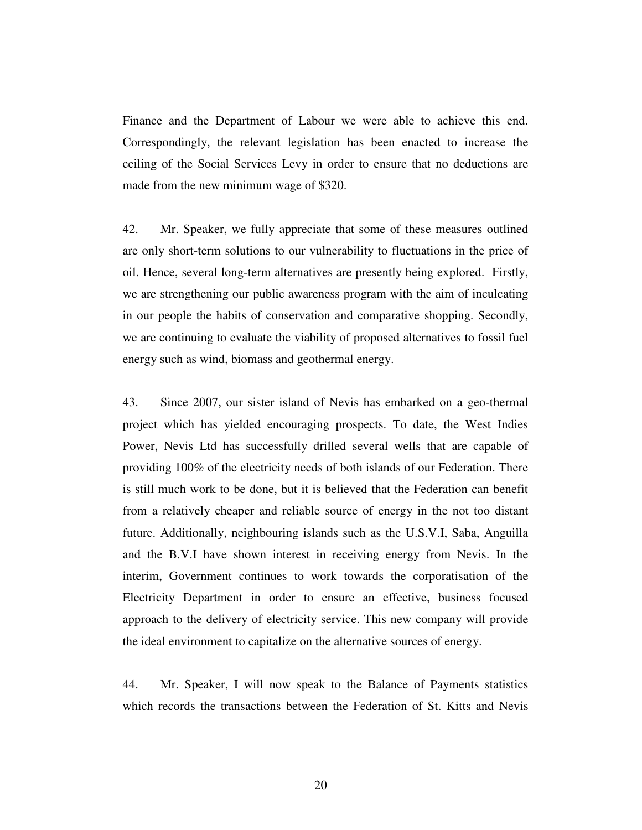Finance and the Department of Labour we were able to achieve this end. Correspondingly, the relevant legislation has been enacted to increase the ceiling of the Social Services Levy in order to ensure that no deductions are made from the new minimum wage of \$320.

42. Mr. Speaker, we fully appreciate that some of these measures outlined are only short-term solutions to our vulnerability to fluctuations in the price of oil. Hence, several long-term alternatives are presently being explored. Firstly, we are strengthening our public awareness program with the aim of inculcating in our people the habits of conservation and comparative shopping. Secondly, we are continuing to evaluate the viability of proposed alternatives to fossil fuel energy such as wind, biomass and geothermal energy.

43. Since 2007, our sister island of Nevis has embarked on a geo-thermal project which has yielded encouraging prospects. To date, the West Indies Power, Nevis Ltd has successfully drilled several wells that are capable of providing 100% of the electricity needs of both islands of our Federation. There is still much work to be done, but it is believed that the Federation can benefit from a relatively cheaper and reliable source of energy in the not too distant future. Additionally, neighbouring islands such as the U.S.V.I, Saba, Anguilla and the B.V.I have shown interest in receiving energy from Nevis. In the interim, Government continues to work towards the corporatisation of the Electricity Department in order to ensure an effective, business focused approach to the delivery of electricity service. This new company will provide the ideal environment to capitalize on the alternative sources of energy.

44. Mr. Speaker, I will now speak to the Balance of Payments statistics which records the transactions between the Federation of St. Kitts and Nevis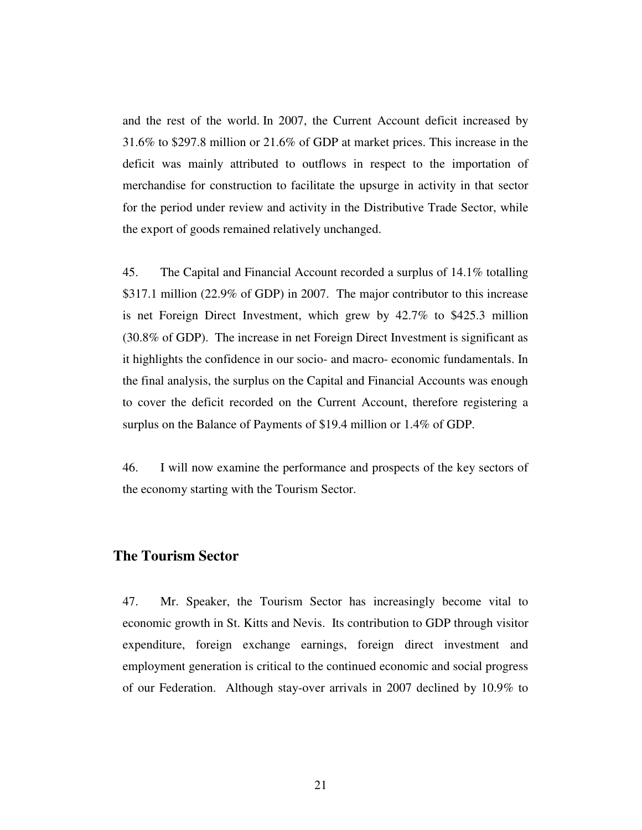and the rest of the world. In 2007, the Current Account deficit increased by 31.6% to \$297.8 million or 21.6% of GDP at market prices. This increase in the deficit was mainly attributed to outflows in respect to the importation of merchandise for construction to facilitate the upsurge in activity in that sector for the period under review and activity in the Distributive Trade Sector, while the export of goods remained relatively unchanged.

45. The Capital and Financial Account recorded a surplus of 14.1% totalling \$317.1 million (22.9% of GDP) in 2007. The major contributor to this increase is net Foreign Direct Investment, which grew by 42.7% to \$425.3 million (30.8% of GDP). The increase in net Foreign Direct Investment is significant as it highlights the confidence in our socio- and macro- economic fundamentals. In the final analysis, the surplus on the Capital and Financial Accounts was enough to cover the deficit recorded on the Current Account, therefore registering a surplus on the Balance of Payments of \$19.4 million or 1.4% of GDP.

46. I will now examine the performance and prospects of the key sectors of the economy starting with the Tourism Sector.

### **The Tourism Sector**

47. Mr. Speaker, the Tourism Sector has increasingly become vital to economic growth in St. Kitts and Nevis. Its contribution to GDP through visitor expenditure, foreign exchange earnings, foreign direct investment and employment generation is critical to the continued economic and social progress of our Federation. Although stay-over arrivals in 2007 declined by 10.9% to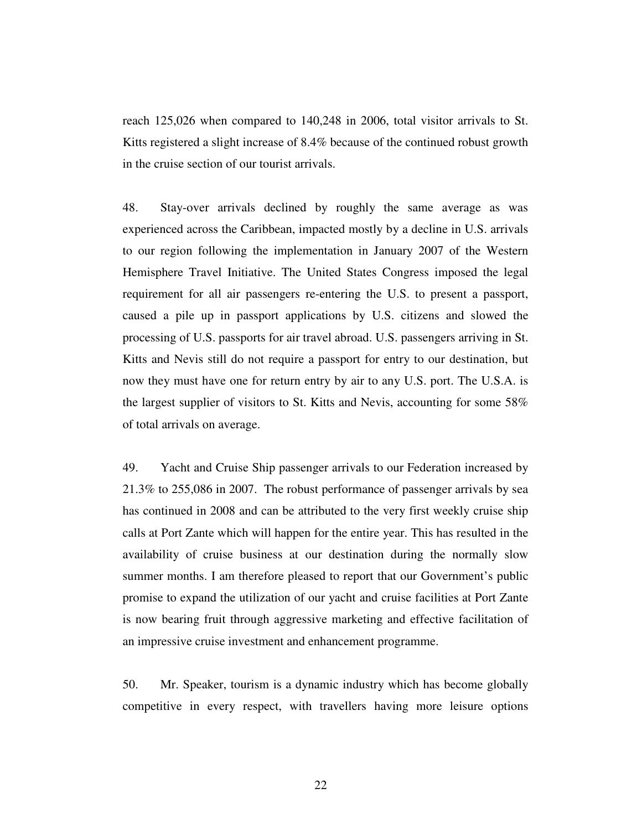reach 125,026 when compared to 140,248 in 2006, total visitor arrivals to St. Kitts registered a slight increase of 8.4% because of the continued robust growth in the cruise section of our tourist arrivals.

48. Stay-over arrivals declined by roughly the same average as was experienced across the Caribbean, impacted mostly by a decline in U.S. arrivals to our region following the implementation in January 2007 of the Western Hemisphere Travel Initiative. The United States Congress imposed the legal requirement for all air passengers re-entering the U.S. to present a passport, caused a pile up in passport applications by U.S. citizens and slowed the processing of U.S. passports for air travel abroad. U.S. passengers arriving in St. Kitts and Nevis still do not require a passport for entry to our destination, but now they must have one for return entry by air to any U.S. port. The U.S.A. is the largest supplier of visitors to St. Kitts and Nevis, accounting for some 58% of total arrivals on average.

49. Yacht and Cruise Ship passenger arrivals to our Federation increased by 21.3% to 255,086 in 2007. The robust performance of passenger arrivals by sea has continued in 2008 and can be attributed to the very first weekly cruise ship calls at Port Zante which will happen for the entire year. This has resulted in the availability of cruise business at our destination during the normally slow summer months. I am therefore pleased to report that our Government's public promise to expand the utilization of our yacht and cruise facilities at Port Zante is now bearing fruit through aggressive marketing and effective facilitation of an impressive cruise investment and enhancement programme.

50. Mr. Speaker, tourism is a dynamic industry which has become globally competitive in every respect, with travellers having more leisure options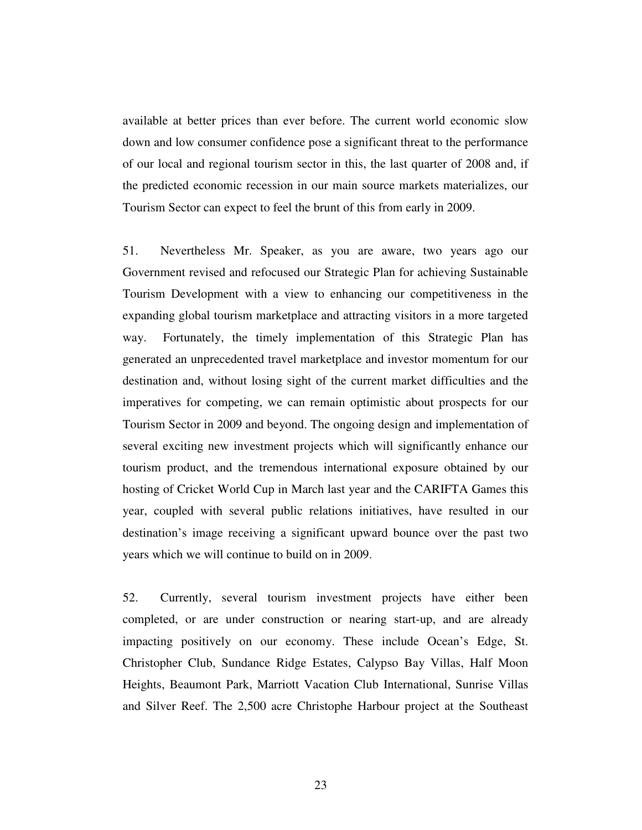available at better prices than ever before. The current world economic slow down and low consumer confidence pose a significant threat to the performance of our local and regional tourism sector in this, the last quarter of 2008 and, if the predicted economic recession in our main source markets materializes, our Tourism Sector can expect to feel the brunt of this from early in 2009.

51. Nevertheless Mr. Speaker, as you are aware, two years ago our Government revised and refocused our Strategic Plan for achieving Sustainable Tourism Development with a view to enhancing our competitiveness in the expanding global tourism marketplace and attracting visitors in a more targeted way. Fortunately, the timely implementation of this Strategic Plan has generated an unprecedented travel marketplace and investor momentum for our destination and, without losing sight of the current market difficulties and the imperatives for competing, we can remain optimistic about prospects for our Tourism Sector in 2009 and beyond. The ongoing design and implementation of several exciting new investment projects which will significantly enhance our tourism product, and the tremendous international exposure obtained by our hosting of Cricket World Cup in March last year and the CARIFTA Games this year, coupled with several public relations initiatives, have resulted in our destination's image receiving a significant upward bounce over the past two years which we will continue to build on in 2009.

52. Currently, several tourism investment projects have either been completed, or are under construction or nearing start-up, and are already impacting positively on our economy. These include Ocean's Edge, St. Christopher Club, Sundance Ridge Estates, Calypso Bay Villas, Half Moon Heights, Beaumont Park, Marriott Vacation Club International, Sunrise Villas and Silver Reef. The 2,500 acre Christophe Harbour project at the Southeast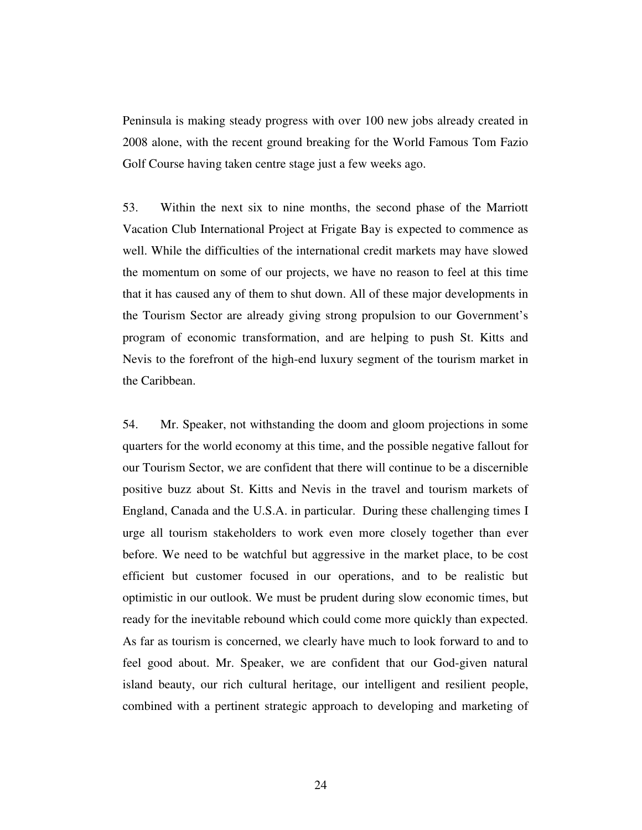Peninsula is making steady progress with over 100 new jobs already created in 2008 alone, with the recent ground breaking for the World Famous Tom Fazio Golf Course having taken centre stage just a few weeks ago.

53. Within the next six to nine months, the second phase of the Marriott Vacation Club International Project at Frigate Bay is expected to commence as well. While the difficulties of the international credit markets may have slowed the momentum on some of our projects, we have no reason to feel at this time that it has caused any of them to shut down. All of these major developments in the Tourism Sector are already giving strong propulsion to our Government's program of economic transformation, and are helping to push St. Kitts and Nevis to the forefront of the high-end luxury segment of the tourism market in the Caribbean.

54. Mr. Speaker, not withstanding the doom and gloom projections in some quarters for the world economy at this time, and the possible negative fallout for our Tourism Sector, we are confident that there will continue to be a discernible positive buzz about St. Kitts and Nevis in the travel and tourism markets of England, Canada and the U.S.A. in particular. During these challenging times I urge all tourism stakeholders to work even more closely together than ever before. We need to be watchful but aggressive in the market place, to be cost efficient but customer focused in our operations, and to be realistic but optimistic in our outlook. We must be prudent during slow economic times, but ready for the inevitable rebound which could come more quickly than expected. As far as tourism is concerned, we clearly have much to look forward to and to feel good about. Mr. Speaker, we are confident that our God-given natural island beauty, our rich cultural heritage, our intelligent and resilient people, combined with a pertinent strategic approach to developing and marketing of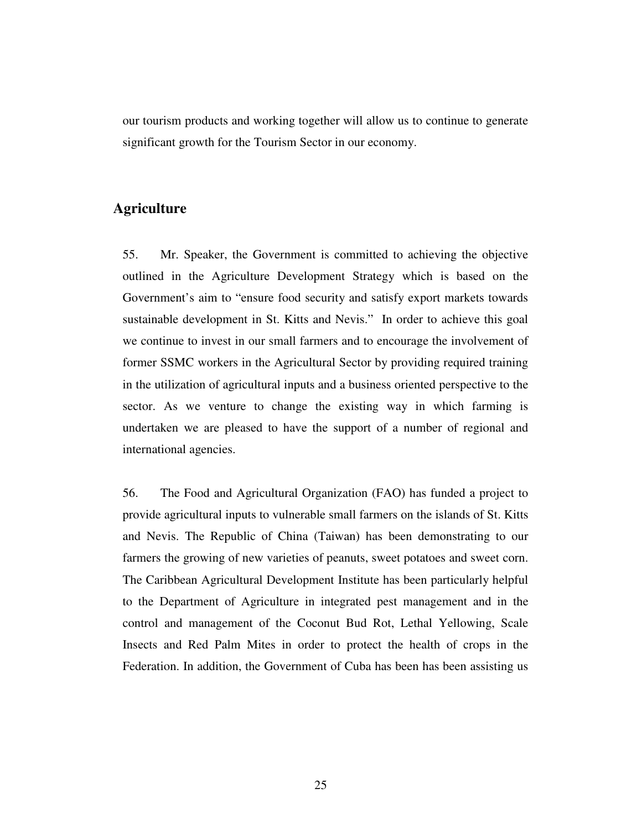our tourism products and working together will allow us to continue to generate significant growth for the Tourism Sector in our economy.

# **Agriculture**

55. Mr. Speaker, the Government is committed to achieving the objective outlined in the Agriculture Development Strategy which is based on the Government's aim to "ensure food security and satisfy export markets towards sustainable development in St. Kitts and Nevis." In order to achieve this goal we continue to invest in our small farmers and to encourage the involvement of former SSMC workers in the Agricultural Sector by providing required training in the utilization of agricultural inputs and a business oriented perspective to the sector. As we venture to change the existing way in which farming is undertaken we are pleased to have the support of a number of regional and international agencies.

56. The Food and Agricultural Organization (FAO) has funded a project to provide agricultural inputs to vulnerable small farmers on the islands of St. Kitts and Nevis. The Republic of China (Taiwan) has been demonstrating to our farmers the growing of new varieties of peanuts, sweet potatoes and sweet corn. The Caribbean Agricultural Development Institute has been particularly helpful to the Department of Agriculture in integrated pest management and in the control and management of the Coconut Bud Rot, Lethal Yellowing, Scale Insects and Red Palm Mites in order to protect the health of crops in the Federation. In addition, the Government of Cuba has been has been assisting us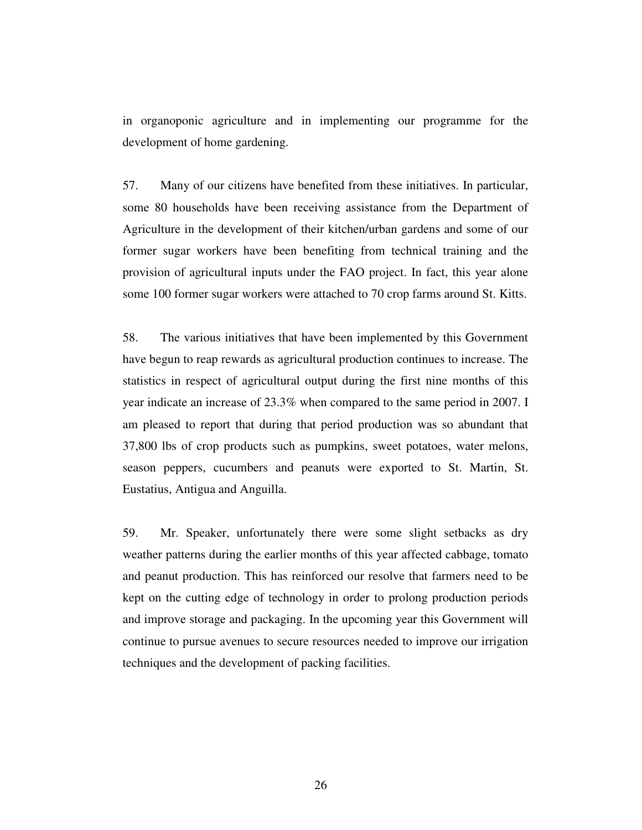in organoponic agriculture and in implementing our programme for the development of home gardening.

57. Many of our citizens have benefited from these initiatives. In particular, some 80 households have been receiving assistance from the Department of Agriculture in the development of their kitchen/urban gardens and some of our former sugar workers have been benefiting from technical training and the provision of agricultural inputs under the FAO project. In fact, this year alone some 100 former sugar workers were attached to 70 crop farms around St. Kitts.

58. The various initiatives that have been implemented by this Government have begun to reap rewards as agricultural production continues to increase. The statistics in respect of agricultural output during the first nine months of this year indicate an increase of 23.3% when compared to the same period in 2007. I am pleased to report that during that period production was so abundant that 37,800 lbs of crop products such as pumpkins, sweet potatoes, water melons, season peppers, cucumbers and peanuts were exported to St. Martin, St. Eustatius, Antigua and Anguilla.

59. Mr. Speaker, unfortunately there were some slight setbacks as dry weather patterns during the earlier months of this year affected cabbage, tomato and peanut production. This has reinforced our resolve that farmers need to be kept on the cutting edge of technology in order to prolong production periods and improve storage and packaging. In the upcoming year this Government will continue to pursue avenues to secure resources needed to improve our irrigation techniques and the development of packing facilities.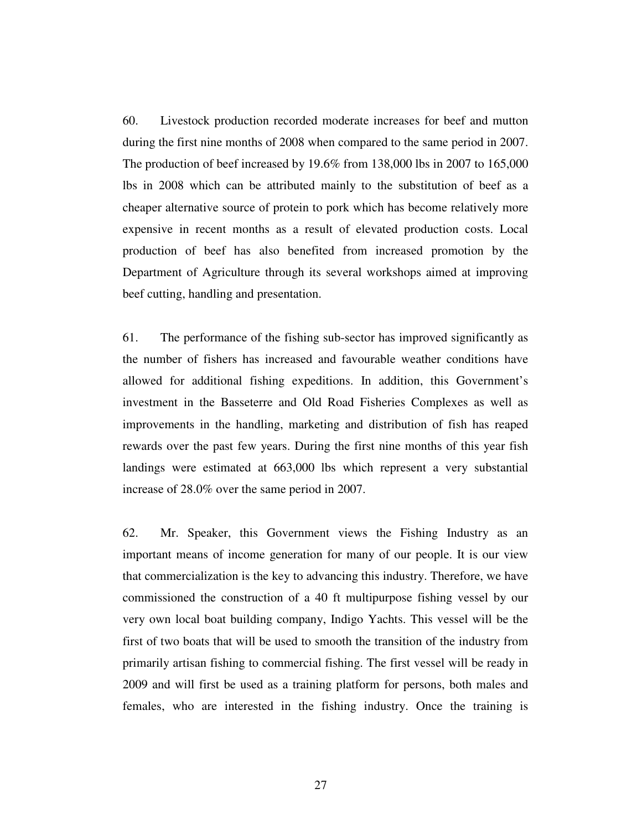60. Livestock production recorded moderate increases for beef and mutton during the first nine months of 2008 when compared to the same period in 2007. The production of beef increased by 19.6% from 138,000 lbs in 2007 to 165,000 lbs in 2008 which can be attributed mainly to the substitution of beef as a cheaper alternative source of protein to pork which has become relatively more expensive in recent months as a result of elevated production costs. Local production of beef has also benefited from increased promotion by the Department of Agriculture through its several workshops aimed at improving beef cutting, handling and presentation.

61. The performance of the fishing sub-sector has improved significantly as the number of fishers has increased and favourable weather conditions have allowed for additional fishing expeditions. In addition, this Government's investment in the Basseterre and Old Road Fisheries Complexes as well as improvements in the handling, marketing and distribution of fish has reaped rewards over the past few years. During the first nine months of this year fish landings were estimated at 663,000 lbs which represent a very substantial increase of 28.0% over the same period in 2007.

62. Mr. Speaker, this Government views the Fishing Industry as an important means of income generation for many of our people. It is our view that commercialization is the key to advancing this industry. Therefore, we have commissioned the construction of a 40 ft multipurpose fishing vessel by our very own local boat building company, Indigo Yachts. This vessel will be the first of two boats that will be used to smooth the transition of the industry from primarily artisan fishing to commercial fishing. The first vessel will be ready in 2009 and will first be used as a training platform for persons, both males and females, who are interested in the fishing industry. Once the training is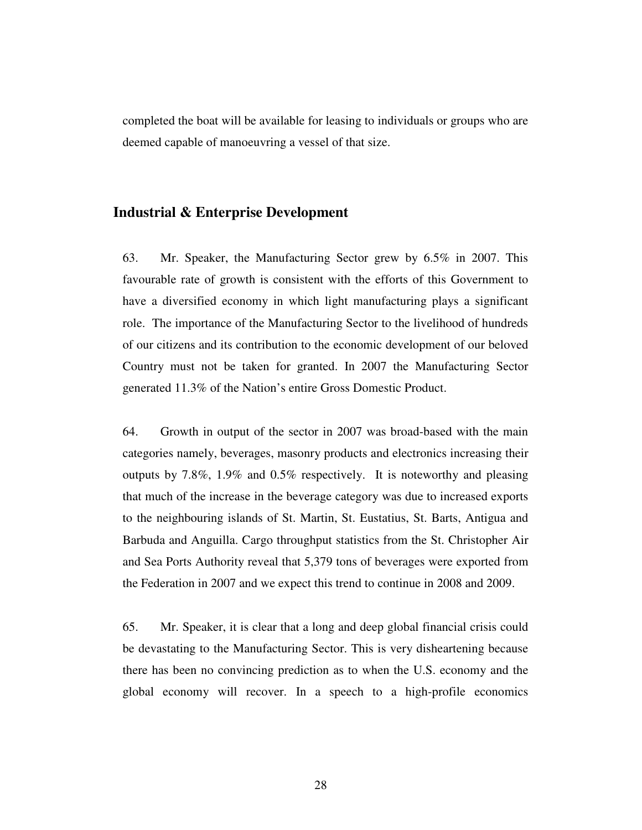completed the boat will be available for leasing to individuals or groups who are deemed capable of manoeuvring a vessel of that size.

### **Industrial & Enterprise Development**

63. Mr. Speaker, the Manufacturing Sector grew by 6.5% in 2007. This favourable rate of growth is consistent with the efforts of this Government to have a diversified economy in which light manufacturing plays a significant role. The importance of the Manufacturing Sector to the livelihood of hundreds of our citizens and its contribution to the economic development of our beloved Country must not be taken for granted. In 2007 the Manufacturing Sector generated 11.3% of the Nation's entire Gross Domestic Product.

64. Growth in output of the sector in 2007 was broad-based with the main categories namely, beverages, masonry products and electronics increasing their outputs by 7.8%, 1.9% and 0.5% respectively. It is noteworthy and pleasing that much of the increase in the beverage category was due to increased exports to the neighbouring islands of St. Martin, St. Eustatius, St. Barts, Antigua and Barbuda and Anguilla. Cargo throughput statistics from the St. Christopher Air and Sea Ports Authority reveal that 5,379 tons of beverages were exported from the Federation in 2007 and we expect this trend to continue in 2008 and 2009.

65. Mr. Speaker, it is clear that a long and deep global financial crisis could be devastating to the Manufacturing Sector. This is very disheartening because there has been no convincing prediction as to when the U.S. economy and the global economy will recover. In a speech to a high-profile economics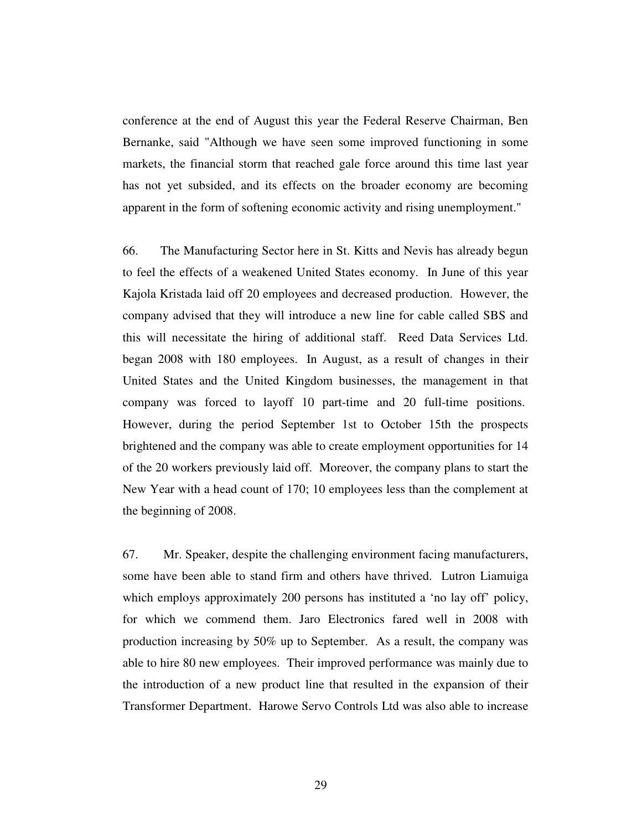conference at the end of August this year the Federal Reserve Chairman, Ben Bernanke, said "Although we have seen some improved functioning in some markets, the financial storm that reached gale force around this time last year has not yet subsided, and its effects on the broader economy are becoming apparent in the form of softening economic activity and rising unemployment."

66. The Manufacturing Sector here in St. Kitts and Nevis has already begun to feel the effects of a weakened United States economy. In June of this year Kajola Kristada laid off 20 employees and decreased production. However, the company advised that they will introduce a new line for cable called SBS and this will necessitate the hiring of additional staff. Reed Data Services Ltd. began 2008 with 180 employees. In August, as a result of changes in their United States and the United Kingdom businesses, the management in that company was forced to layoff 10 part-time and 20 full-time positions. However, during the period September 1st to October 15th the prospects brightened and the company was able to create employment opportunities for 14 of the 20 workers previously laid off. Moreover, the company plans to start the New Year with a head count of 170; 10 employees less than the complement at the beginning of 2008.

67. Mr. Speaker, despite the challenging environment facing manufacturers, some have been able to stand firm and others have thrived. Lutron Liamuiga which employs approximately 200 persons has instituted a 'no lay off' policy, for which we commend them. Jaro Electronics fared well in 2008 with production increasing by 50% up to September. As a result, the company was able to hire 80 new employees. Their improved performance was mainly due to the introduction of a new product line that resulted in the expansion of their Transformer Department. Harowe Servo Controls Ltd was also able to increase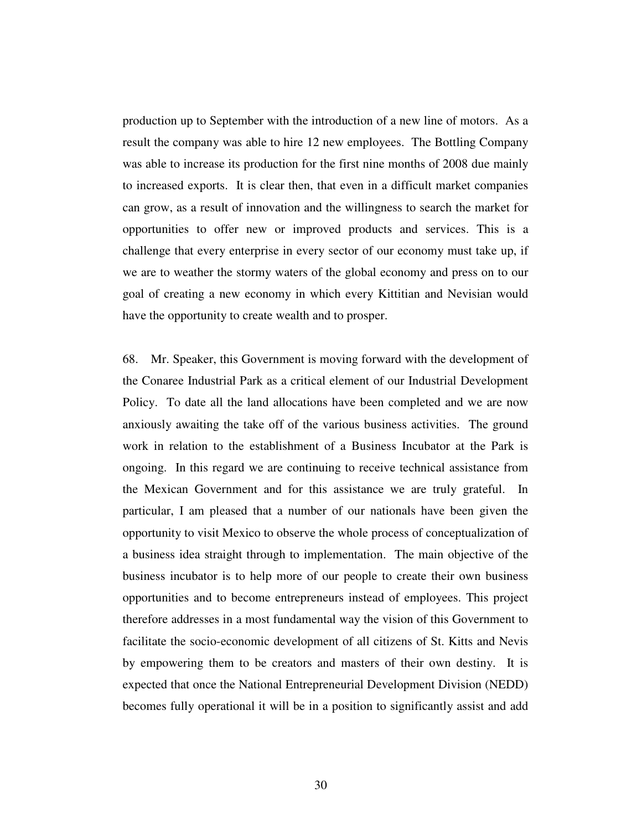production up to September with the introduction of a new line of motors. As a result the company was able to hire 12 new employees. The Bottling Company was able to increase its production for the first nine months of 2008 due mainly to increased exports. It is clear then, that even in a difficult market companies can grow, as a result of innovation and the willingness to search the market for opportunities to offer new or improved products and services. This is a challenge that every enterprise in every sector of our economy must take up, if we are to weather the stormy waters of the global economy and press on to our goal of creating a new economy in which every Kittitian and Nevisian would have the opportunity to create wealth and to prosper.

68. Mr. Speaker, this Government is moving forward with the development of the Conaree Industrial Park as a critical element of our Industrial Development Policy. To date all the land allocations have been completed and we are now anxiously awaiting the take off of the various business activities. The ground work in relation to the establishment of a Business Incubator at the Park is ongoing. In this regard we are continuing to receive technical assistance from the Mexican Government and for this assistance we are truly grateful. In particular, I am pleased that a number of our nationals have been given the opportunity to visit Mexico to observe the whole process of conceptualization of a business idea straight through to implementation. The main objective of the business incubator is to help more of our people to create their own business opportunities and to become entrepreneurs instead of employees. This project therefore addresses in a most fundamental way the vision of this Government to facilitate the socio-economic development of all citizens of St. Kitts and Nevis by empowering them to be creators and masters of their own destiny. It is expected that once the National Entrepreneurial Development Division (NEDD) becomes fully operational it will be in a position to significantly assist and add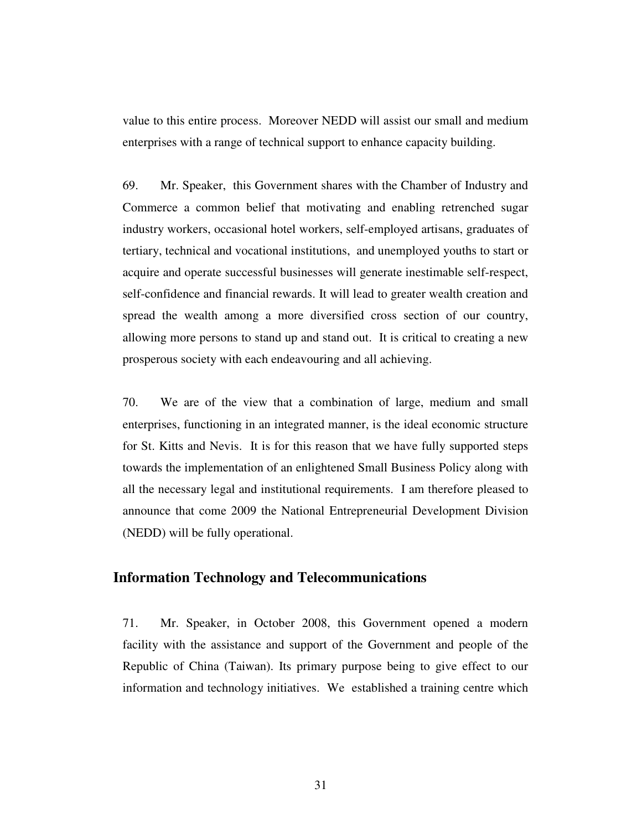value to this entire process. Moreover NEDD will assist our small and medium enterprises with a range of technical support to enhance capacity building.

69. Mr. Speaker, this Government shares with the Chamber of Industry and Commerce a common belief that motivating and enabling retrenched sugar industry workers, occasional hotel workers, self-employed artisans, graduates of tertiary, technical and vocational institutions, and unemployed youths to start or acquire and operate successful businesses will generate inestimable self-respect, self-confidence and financial rewards. It will lead to greater wealth creation and spread the wealth among a more diversified cross section of our country, allowing more persons to stand up and stand out. It is critical to creating a new prosperous society with each endeavouring and all achieving.

70. We are of the view that a combination of large, medium and small enterprises, functioning in an integrated manner, is the ideal economic structure for St. Kitts and Nevis. It is for this reason that we have fully supported steps towards the implementation of an enlightened Small Business Policy along with all the necessary legal and institutional requirements. I am therefore pleased to announce that come 2009 the National Entrepreneurial Development Division (NEDD) will be fully operational.

## **Information Technology and Telecommunications**

71. Mr. Speaker, in October 2008, this Government opened a modern facility with the assistance and support of the Government and people of the Republic of China (Taiwan). Its primary purpose being to give effect to our information and technology initiatives. We established a training centre which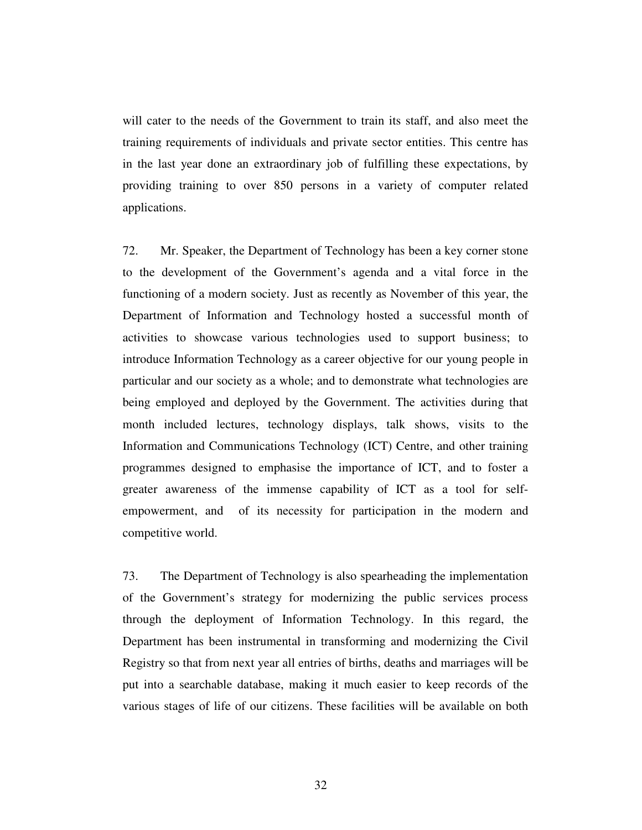will cater to the needs of the Government to train its staff, and also meet the training requirements of individuals and private sector entities. This centre has in the last year done an extraordinary job of fulfilling these expectations, by providing training to over 850 persons in a variety of computer related applications.

72. Mr. Speaker, the Department of Technology has been a key corner stone to the development of the Government's agenda and a vital force in the functioning of a modern society. Just as recently as November of this year, the Department of Information and Technology hosted a successful month of activities to showcase various technologies used to support business; to introduce Information Technology as a career objective for our young people in particular and our society as a whole; and to demonstrate what technologies are being employed and deployed by the Government. The activities during that month included lectures, technology displays, talk shows, visits to the Information and Communications Technology (ICT) Centre, and other training programmes designed to emphasise the importance of ICT, and to foster a greater awareness of the immense capability of ICT as a tool for selfempowerment, and of its necessity for participation in the modern and competitive world.

73. The Department of Technology is also spearheading the implementation of the Government's strategy for modernizing the public services process through the deployment of Information Technology. In this regard, the Department has been instrumental in transforming and modernizing the Civil Registry so that from next year all entries of births, deaths and marriages will be put into a searchable database, making it much easier to keep records of the various stages of life of our citizens. These facilities will be available on both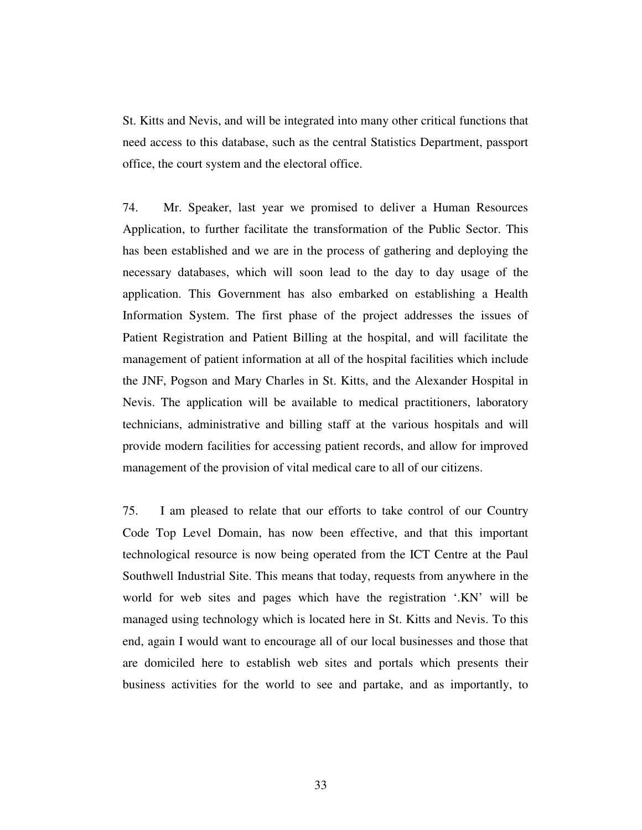St. Kitts and Nevis, and will be integrated into many other critical functions that need access to this database, such as the central Statistics Department, passport office, the court system and the electoral office.

74. Mr. Speaker, last year we promised to deliver a Human Resources Application, to further facilitate the transformation of the Public Sector. This has been established and we are in the process of gathering and deploying the necessary databases, which will soon lead to the day to day usage of the application. This Government has also embarked on establishing a Health Information System. The first phase of the project addresses the issues of Patient Registration and Patient Billing at the hospital, and will facilitate the management of patient information at all of the hospital facilities which include the JNF, Pogson and Mary Charles in St. Kitts, and the Alexander Hospital in Nevis. The application will be available to medical practitioners, laboratory technicians, administrative and billing staff at the various hospitals and will provide modern facilities for accessing patient records, and allow for improved management of the provision of vital medical care to all of our citizens.

75. I am pleased to relate that our efforts to take control of our Country Code Top Level Domain, has now been effective, and that this important technological resource is now being operated from the ICT Centre at the Paul Southwell Industrial Site. This means that today, requests from anywhere in the world for web sites and pages which have the registration '.KN' will be managed using technology which is located here in St. Kitts and Nevis. To this end, again I would want to encourage all of our local businesses and those that are domiciled here to establish web sites and portals which presents their business activities for the world to see and partake, and as importantly, to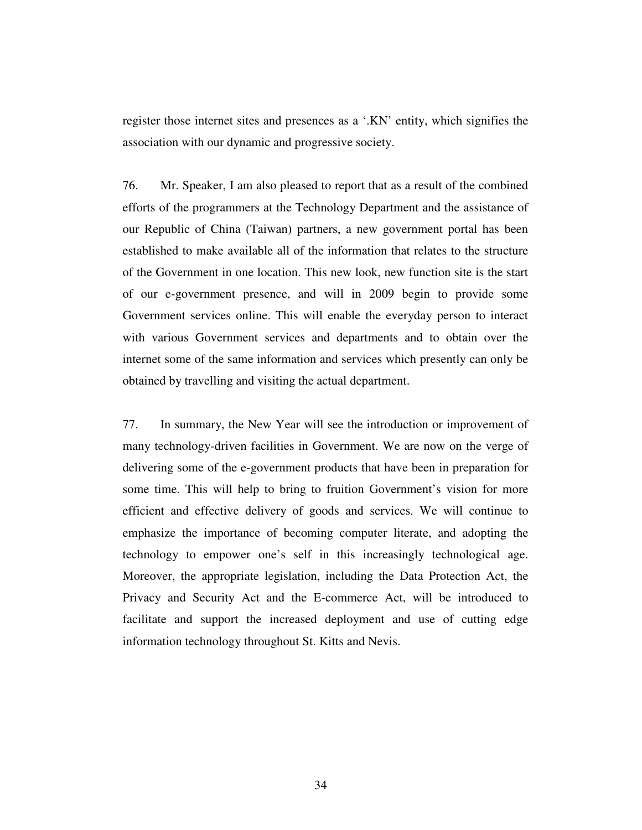register those internet sites and presences as a '.KN' entity, which signifies the association with our dynamic and progressive society.

76. Mr. Speaker, I am also pleased to report that as a result of the combined efforts of the programmers at the Technology Department and the assistance of our Republic of China (Taiwan) partners, a new government portal has been established to make available all of the information that relates to the structure of the Government in one location. This new look, new function site is the start of our e-government presence, and will in 2009 begin to provide some Government services online. This will enable the everyday person to interact with various Government services and departments and to obtain over the internet some of the same information and services which presently can only be obtained by travelling and visiting the actual department.

77. In summary, the New Year will see the introduction or improvement of many technology-driven facilities in Government. We are now on the verge of delivering some of the e-government products that have been in preparation for some time. This will help to bring to fruition Government's vision for more efficient and effective delivery of goods and services. We will continue to emphasize the importance of becoming computer literate, and adopting the technology to empower one's self in this increasingly technological age. Moreover, the appropriate legislation, including the Data Protection Act, the Privacy and Security Act and the E-commerce Act, will be introduced to facilitate and support the increased deployment and use of cutting edge information technology throughout St. Kitts and Nevis.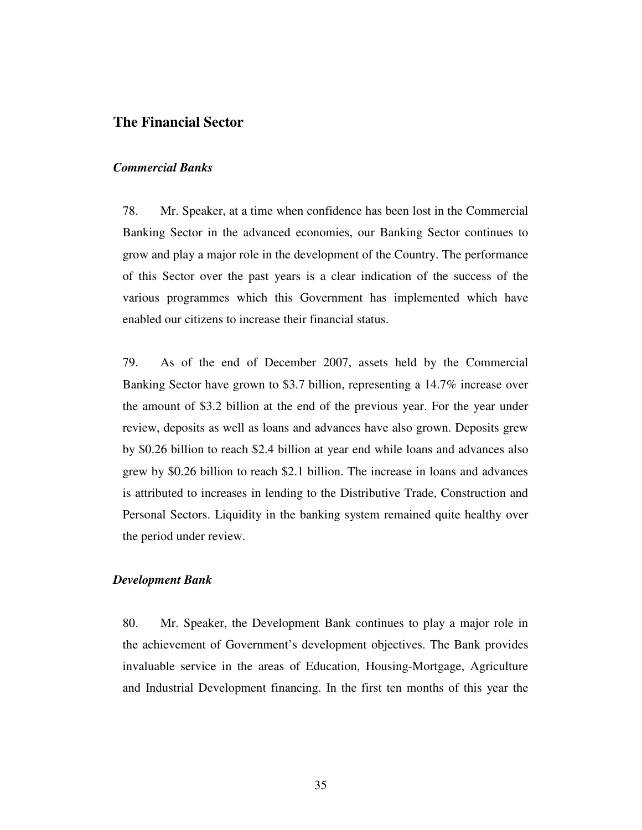### **The Financial Sector**

#### *Commercial Banks*

78. Mr. Speaker, at a time when confidence has been lost in the Commercial Banking Sector in the advanced economies, our Banking Sector continues to grow and play a major role in the development of the Country. The performance of this Sector over the past years is a clear indication of the success of the various programmes which this Government has implemented which have enabled our citizens to increase their financial status.

79. As of the end of December 2007, assets held by the Commercial Banking Sector have grown to \$3.7 billion, representing a 14.7% increase over the amount of \$3.2 billion at the end of the previous year. For the year under review, deposits as well as loans and advances have also grown. Deposits grew by \$0.26 billion to reach \$2.4 billion at year end while loans and advances also grew by \$0.26 billion to reach \$2.1 billion. The increase in loans and advances is attributed to increases in lending to the Distributive Trade, Construction and Personal Sectors. Liquidity in the banking system remained quite healthy over the period under review.

#### *Development Bank*

80. Mr. Speaker, the Development Bank continues to play a major role in the achievement of Government's development objectives. The Bank provides invaluable service in the areas of Education, Housing-Mortgage, Agriculture and Industrial Development financing. In the first ten months of this year the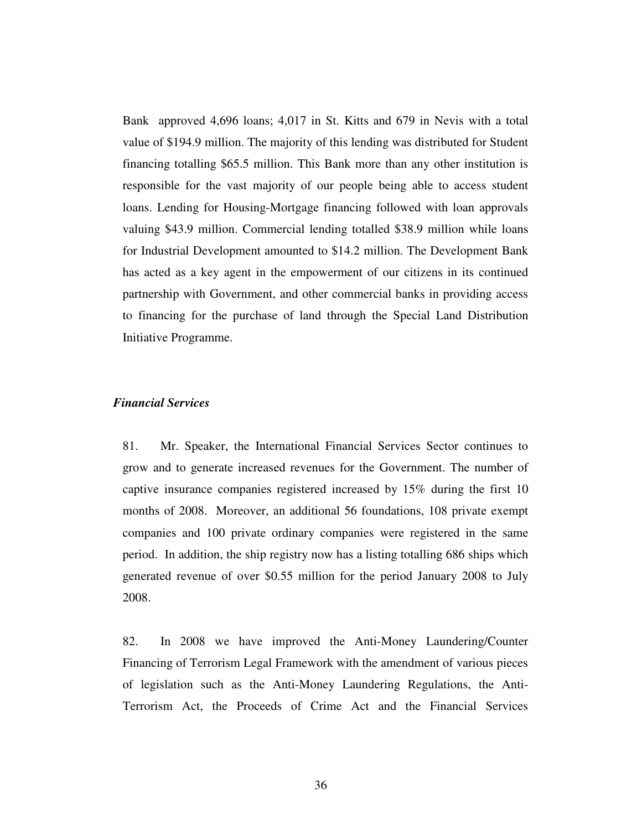Bank approved 4,696 loans; 4,017 in St. Kitts and 679 in Nevis with a total value of \$194.9 million. The majority of this lending was distributed for Student financing totalling \$65.5 million. This Bank more than any other institution is responsible for the vast majority of our people being able to access student loans. Lending for Housing-Mortgage financing followed with loan approvals valuing \$43.9 million. Commercial lending totalled \$38.9 million while loans for Industrial Development amounted to \$14.2 million. The Development Bank has acted as a key agent in the empowerment of our citizens in its continued partnership with Government, and other commercial banks in providing access to financing for the purchase of land through the Special Land Distribution Initiative Programme.

### *Financial Services*

81. Mr. Speaker, the International Financial Services Sector continues to grow and to generate increased revenues for the Government. The number of captive insurance companies registered increased by 15% during the first 10 months of 2008. Moreover, an additional 56 foundations, 108 private exempt companies and 100 private ordinary companies were registered in the same period. In addition, the ship registry now has a listing totalling 686 ships which generated revenue of over \$0.55 million for the period January 2008 to July 2008.

82. In 2008 we have improved the Anti-Money Laundering/Counter Financing of Terrorism Legal Framework with the amendment of various pieces of legislation such as the Anti-Money Laundering Regulations, the Anti-Terrorism Act, the Proceeds of Crime Act and the Financial Services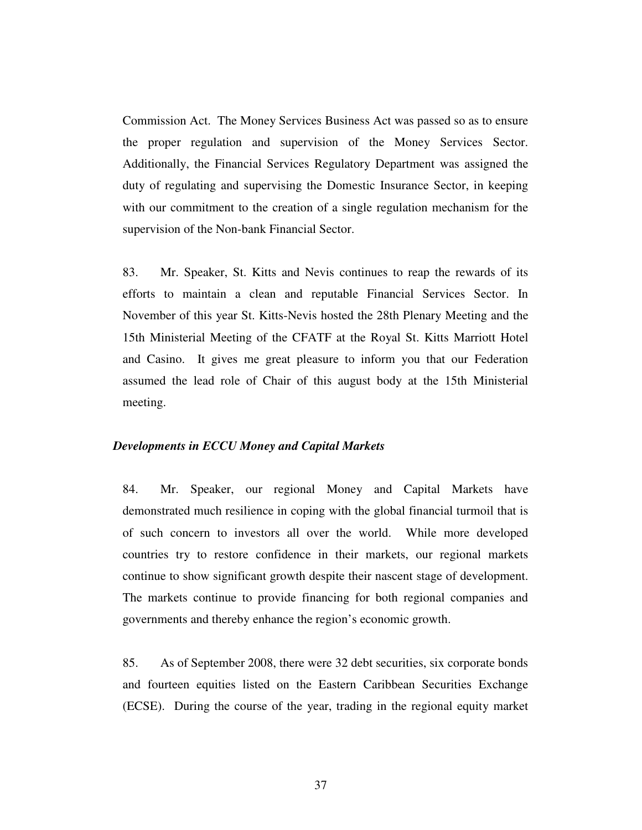Commission Act. The Money Services Business Act was passed so as to ensure the proper regulation and supervision of the Money Services Sector. Additionally, the Financial Services Regulatory Department was assigned the duty of regulating and supervising the Domestic Insurance Sector, in keeping with our commitment to the creation of a single regulation mechanism for the supervision of the Non-bank Financial Sector.

83. Mr. Speaker, St. Kitts and Nevis continues to reap the rewards of its efforts to maintain a clean and reputable Financial Services Sector. In November of this year St. Kitts-Nevis hosted the 28th Plenary Meeting and the 15th Ministerial Meeting of the CFATF at the Royal St. Kitts Marriott Hotel and Casino. It gives me great pleasure to inform you that our Federation assumed the lead role of Chair of this august body at the 15th Ministerial meeting.

#### *Developments in ECCU Money and Capital Markets*

84. Mr. Speaker, our regional Money and Capital Markets have demonstrated much resilience in coping with the global financial turmoil that is of such concern to investors all over the world. While more developed countries try to restore confidence in their markets, our regional markets continue to show significant growth despite their nascent stage of development. The markets continue to provide financing for both regional companies and governments and thereby enhance the region's economic growth.

85. As of September 2008, there were 32 debt securities, six corporate bonds and fourteen equities listed on the Eastern Caribbean Securities Exchange (ECSE). During the course of the year, trading in the regional equity market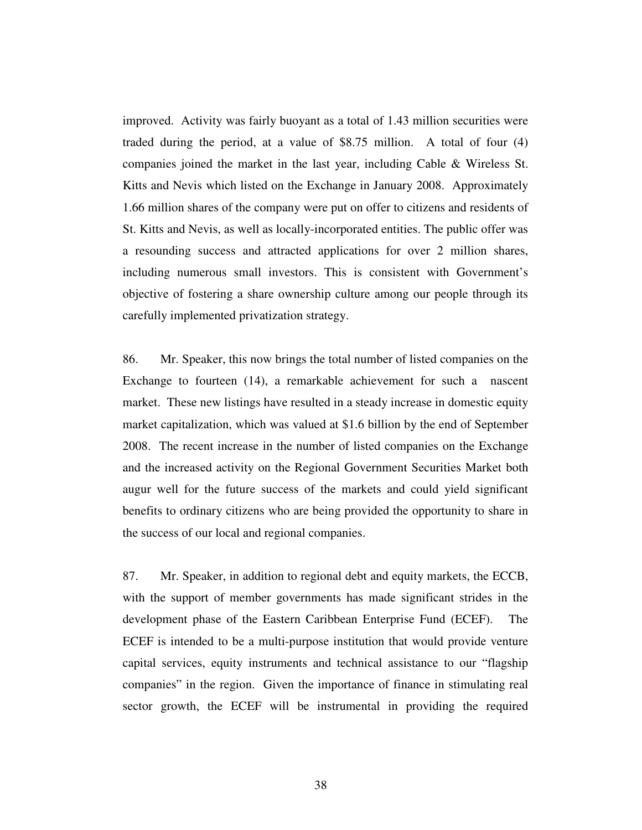improved. Activity was fairly buoyant as a total of 1.43 million securities were traded during the period, at a value of \$8.75 million. A total of four (4) companies joined the market in the last year, including Cable & Wireless St. Kitts and Nevis which listed on the Exchange in January 2008. Approximately 1.66 million shares of the company were put on offer to citizens and residents of St. Kitts and Nevis, as well as locally-incorporated entities. The public offer was a resounding success and attracted applications for over 2 million shares, including numerous small investors. This is consistent with Government's objective of fostering a share ownership culture among our people through its carefully implemented privatization strategy.

86. Mr. Speaker, this now brings the total number of listed companies on the Exchange to fourteen (14), a remarkable achievement for such a nascent market. These new listings have resulted in a steady increase in domestic equity market capitalization, which was valued at \$1.6 billion by the end of September 2008. The recent increase in the number of listed companies on the Exchange and the increased activity on the Regional Government Securities Market both augur well for the future success of the markets and could yield significant benefits to ordinary citizens who are being provided the opportunity to share in the success of our local and regional companies.

87. Mr. Speaker, in addition to regional debt and equity markets, the ECCB, with the support of member governments has made significant strides in the development phase of the Eastern Caribbean Enterprise Fund (ECEF). The ECEF is intended to be a multi-purpose institution that would provide venture capital services, equity instruments and technical assistance to our "flagship companies" in the region. Given the importance of finance in stimulating real sector growth, the ECEF will be instrumental in providing the required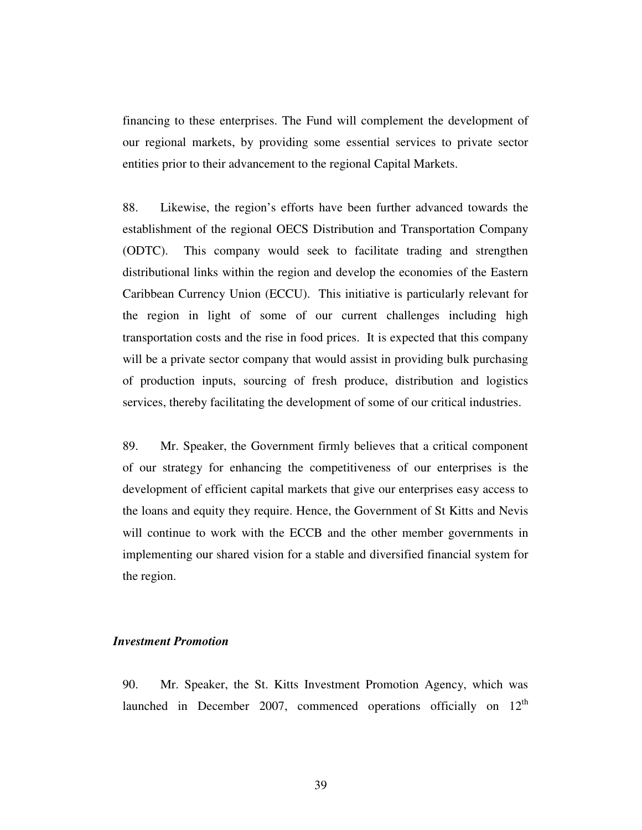financing to these enterprises. The Fund will complement the development of our regional markets, by providing some essential services to private sector entities prior to their advancement to the regional Capital Markets.

88. Likewise, the region's efforts have been further advanced towards the establishment of the regional OECS Distribution and Transportation Company (ODTC). This company would seek to facilitate trading and strengthen distributional links within the region and develop the economies of the Eastern Caribbean Currency Union (ECCU). This initiative is particularly relevant for the region in light of some of our current challenges including high transportation costs and the rise in food prices. It is expected that this company will be a private sector company that would assist in providing bulk purchasing of production inputs, sourcing of fresh produce, distribution and logistics services, thereby facilitating the development of some of our critical industries.

89. Mr. Speaker, the Government firmly believes that a critical component of our strategy for enhancing the competitiveness of our enterprises is the development of efficient capital markets that give our enterprises easy access to the loans and equity they require. Hence, the Government of St Kitts and Nevis will continue to work with the ECCB and the other member governments in implementing our shared vision for a stable and diversified financial system for the region.

#### *Investment Promotion*

90. Mr. Speaker, the St. Kitts Investment Promotion Agency, which was launched in December 2007, commenced operations officially on 12<sup>th</sup>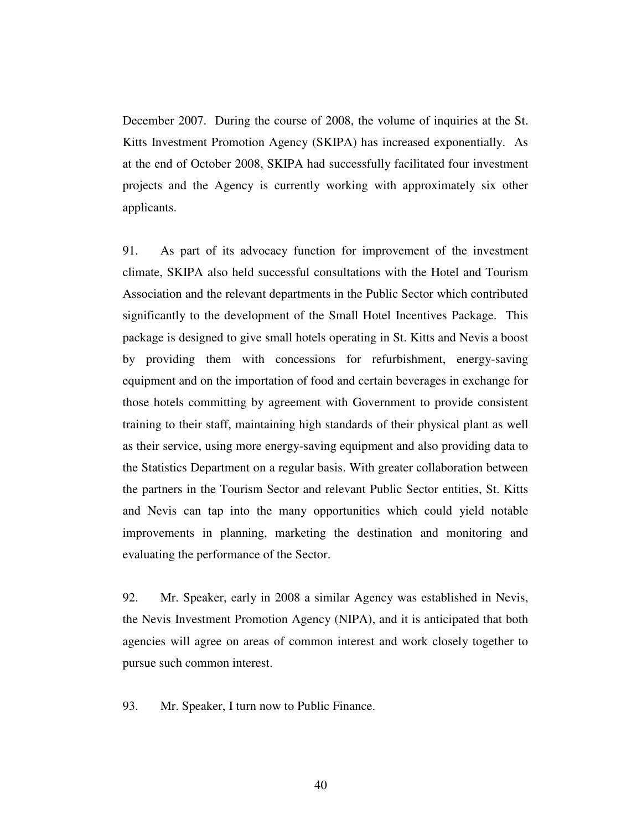December 2007. During the course of 2008, the volume of inquiries at the St. Kitts Investment Promotion Agency (SKIPA) has increased exponentially. As at the end of October 2008, SKIPA had successfully facilitated four investment projects and the Agency is currently working with approximately six other applicants.

91. As part of its advocacy function for improvement of the investment climate, SKIPA also held successful consultations with the Hotel and Tourism Association and the relevant departments in the Public Sector which contributed significantly to the development of the Small Hotel Incentives Package. This package is designed to give small hotels operating in St. Kitts and Nevis a boost by providing them with concessions for refurbishment, energy-saving equipment and on the importation of food and certain beverages in exchange for those hotels committing by agreement with Government to provide consistent training to their staff, maintaining high standards of their physical plant as well as their service, using more energy-saving equipment and also providing data to the Statistics Department on a regular basis. With greater collaboration between the partners in the Tourism Sector and relevant Public Sector entities, St. Kitts and Nevis can tap into the many opportunities which could yield notable improvements in planning, marketing the destination and monitoring and evaluating the performance of the Sector.

92. Mr. Speaker, early in 2008 a similar Agency was established in Nevis, the Nevis Investment Promotion Agency (NIPA), and it is anticipated that both agencies will agree on areas of common interest and work closely together to pursue such common interest.

93. Mr. Speaker, I turn now to Public Finance.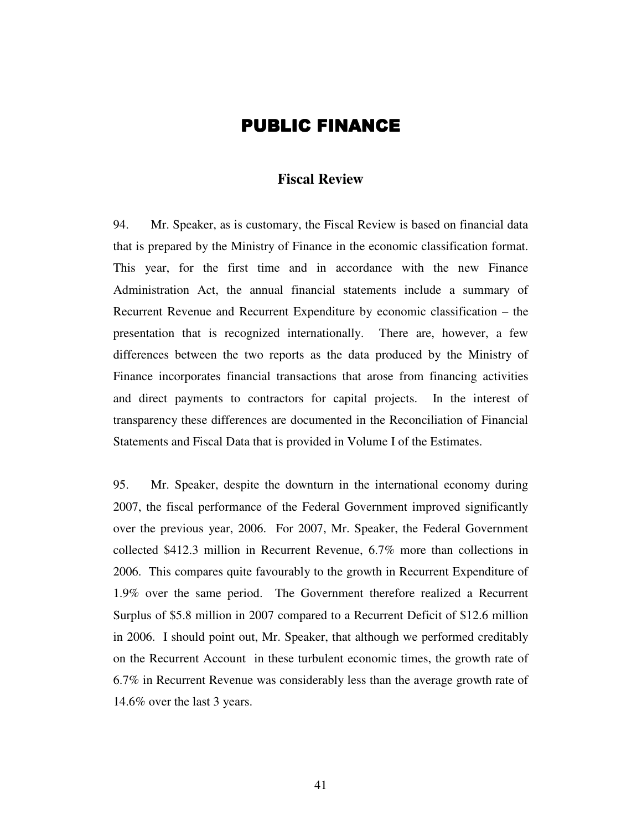# **PUBLIC FINANCE**

### **Fiscal Review**

94. Mr. Speaker, as is customary, the Fiscal Review is based on financial data that is prepared by the Ministry of Finance in the economic classification format. This year, for the first time and in accordance with the new Finance Administration Act, the annual financial statements include a summary of Recurrent Revenue and Recurrent Expenditure by economic classification – the presentation that is recognized internationally. There are, however, a few differences between the two reports as the data produced by the Ministry of Finance incorporates financial transactions that arose from financing activities and direct payments to contractors for capital projects. In the interest of transparency these differences are documented in the Reconciliation of Financial Statements and Fiscal Data that is provided in Volume I of the Estimates.

95. Mr. Speaker, despite the downturn in the international economy during 2007, the fiscal performance of the Federal Government improved significantly over the previous year, 2006. For 2007, Mr. Speaker, the Federal Government collected \$412.3 million in Recurrent Revenue, 6.7% more than collections in 2006. This compares quite favourably to the growth in Recurrent Expenditure of 1.9% over the same period. The Government therefore realized a Recurrent Surplus of \$5.8 million in 2007 compared to a Recurrent Deficit of \$12.6 million in 2006. I should point out, Mr. Speaker, that although we performed creditably on the Recurrent Account in these turbulent economic times, the growth rate of 6.7% in Recurrent Revenue was considerably less than the average growth rate of 14.6% over the last 3 years.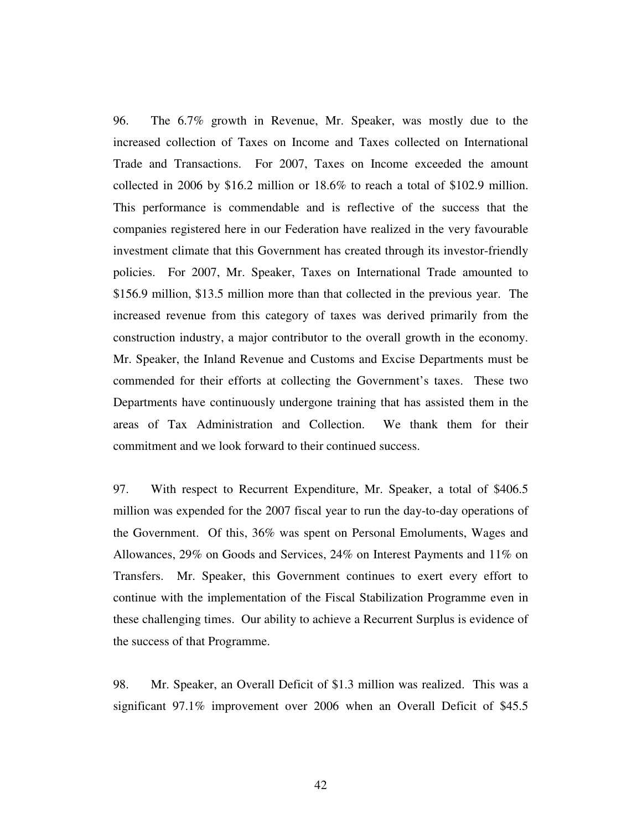96. The 6.7% growth in Revenue, Mr. Speaker, was mostly due to the increased collection of Taxes on Income and Taxes collected on International Trade and Transactions. For 2007, Taxes on Income exceeded the amount collected in 2006 by \$16.2 million or 18.6% to reach a total of \$102.9 million. This performance is commendable and is reflective of the success that the companies registered here in our Federation have realized in the very favourable investment climate that this Government has created through its investor-friendly policies. For 2007, Mr. Speaker, Taxes on International Trade amounted to \$156.9 million, \$13.5 million more than that collected in the previous year. The increased revenue from this category of taxes was derived primarily from the construction industry, a major contributor to the overall growth in the economy. Mr. Speaker, the Inland Revenue and Customs and Excise Departments must be commended for their efforts at collecting the Government's taxes. These two Departments have continuously undergone training that has assisted them in the areas of Tax Administration and Collection. We thank them for their commitment and we look forward to their continued success.

97. With respect to Recurrent Expenditure, Mr. Speaker, a total of \$406.5 million was expended for the 2007 fiscal year to run the day-to-day operations of the Government. Of this, 36% was spent on Personal Emoluments, Wages and Allowances, 29% on Goods and Services, 24% on Interest Payments and 11% on Transfers. Mr. Speaker, this Government continues to exert every effort to continue with the implementation of the Fiscal Stabilization Programme even in these challenging times. Our ability to achieve a Recurrent Surplus is evidence of the success of that Programme.

98. Mr. Speaker, an Overall Deficit of \$1.3 million was realized. This was a significant 97.1% improvement over 2006 when an Overall Deficit of \$45.5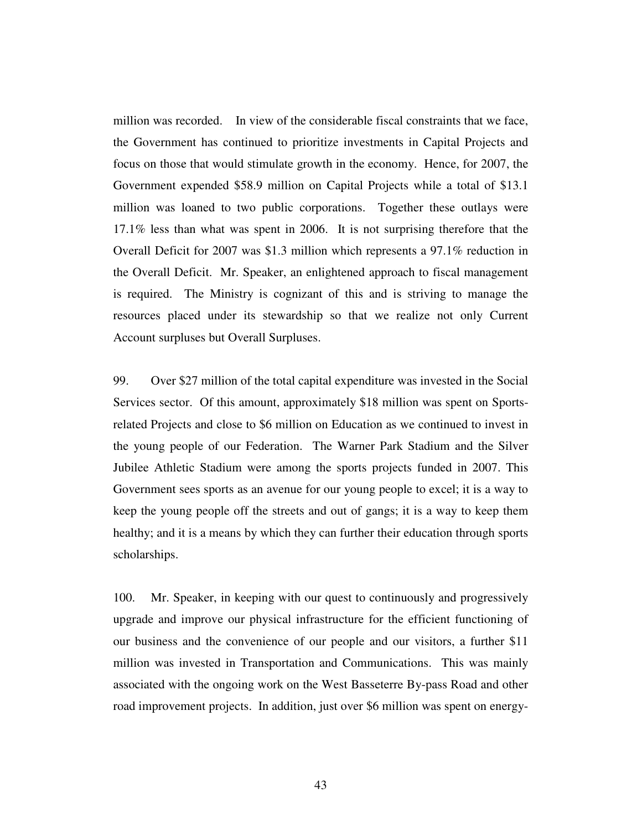million was recorded. In view of the considerable fiscal constraints that we face, the Government has continued to prioritize investments in Capital Projects and focus on those that would stimulate growth in the economy. Hence, for 2007, the Government expended \$58.9 million on Capital Projects while a total of \$13.1 million was loaned to two public corporations. Together these outlays were 17.1% less than what was spent in 2006. It is not surprising therefore that the Overall Deficit for 2007 was \$1.3 million which represents a 97.1% reduction in the Overall Deficit. Mr. Speaker, an enlightened approach to fiscal management is required. The Ministry is cognizant of this and is striving to manage the resources placed under its stewardship so that we realize not only Current Account surpluses but Overall Surpluses.

99. Over \$27 million of the total capital expenditure was invested in the Social Services sector. Of this amount, approximately \$18 million was spent on Sportsrelated Projects and close to \$6 million on Education as we continued to invest in the young people of our Federation. The Warner Park Stadium and the Silver Jubilee Athletic Stadium were among the sports projects funded in 2007. This Government sees sports as an avenue for our young people to excel; it is a way to keep the young people off the streets and out of gangs; it is a way to keep them healthy; and it is a means by which they can further their education through sports scholarships.

100. Mr. Speaker, in keeping with our quest to continuously and progressively upgrade and improve our physical infrastructure for the efficient functioning of our business and the convenience of our people and our visitors, a further \$11 million was invested in Transportation and Communications. This was mainly associated with the ongoing work on the West Basseterre By-pass Road and other road improvement projects. In addition, just over \$6 million was spent on energy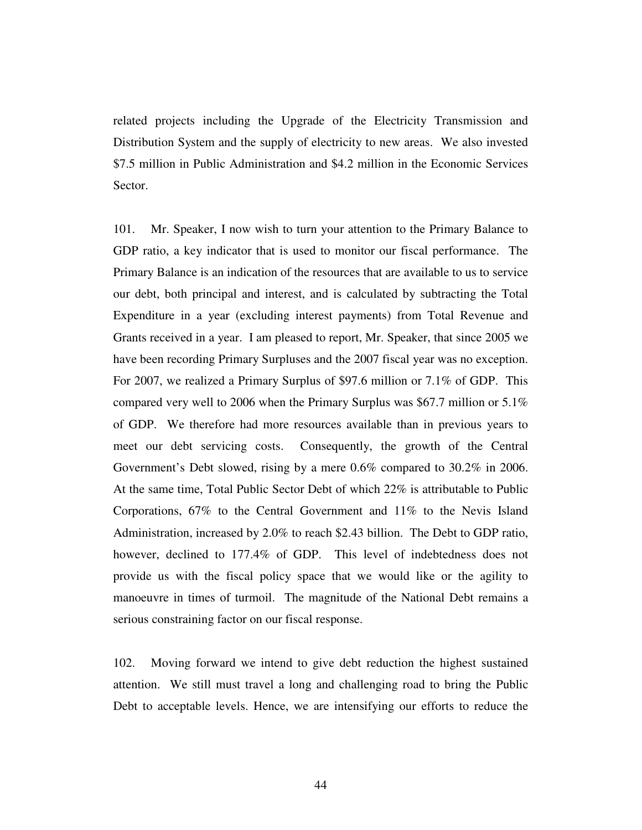related projects including the Upgrade of the Electricity Transmission and Distribution System and the supply of electricity to new areas. We also invested \$7.5 million in Public Administration and \$4.2 million in the Economic Services Sector.

101. Mr. Speaker, I now wish to turn your attention to the Primary Balance to GDP ratio, a key indicator that is used to monitor our fiscal performance. The Primary Balance is an indication of the resources that are available to us to service our debt, both principal and interest, and is calculated by subtracting the Total Expenditure in a year (excluding interest payments) from Total Revenue and Grants received in a year. I am pleased to report, Mr. Speaker, that since 2005 we have been recording Primary Surpluses and the 2007 fiscal year was no exception. For 2007, we realized a Primary Surplus of \$97.6 million or 7.1% of GDP. This compared very well to 2006 when the Primary Surplus was \$67.7 million or 5.1% of GDP. We therefore had more resources available than in previous years to meet our debt servicing costs. Consequently, the growth of the Central Government's Debt slowed, rising by a mere 0.6% compared to 30.2% in 2006. At the same time, Total Public Sector Debt of which 22% is attributable to Public Corporations, 67% to the Central Government and 11% to the Nevis Island Administration, increased by 2.0% to reach \$2.43 billion. The Debt to GDP ratio, however, declined to 177.4% of GDP. This level of indebtedness does not provide us with the fiscal policy space that we would like or the agility to manoeuvre in times of turmoil. The magnitude of the National Debt remains a serious constraining factor on our fiscal response.

102. Moving forward we intend to give debt reduction the highest sustained attention. We still must travel a long and challenging road to bring the Public Debt to acceptable levels. Hence, we are intensifying our efforts to reduce the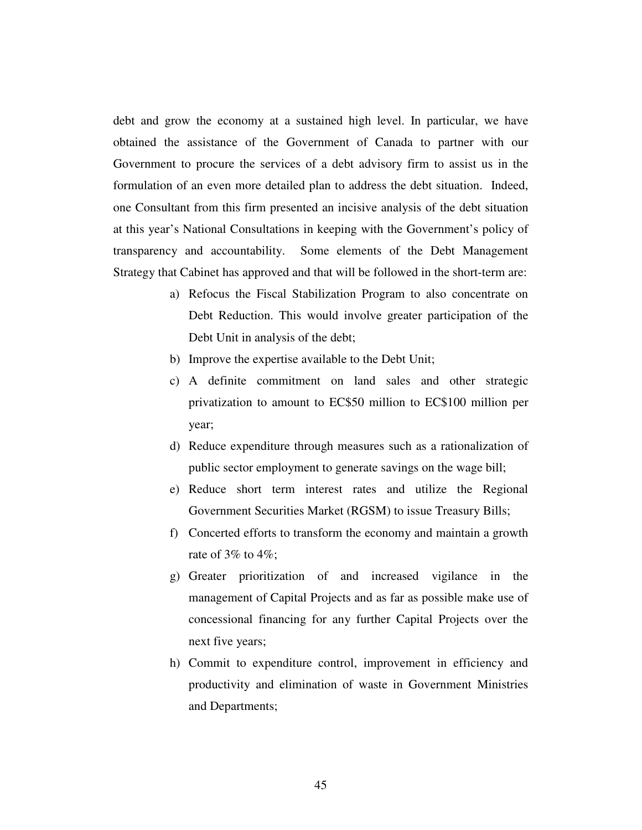debt and grow the economy at a sustained high level. In particular, we have obtained the assistance of the Government of Canada to partner with our Government to procure the services of a debt advisory firm to assist us in the formulation of an even more detailed plan to address the debt situation. Indeed, one Consultant from this firm presented an incisive analysis of the debt situation at this year's National Consultations in keeping with the Government's policy of transparency and accountability. Some elements of the Debt Management Strategy that Cabinet has approved and that will be followed in the short-term are:

- a) Refocus the Fiscal Stabilization Program to also concentrate on Debt Reduction. This would involve greater participation of the Debt Unit in analysis of the debt;
- b) Improve the expertise available to the Debt Unit;
- c) A definite commitment on land sales and other strategic privatization to amount to EC\$50 million to EC\$100 million per year;
- d) Reduce expenditure through measures such as a rationalization of public sector employment to generate savings on the wage bill;
- e) Reduce short term interest rates and utilize the Regional Government Securities Market (RGSM) to issue Treasury Bills;
- f) Concerted efforts to transform the economy and maintain a growth rate of  $3\%$  to  $4\%$ ;
- g) Greater prioritization of and increased vigilance in the management of Capital Projects and as far as possible make use of concessional financing for any further Capital Projects over the next five years;
- h) Commit to expenditure control, improvement in efficiency and productivity and elimination of waste in Government Ministries and Departments;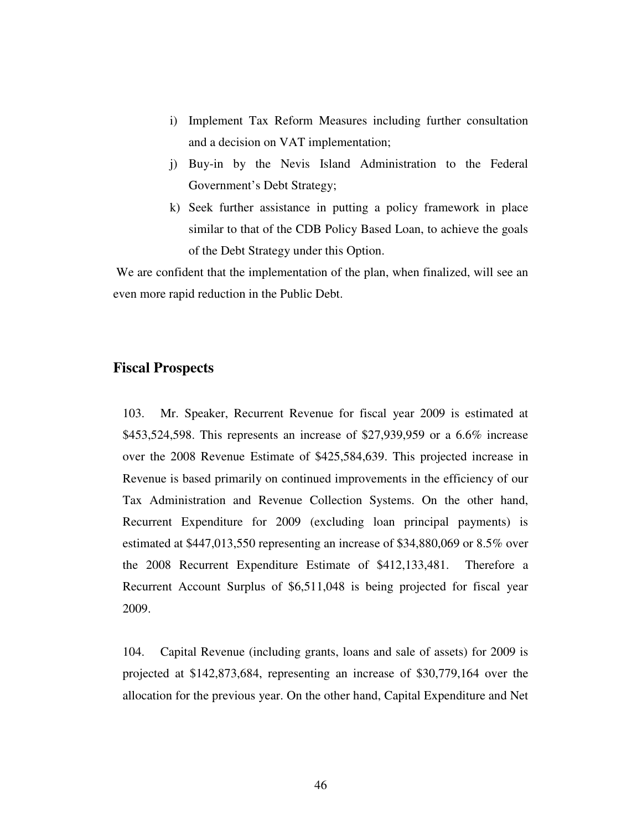- i) Implement Tax Reform Measures including further consultation and a decision on VAT implementation;
- j) Buy-in by the Nevis Island Administration to the Federal Government's Debt Strategy;
- k) Seek further assistance in putting a policy framework in place similar to that of the CDB Policy Based Loan, to achieve the goals of the Debt Strategy under this Option.

 We are confident that the implementation of the plan, when finalized, will see an even more rapid reduction in the Public Debt.

### **Fiscal Prospects**

103. Mr. Speaker, Recurrent Revenue for fiscal year 2009 is estimated at \$453,524,598. This represents an increase of \$27,939,959 or a 6.6% increase over the 2008 Revenue Estimate of \$425,584,639. This projected increase in Revenue is based primarily on continued improvements in the efficiency of our Tax Administration and Revenue Collection Systems. On the other hand, Recurrent Expenditure for 2009 (excluding loan principal payments) is estimated at \$447,013,550 representing an increase of \$34,880,069 or 8.5% over the 2008 Recurrent Expenditure Estimate of \$412,133,481. Therefore a Recurrent Account Surplus of \$6,511,048 is being projected for fiscal year 2009.

104. Capital Revenue (including grants, loans and sale of assets) for 2009 is projected at \$142,873,684, representing an increase of \$30,779,164 over the allocation for the previous year. On the other hand, Capital Expenditure and Net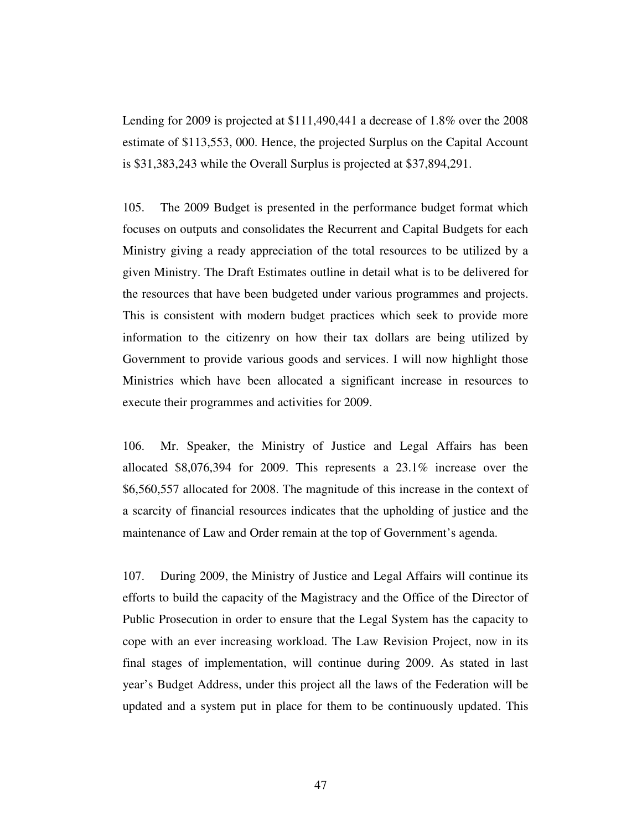Lending for 2009 is projected at \$111,490,441 a decrease of 1.8% over the 2008 estimate of \$113,553, 000. Hence, the projected Surplus on the Capital Account is \$31,383,243 while the Overall Surplus is projected at \$37,894,291.

105. The 2009 Budget is presented in the performance budget format which focuses on outputs and consolidates the Recurrent and Capital Budgets for each Ministry giving a ready appreciation of the total resources to be utilized by a given Ministry. The Draft Estimates outline in detail what is to be delivered for the resources that have been budgeted under various programmes and projects. This is consistent with modern budget practices which seek to provide more information to the citizenry on how their tax dollars are being utilized by Government to provide various goods and services. I will now highlight those Ministries which have been allocated a significant increase in resources to execute their programmes and activities for 2009.

106. Mr. Speaker, the Ministry of Justice and Legal Affairs has been allocated \$8,076,394 for 2009. This represents a 23.1% increase over the \$6,560,557 allocated for 2008. The magnitude of this increase in the context of a scarcity of financial resources indicates that the upholding of justice and the maintenance of Law and Order remain at the top of Government's agenda.

107. During 2009, the Ministry of Justice and Legal Affairs will continue its efforts to build the capacity of the Magistracy and the Office of the Director of Public Prosecution in order to ensure that the Legal System has the capacity to cope with an ever increasing workload. The Law Revision Project, now in its final stages of implementation, will continue during 2009. As stated in last year's Budget Address, under this project all the laws of the Federation will be updated and a system put in place for them to be continuously updated. This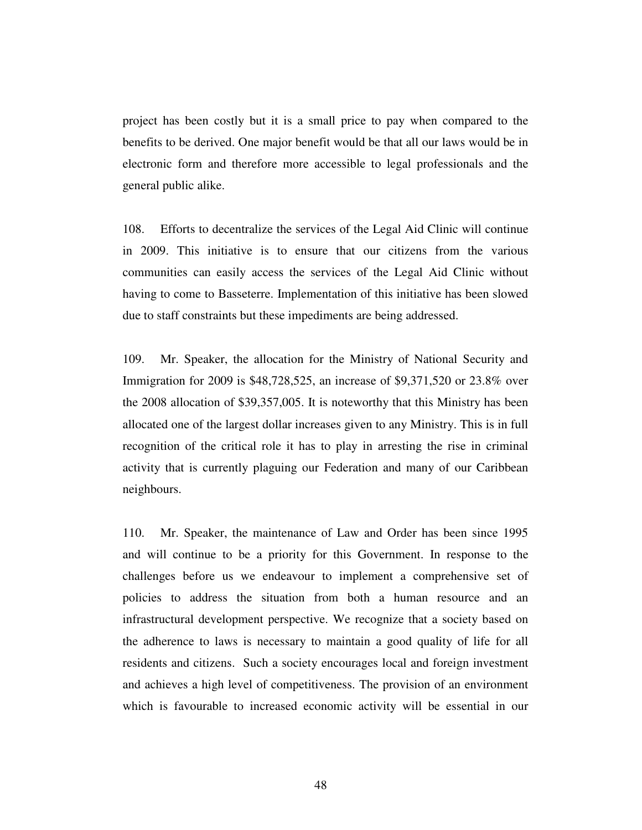project has been costly but it is a small price to pay when compared to the benefits to be derived. One major benefit would be that all our laws would be in electronic form and therefore more accessible to legal professionals and the general public alike.

108. Efforts to decentralize the services of the Legal Aid Clinic will continue in 2009. This initiative is to ensure that our citizens from the various communities can easily access the services of the Legal Aid Clinic without having to come to Basseterre. Implementation of this initiative has been slowed due to staff constraints but these impediments are being addressed.

109. Mr. Speaker, the allocation for the Ministry of National Security and Immigration for 2009 is \$48,728,525, an increase of \$9,371,520 or 23.8% over the 2008 allocation of \$39,357,005. It is noteworthy that this Ministry has been allocated one of the largest dollar increases given to any Ministry. This is in full recognition of the critical role it has to play in arresting the rise in criminal activity that is currently plaguing our Federation and many of our Caribbean neighbours.

110. Mr. Speaker, the maintenance of Law and Order has been since 1995 and will continue to be a priority for this Government. In response to the challenges before us we endeavour to implement a comprehensive set of policies to address the situation from both a human resource and an infrastructural development perspective. We recognize that a society based on the adherence to laws is necessary to maintain a good quality of life for all residents and citizens. Such a society encourages local and foreign investment and achieves a high level of competitiveness. The provision of an environment which is favourable to increased economic activity will be essential in our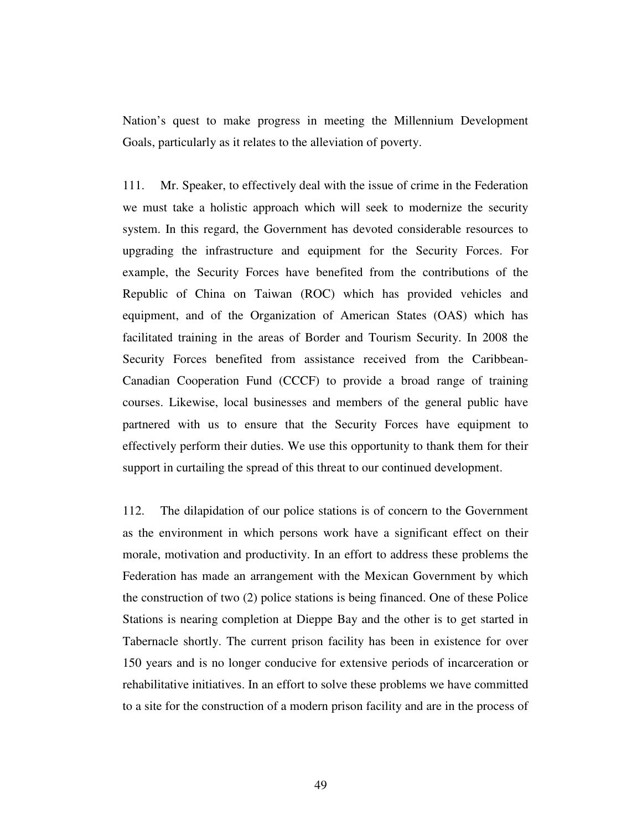Nation's quest to make progress in meeting the Millennium Development Goals, particularly as it relates to the alleviation of poverty.

111. Mr. Speaker, to effectively deal with the issue of crime in the Federation we must take a holistic approach which will seek to modernize the security system. In this regard, the Government has devoted considerable resources to upgrading the infrastructure and equipment for the Security Forces. For example, the Security Forces have benefited from the contributions of the Republic of China on Taiwan (ROC) which has provided vehicles and equipment, and of the Organization of American States (OAS) which has facilitated training in the areas of Border and Tourism Security. In 2008 the Security Forces benefited from assistance received from the Caribbean-Canadian Cooperation Fund (CCCF) to provide a broad range of training courses. Likewise, local businesses and members of the general public have partnered with us to ensure that the Security Forces have equipment to effectively perform their duties. We use this opportunity to thank them for their support in curtailing the spread of this threat to our continued development.

112. The dilapidation of our police stations is of concern to the Government as the environment in which persons work have a significant effect on their morale, motivation and productivity. In an effort to address these problems the Federation has made an arrangement with the Mexican Government by which the construction of two (2) police stations is being financed. One of these Police Stations is nearing completion at Dieppe Bay and the other is to get started in Tabernacle shortly. The current prison facility has been in existence for over 150 years and is no longer conducive for extensive periods of incarceration or rehabilitative initiatives. In an effort to solve these problems we have committed to a site for the construction of a modern prison facility and are in the process of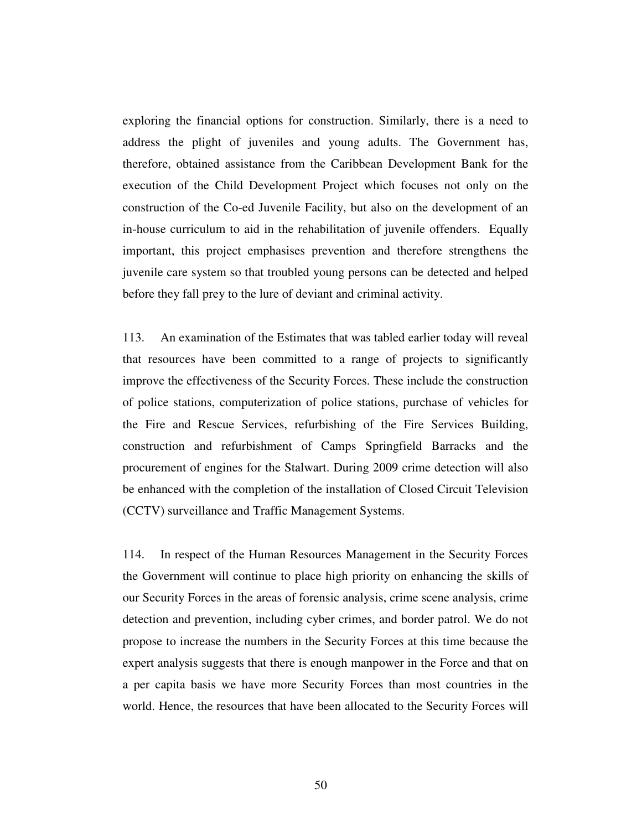exploring the financial options for construction. Similarly, there is a need to address the plight of juveniles and young adults. The Government has, therefore, obtained assistance from the Caribbean Development Bank for the execution of the Child Development Project which focuses not only on the construction of the Co-ed Juvenile Facility, but also on the development of an in-house curriculum to aid in the rehabilitation of juvenile offenders. Equally important, this project emphasises prevention and therefore strengthens the juvenile care system so that troubled young persons can be detected and helped before they fall prey to the lure of deviant and criminal activity.

113. An examination of the Estimates that was tabled earlier today will reveal that resources have been committed to a range of projects to significantly improve the effectiveness of the Security Forces. These include the construction of police stations, computerization of police stations, purchase of vehicles for the Fire and Rescue Services, refurbishing of the Fire Services Building, construction and refurbishment of Camps Springfield Barracks and the procurement of engines for the Stalwart. During 2009 crime detection will also be enhanced with the completion of the installation of Closed Circuit Television (CCTV) surveillance and Traffic Management Systems.

114. In respect of the Human Resources Management in the Security Forces the Government will continue to place high priority on enhancing the skills of our Security Forces in the areas of forensic analysis, crime scene analysis, crime detection and prevention, including cyber crimes, and border patrol. We do not propose to increase the numbers in the Security Forces at this time because the expert analysis suggests that there is enough manpower in the Force and that on a per capita basis we have more Security Forces than most countries in the world. Hence, the resources that have been allocated to the Security Forces will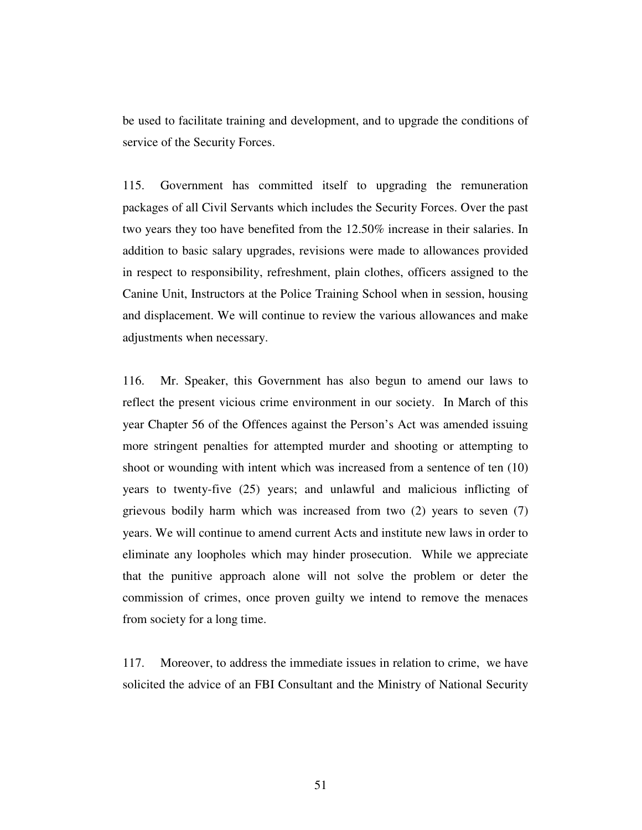be used to facilitate training and development, and to upgrade the conditions of service of the Security Forces.

115. Government has committed itself to upgrading the remuneration packages of all Civil Servants which includes the Security Forces. Over the past two years they too have benefited from the 12.50% increase in their salaries. In addition to basic salary upgrades, revisions were made to allowances provided in respect to responsibility, refreshment, plain clothes, officers assigned to the Canine Unit, Instructors at the Police Training School when in session, housing and displacement. We will continue to review the various allowances and make adjustments when necessary.

116. Mr. Speaker, this Government has also begun to amend our laws to reflect the present vicious crime environment in our society. In March of this year Chapter 56 of the Offences against the Person's Act was amended issuing more stringent penalties for attempted murder and shooting or attempting to shoot or wounding with intent which was increased from a sentence of ten (10) years to twenty-five (25) years; and unlawful and malicious inflicting of grievous bodily harm which was increased from two (2) years to seven (7) years. We will continue to amend current Acts and institute new laws in order to eliminate any loopholes which may hinder prosecution. While we appreciate that the punitive approach alone will not solve the problem or deter the commission of crimes, once proven guilty we intend to remove the menaces from society for a long time.

117. Moreover, to address the immediate issues in relation to crime, we have solicited the advice of an FBI Consultant and the Ministry of National Security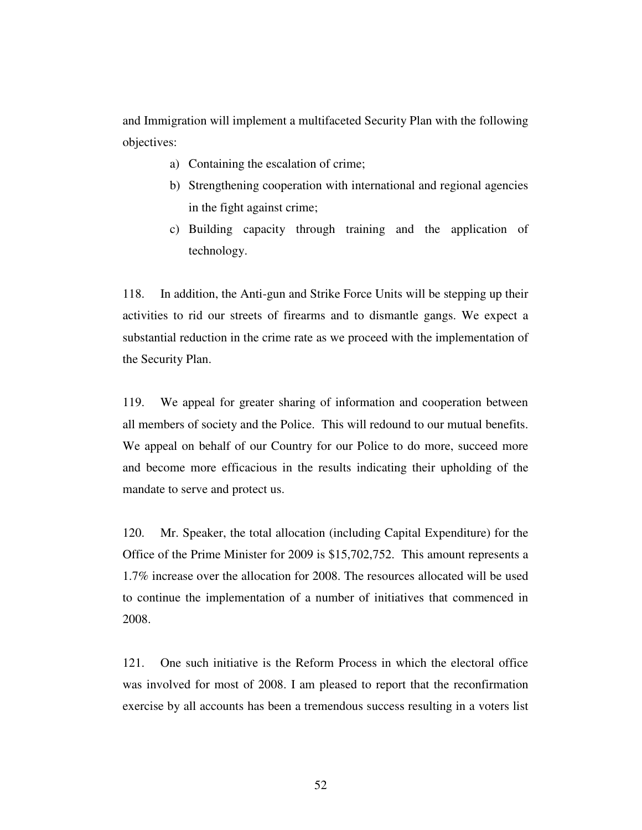and Immigration will implement a multifaceted Security Plan with the following objectives:

- a) Containing the escalation of crime;
- b) Strengthening cooperation with international and regional agencies in the fight against crime;
- c) Building capacity through training and the application of technology.

118. In addition, the Anti-gun and Strike Force Units will be stepping up their activities to rid our streets of firearms and to dismantle gangs. We expect a substantial reduction in the crime rate as we proceed with the implementation of the Security Plan.

119. We appeal for greater sharing of information and cooperation between all members of society and the Police. This will redound to our mutual benefits. We appeal on behalf of our Country for our Police to do more, succeed more and become more efficacious in the results indicating their upholding of the mandate to serve and protect us.

120. Mr. Speaker, the total allocation (including Capital Expenditure) for the Office of the Prime Minister for 2009 is \$15,702,752. This amount represents a 1.7% increase over the allocation for 2008. The resources allocated will be used to continue the implementation of a number of initiatives that commenced in 2008.

121. One such initiative is the Reform Process in which the electoral office was involved for most of 2008. I am pleased to report that the reconfirmation exercise by all accounts has been a tremendous success resulting in a voters list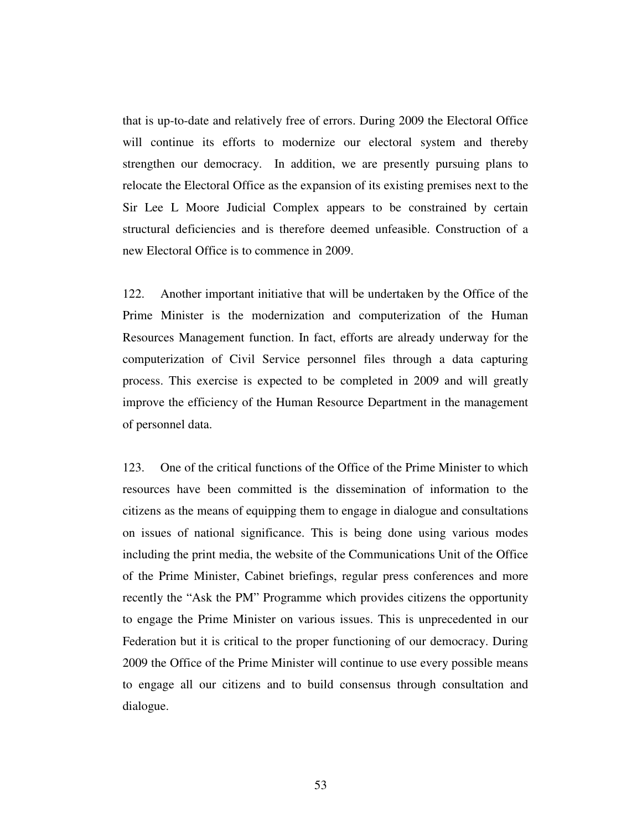that is up-to-date and relatively free of errors. During 2009 the Electoral Office will continue its efforts to modernize our electoral system and thereby strengthen our democracy. In addition, we are presently pursuing plans to relocate the Electoral Office as the expansion of its existing premises next to the Sir Lee L Moore Judicial Complex appears to be constrained by certain structural deficiencies and is therefore deemed unfeasible. Construction of a new Electoral Office is to commence in 2009.

122. Another important initiative that will be undertaken by the Office of the Prime Minister is the modernization and computerization of the Human Resources Management function. In fact, efforts are already underway for the computerization of Civil Service personnel files through a data capturing process. This exercise is expected to be completed in 2009 and will greatly improve the efficiency of the Human Resource Department in the management of personnel data.

123. One of the critical functions of the Office of the Prime Minister to which resources have been committed is the dissemination of information to the citizens as the means of equipping them to engage in dialogue and consultations on issues of national significance. This is being done using various modes including the print media, the website of the Communications Unit of the Office of the Prime Minister, Cabinet briefings, regular press conferences and more recently the "Ask the PM" Programme which provides citizens the opportunity to engage the Prime Minister on various issues. This is unprecedented in our Federation but it is critical to the proper functioning of our democracy. During 2009 the Office of the Prime Minister will continue to use every possible means to engage all our citizens and to build consensus through consultation and dialogue.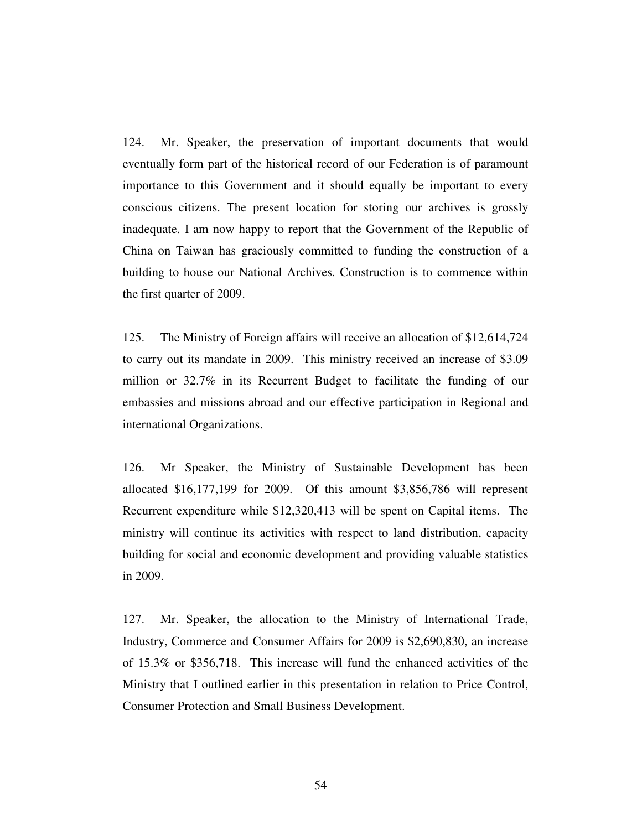124. Mr. Speaker, the preservation of important documents that would eventually form part of the historical record of our Federation is of paramount importance to this Government and it should equally be important to every conscious citizens. The present location for storing our archives is grossly inadequate. I am now happy to report that the Government of the Republic of China on Taiwan has graciously committed to funding the construction of a building to house our National Archives. Construction is to commence within the first quarter of 2009.

125. The Ministry of Foreign affairs will receive an allocation of \$12,614,724 to carry out its mandate in 2009. This ministry received an increase of \$3.09 million or 32.7% in its Recurrent Budget to facilitate the funding of our embassies and missions abroad and our effective participation in Regional and international Organizations.

126. Mr Speaker, the Ministry of Sustainable Development has been allocated \$16,177,199 for 2009. Of this amount \$3,856,786 will represent Recurrent expenditure while \$12,320,413 will be spent on Capital items. The ministry will continue its activities with respect to land distribution, capacity building for social and economic development and providing valuable statistics in 2009.

127. Mr. Speaker, the allocation to the Ministry of International Trade, Industry, Commerce and Consumer Affairs for 2009 is \$2,690,830, an increase of 15.3% or \$356,718. This increase will fund the enhanced activities of the Ministry that I outlined earlier in this presentation in relation to Price Control, Consumer Protection and Small Business Development.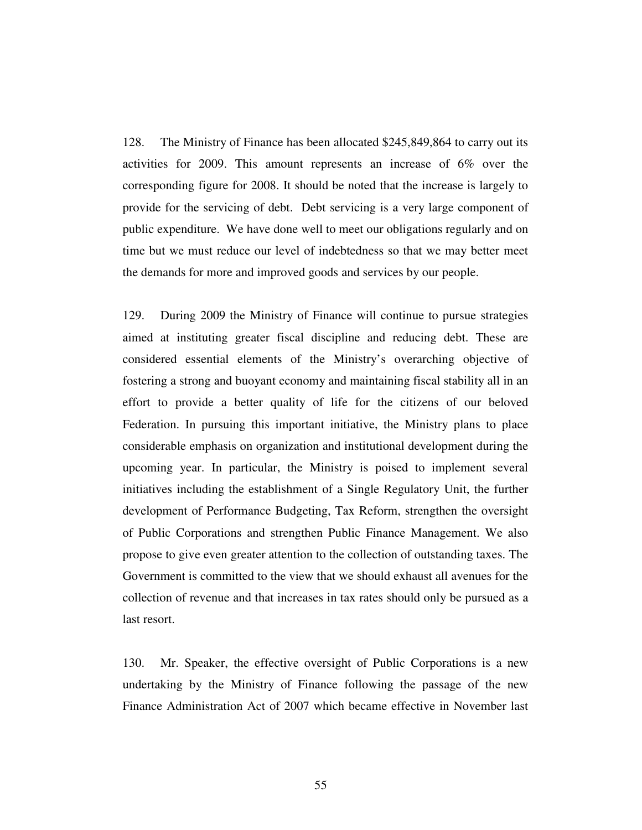128. The Ministry of Finance has been allocated \$245,849,864 to carry out its activities for 2009. This amount represents an increase of 6% over the corresponding figure for 2008. It should be noted that the increase is largely to provide for the servicing of debt. Debt servicing is a very large component of public expenditure. We have done well to meet our obligations regularly and on time but we must reduce our level of indebtedness so that we may better meet the demands for more and improved goods and services by our people.

129. During 2009 the Ministry of Finance will continue to pursue strategies aimed at instituting greater fiscal discipline and reducing debt. These are considered essential elements of the Ministry's overarching objective of fostering a strong and buoyant economy and maintaining fiscal stability all in an effort to provide a better quality of life for the citizens of our beloved Federation. In pursuing this important initiative, the Ministry plans to place considerable emphasis on organization and institutional development during the upcoming year. In particular, the Ministry is poised to implement several initiatives including the establishment of a Single Regulatory Unit, the further development of Performance Budgeting, Tax Reform, strengthen the oversight of Public Corporations and strengthen Public Finance Management. We also propose to give even greater attention to the collection of outstanding taxes. The Government is committed to the view that we should exhaust all avenues for the collection of revenue and that increases in tax rates should only be pursued as a last resort.

130. Mr. Speaker, the effective oversight of Public Corporations is a new undertaking by the Ministry of Finance following the passage of the new Finance Administration Act of 2007 which became effective in November last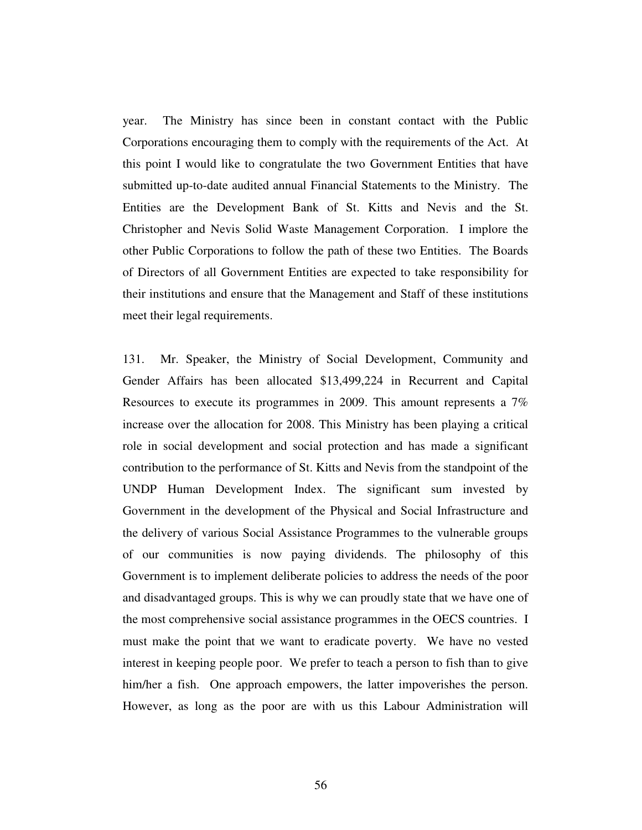year. The Ministry has since been in constant contact with the Public Corporations encouraging them to comply with the requirements of the Act. At this point I would like to congratulate the two Government Entities that have submitted up-to-date audited annual Financial Statements to the Ministry. The Entities are the Development Bank of St. Kitts and Nevis and the St. Christopher and Nevis Solid Waste Management Corporation. I implore the other Public Corporations to follow the path of these two Entities. The Boards of Directors of all Government Entities are expected to take responsibility for their institutions and ensure that the Management and Staff of these institutions meet their legal requirements.

131. Mr. Speaker, the Ministry of Social Development, Community and Gender Affairs has been allocated \$13,499,224 in Recurrent and Capital Resources to execute its programmes in 2009. This amount represents a 7% increase over the allocation for 2008. This Ministry has been playing a critical role in social development and social protection and has made a significant contribution to the performance of St. Kitts and Nevis from the standpoint of the UNDP Human Development Index. The significant sum invested by Government in the development of the Physical and Social Infrastructure and the delivery of various Social Assistance Programmes to the vulnerable groups of our communities is now paying dividends. The philosophy of this Government is to implement deliberate policies to address the needs of the poor and disadvantaged groups. This is why we can proudly state that we have one of the most comprehensive social assistance programmes in the OECS countries. I must make the point that we want to eradicate poverty. We have no vested interest in keeping people poor. We prefer to teach a person to fish than to give him/her a fish. One approach empowers, the latter impoverishes the person. However, as long as the poor are with us this Labour Administration will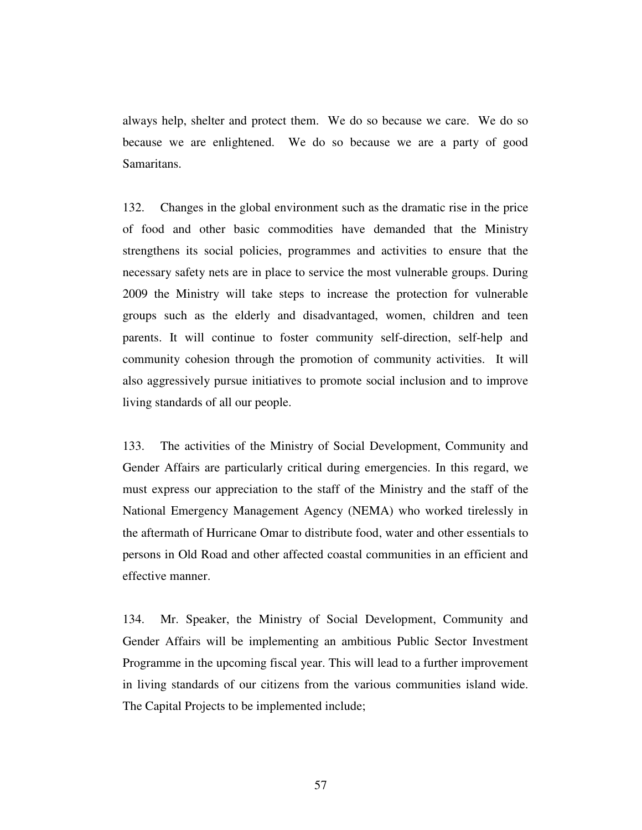always help, shelter and protect them. We do so because we care. We do so because we are enlightened. We do so because we are a party of good Samaritans.

132. Changes in the global environment such as the dramatic rise in the price of food and other basic commodities have demanded that the Ministry strengthens its social policies, programmes and activities to ensure that the necessary safety nets are in place to service the most vulnerable groups. During 2009 the Ministry will take steps to increase the protection for vulnerable groups such as the elderly and disadvantaged, women, children and teen parents. It will continue to foster community self-direction, self-help and community cohesion through the promotion of community activities. It will also aggressively pursue initiatives to promote social inclusion and to improve living standards of all our people.

133. The activities of the Ministry of Social Development, Community and Gender Affairs are particularly critical during emergencies. In this regard, we must express our appreciation to the staff of the Ministry and the staff of the National Emergency Management Agency (NEMA) who worked tirelessly in the aftermath of Hurricane Omar to distribute food, water and other essentials to persons in Old Road and other affected coastal communities in an efficient and effective manner.

134. Mr. Speaker, the Ministry of Social Development, Community and Gender Affairs will be implementing an ambitious Public Sector Investment Programme in the upcoming fiscal year. This will lead to a further improvement in living standards of our citizens from the various communities island wide. The Capital Projects to be implemented include;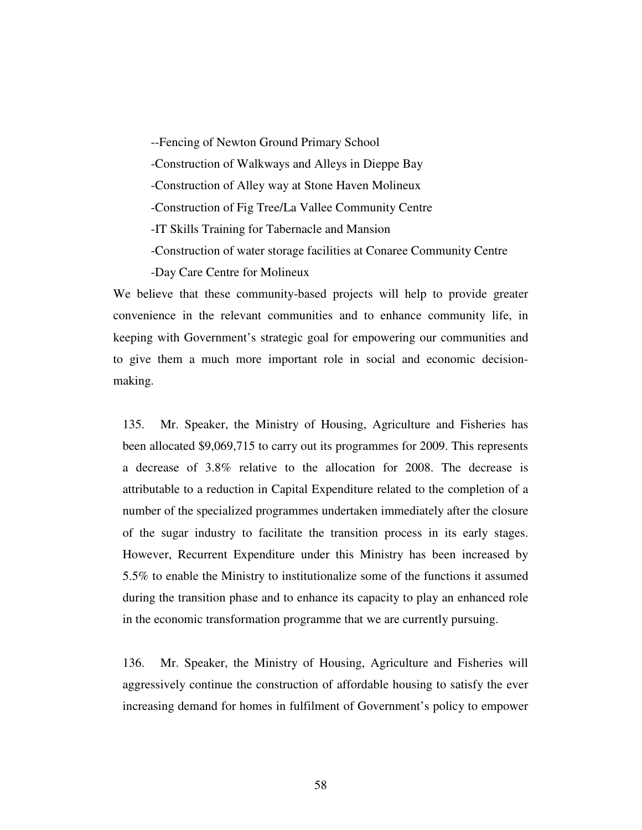--Fencing of Newton Ground Primary School -Construction of Walkways and Alleys in Dieppe Bay -Construction of Alley way at Stone Haven Molineux -Construction of Fig Tree/La Vallee Community Centre -IT Skills Training for Tabernacle and Mansion -Construction of water storage facilities at Conaree Community Centre -Day Care Centre for Molineux

We believe that these community-based projects will help to provide greater convenience in the relevant communities and to enhance community life, in keeping with Government's strategic goal for empowering our communities and to give them a much more important role in social and economic decisionmaking.

135. Mr. Speaker, the Ministry of Housing, Agriculture and Fisheries has been allocated \$9,069,715 to carry out its programmes for 2009. This represents a decrease of 3.8% relative to the allocation for 2008. The decrease is attributable to a reduction in Capital Expenditure related to the completion of a number of the specialized programmes undertaken immediately after the closure of the sugar industry to facilitate the transition process in its early stages. However, Recurrent Expenditure under this Ministry has been increased by 5.5% to enable the Ministry to institutionalize some of the functions it assumed during the transition phase and to enhance its capacity to play an enhanced role in the economic transformation programme that we are currently pursuing.

136. Mr. Speaker, the Ministry of Housing, Agriculture and Fisheries will aggressively continue the construction of affordable housing to satisfy the ever increasing demand for homes in fulfilment of Government's policy to empower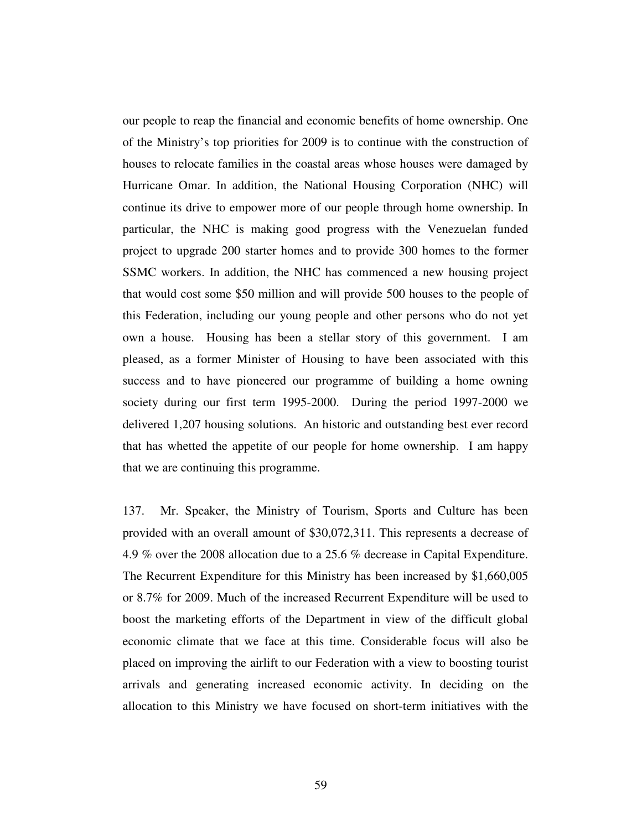our people to reap the financial and economic benefits of home ownership. One of the Ministry's top priorities for 2009 is to continue with the construction of houses to relocate families in the coastal areas whose houses were damaged by Hurricane Omar. In addition, the National Housing Corporation (NHC) will continue its drive to empower more of our people through home ownership. In particular, the NHC is making good progress with the Venezuelan funded project to upgrade 200 starter homes and to provide 300 homes to the former SSMC workers. In addition, the NHC has commenced a new housing project that would cost some \$50 million and will provide 500 houses to the people of this Federation, including our young people and other persons who do not yet own a house. Housing has been a stellar story of this government. I am pleased, as a former Minister of Housing to have been associated with this success and to have pioneered our programme of building a home owning society during our first term 1995-2000. During the period 1997-2000 we delivered 1,207 housing solutions. An historic and outstanding best ever record that has whetted the appetite of our people for home ownership. I am happy that we are continuing this programme.

137. Mr. Speaker, the Ministry of Tourism, Sports and Culture has been provided with an overall amount of \$30,072,311. This represents a decrease of 4.9 % over the 2008 allocation due to a 25.6 % decrease in Capital Expenditure. The Recurrent Expenditure for this Ministry has been increased by \$1,660,005 or 8.7% for 2009. Much of the increased Recurrent Expenditure will be used to boost the marketing efforts of the Department in view of the difficult global economic climate that we face at this time. Considerable focus will also be placed on improving the airlift to our Federation with a view to boosting tourist arrivals and generating increased economic activity. In deciding on the allocation to this Ministry we have focused on short-term initiatives with the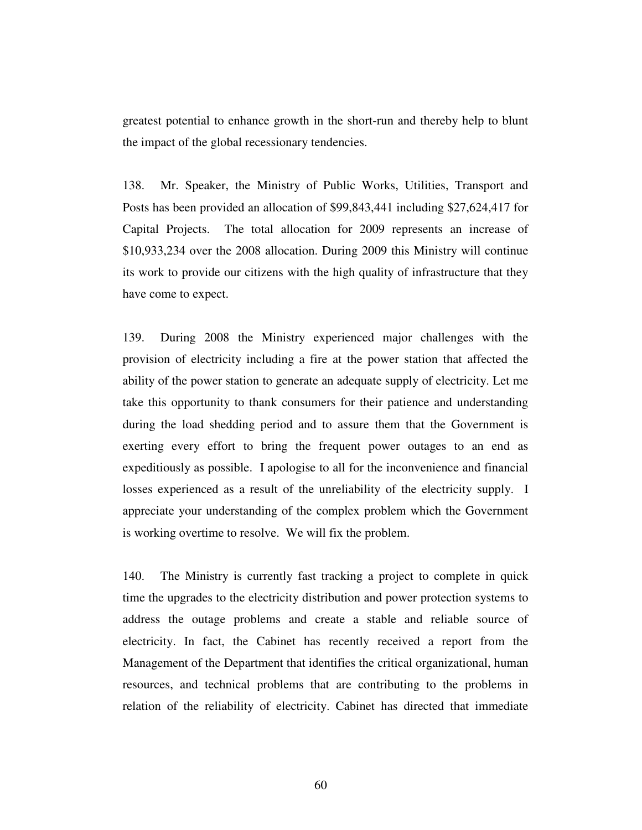greatest potential to enhance growth in the short-run and thereby help to blunt the impact of the global recessionary tendencies.

138. Mr. Speaker, the Ministry of Public Works, Utilities, Transport and Posts has been provided an allocation of \$99,843,441 including \$27,624,417 for Capital Projects. The total allocation for 2009 represents an increase of \$10,933,234 over the 2008 allocation. During 2009 this Ministry will continue its work to provide our citizens with the high quality of infrastructure that they have come to expect.

139. During 2008 the Ministry experienced major challenges with the provision of electricity including a fire at the power station that affected the ability of the power station to generate an adequate supply of electricity. Let me take this opportunity to thank consumers for their patience and understanding during the load shedding period and to assure them that the Government is exerting every effort to bring the frequent power outages to an end as expeditiously as possible. I apologise to all for the inconvenience and financial losses experienced as a result of the unreliability of the electricity supply. I appreciate your understanding of the complex problem which the Government is working overtime to resolve. We will fix the problem.

140. The Ministry is currently fast tracking a project to complete in quick time the upgrades to the electricity distribution and power protection systems to address the outage problems and create a stable and reliable source of electricity. In fact, the Cabinet has recently received a report from the Management of the Department that identifies the critical organizational, human resources, and technical problems that are contributing to the problems in relation of the reliability of electricity. Cabinet has directed that immediate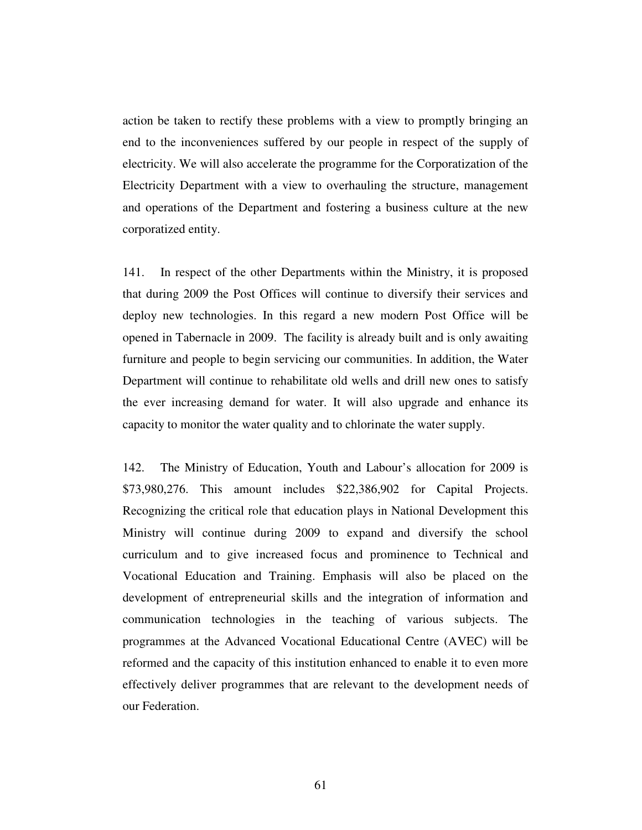action be taken to rectify these problems with a view to promptly bringing an end to the inconveniences suffered by our people in respect of the supply of electricity. We will also accelerate the programme for the Corporatization of the Electricity Department with a view to overhauling the structure, management and operations of the Department and fostering a business culture at the new corporatized entity.

141. In respect of the other Departments within the Ministry, it is proposed that during 2009 the Post Offices will continue to diversify their services and deploy new technologies. In this regard a new modern Post Office will be opened in Tabernacle in 2009. The facility is already built and is only awaiting furniture and people to begin servicing our communities. In addition, the Water Department will continue to rehabilitate old wells and drill new ones to satisfy the ever increasing demand for water. It will also upgrade and enhance its capacity to monitor the water quality and to chlorinate the water supply.

142. The Ministry of Education, Youth and Labour's allocation for 2009 is \$73,980,276. This amount includes \$22,386,902 for Capital Projects. Recognizing the critical role that education plays in National Development this Ministry will continue during 2009 to expand and diversify the school curriculum and to give increased focus and prominence to Technical and Vocational Education and Training. Emphasis will also be placed on the development of entrepreneurial skills and the integration of information and communication technologies in the teaching of various subjects. The programmes at the Advanced Vocational Educational Centre (AVEC) will be reformed and the capacity of this institution enhanced to enable it to even more effectively deliver programmes that are relevant to the development needs of our Federation.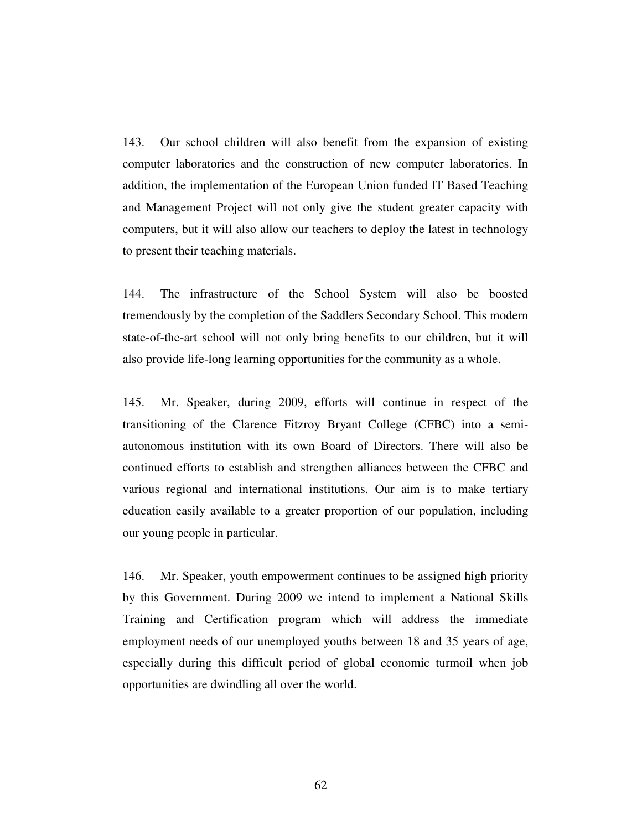143. Our school children will also benefit from the expansion of existing computer laboratories and the construction of new computer laboratories. In addition, the implementation of the European Union funded IT Based Teaching and Management Project will not only give the student greater capacity with computers, but it will also allow our teachers to deploy the latest in technology to present their teaching materials.

144. The infrastructure of the School System will also be boosted tremendously by the completion of the Saddlers Secondary School. This modern state-of-the-art school will not only bring benefits to our children, but it will also provide life-long learning opportunities for the community as a whole.

145. Mr. Speaker, during 2009, efforts will continue in respect of the transitioning of the Clarence Fitzroy Bryant College (CFBC) into a semiautonomous institution with its own Board of Directors. There will also be continued efforts to establish and strengthen alliances between the CFBC and various regional and international institutions. Our aim is to make tertiary education easily available to a greater proportion of our population, including our young people in particular.

146. Mr. Speaker, youth empowerment continues to be assigned high priority by this Government. During 2009 we intend to implement a National Skills Training and Certification program which will address the immediate employment needs of our unemployed youths between 18 and 35 years of age, especially during this difficult period of global economic turmoil when job opportunities are dwindling all over the world.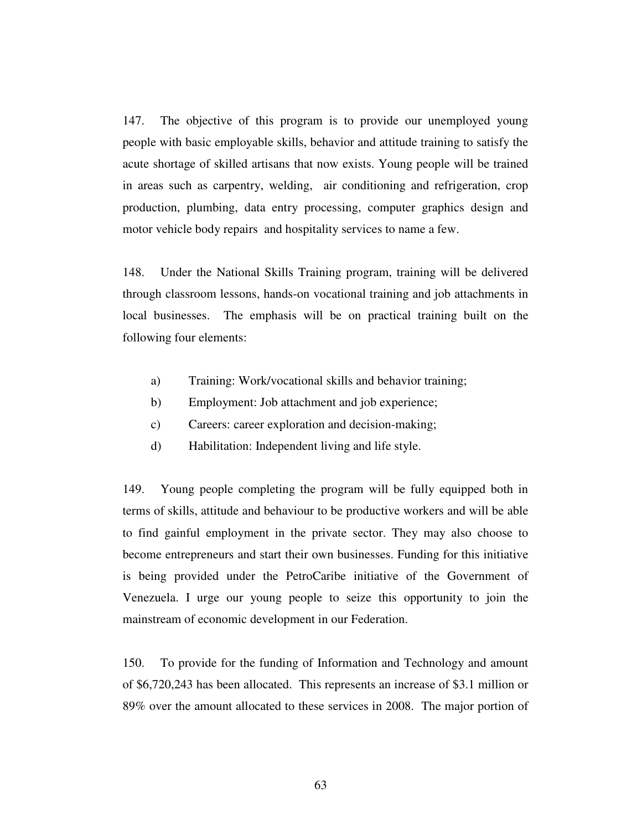147. The objective of this program is to provide our unemployed young people with basic employable skills, behavior and attitude training to satisfy the acute shortage of skilled artisans that now exists. Young people will be trained in areas such as carpentry, welding, air conditioning and refrigeration, crop production, plumbing, data entry processing, computer graphics design and motor vehicle body repairs and hospitality services to name a few.

148. Under the National Skills Training program, training will be delivered through classroom lessons, hands-on vocational training and job attachments in local businesses. The emphasis will be on practical training built on the following four elements:

- a) Training: Work/vocational skills and behavior training;
- b) Employment: Job attachment and job experience;
- c) Careers: career exploration and decision-making;
- d) Habilitation: Independent living and life style.

149. Young people completing the program will be fully equipped both in terms of skills, attitude and behaviour to be productive workers and will be able to find gainful employment in the private sector. They may also choose to become entrepreneurs and start their own businesses. Funding for this initiative is being provided under the PetroCaribe initiative of the Government of Venezuela. I urge our young people to seize this opportunity to join the mainstream of economic development in our Federation.

150. To provide for the funding of Information and Technology and amount of \$6,720,243 has been allocated. This represents an increase of \$3.1 million or 89% over the amount allocated to these services in 2008. The major portion of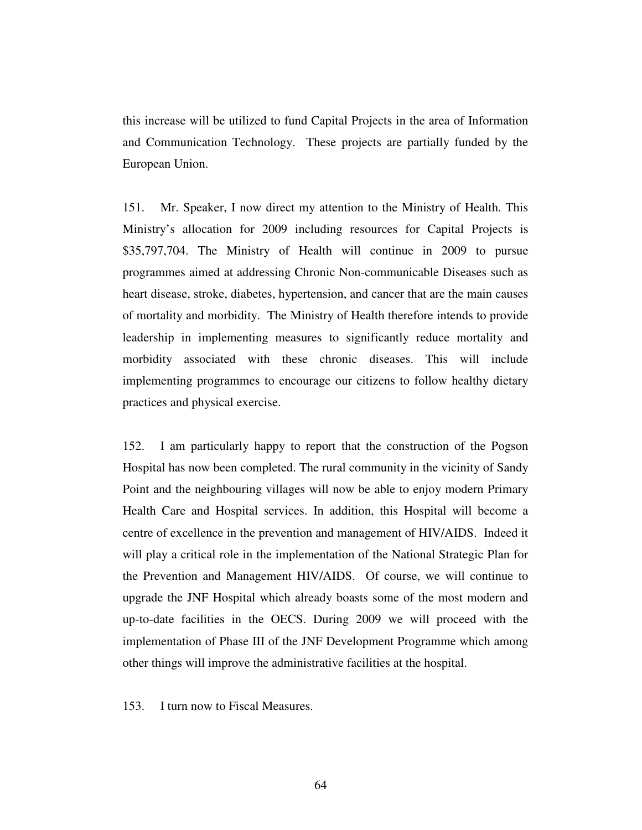this increase will be utilized to fund Capital Projects in the area of Information and Communication Technology. These projects are partially funded by the European Union.

151. Mr. Speaker, I now direct my attention to the Ministry of Health. This Ministry's allocation for 2009 including resources for Capital Projects is \$35,797,704. The Ministry of Health will continue in 2009 to pursue programmes aimed at addressing Chronic Non-communicable Diseases such as heart disease, stroke, diabetes, hypertension, and cancer that are the main causes of mortality and morbidity. The Ministry of Health therefore intends to provide leadership in implementing measures to significantly reduce mortality and morbidity associated with these chronic diseases. This will include implementing programmes to encourage our citizens to follow healthy dietary practices and physical exercise.

152. I am particularly happy to report that the construction of the Pogson Hospital has now been completed. The rural community in the vicinity of Sandy Point and the neighbouring villages will now be able to enjoy modern Primary Health Care and Hospital services. In addition, this Hospital will become a centre of excellence in the prevention and management of HIV/AIDS. Indeed it will play a critical role in the implementation of the National Strategic Plan for the Prevention and Management HIV/AIDS. Of course, we will continue to upgrade the JNF Hospital which already boasts some of the most modern and up-to-date facilities in the OECS. During 2009 we will proceed with the implementation of Phase III of the JNF Development Programme which among other things will improve the administrative facilities at the hospital.

153. I turn now to Fiscal Measures.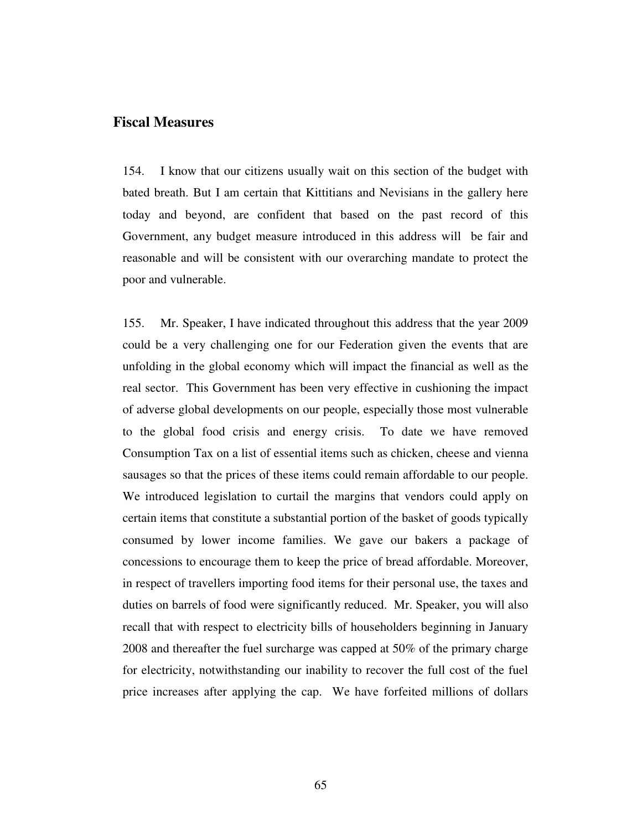## **Fiscal Measures**

154. I know that our citizens usually wait on this section of the budget with bated breath. But I am certain that Kittitians and Nevisians in the gallery here today and beyond, are confident that based on the past record of this Government, any budget measure introduced in this address will be fair and reasonable and will be consistent with our overarching mandate to protect the poor and vulnerable.

155. Mr. Speaker, I have indicated throughout this address that the year 2009 could be a very challenging one for our Federation given the events that are unfolding in the global economy which will impact the financial as well as the real sector. This Government has been very effective in cushioning the impact of adverse global developments on our people, especially those most vulnerable to the global food crisis and energy crisis. To date we have removed Consumption Tax on a list of essential items such as chicken, cheese and vienna sausages so that the prices of these items could remain affordable to our people. We introduced legislation to curtail the margins that vendors could apply on certain items that constitute a substantial portion of the basket of goods typically consumed by lower income families. We gave our bakers a package of concessions to encourage them to keep the price of bread affordable. Moreover, in respect of travellers importing food items for their personal use, the taxes and duties on barrels of food were significantly reduced. Mr. Speaker, you will also recall that with respect to electricity bills of householders beginning in January 2008 and thereafter the fuel surcharge was capped at 50% of the primary charge for electricity, notwithstanding our inability to recover the full cost of the fuel price increases after applying the cap. We have forfeited millions of dollars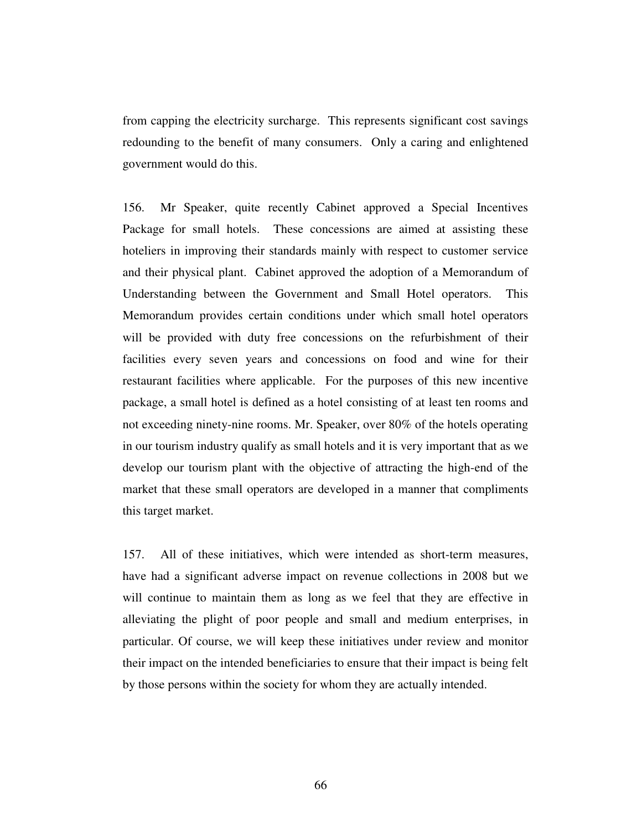from capping the electricity surcharge. This represents significant cost savings redounding to the benefit of many consumers. Only a caring and enlightened government would do this.

156. Mr Speaker, quite recently Cabinet approved a Special Incentives Package for small hotels. These concessions are aimed at assisting these hoteliers in improving their standards mainly with respect to customer service and their physical plant. Cabinet approved the adoption of a Memorandum of Understanding between the Government and Small Hotel operators. This Memorandum provides certain conditions under which small hotel operators will be provided with duty free concessions on the refurbishment of their facilities every seven years and concessions on food and wine for their restaurant facilities where applicable. For the purposes of this new incentive package, a small hotel is defined as a hotel consisting of at least ten rooms and not exceeding ninety-nine rooms. Mr. Speaker, over 80% of the hotels operating in our tourism industry qualify as small hotels and it is very important that as we develop our tourism plant with the objective of attracting the high-end of the market that these small operators are developed in a manner that compliments this target market.

157. All of these initiatives, which were intended as short-term measures, have had a significant adverse impact on revenue collections in 2008 but we will continue to maintain them as long as we feel that they are effective in alleviating the plight of poor people and small and medium enterprises, in particular. Of course, we will keep these initiatives under review and monitor their impact on the intended beneficiaries to ensure that their impact is being felt by those persons within the society for whom they are actually intended.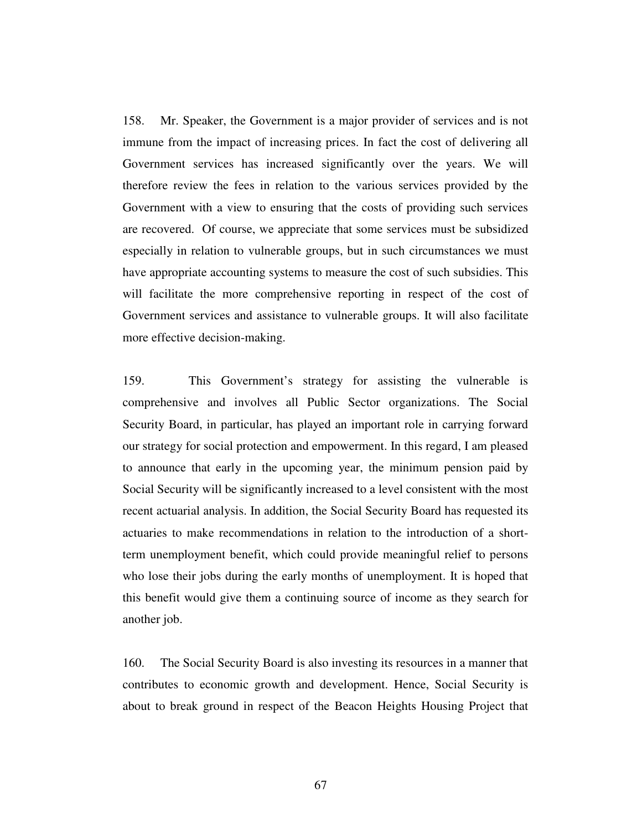158. Mr. Speaker, the Government is a major provider of services and is not immune from the impact of increasing prices. In fact the cost of delivering all Government services has increased significantly over the years. We will therefore review the fees in relation to the various services provided by the Government with a view to ensuring that the costs of providing such services are recovered. Of course, we appreciate that some services must be subsidized especially in relation to vulnerable groups, but in such circumstances we must have appropriate accounting systems to measure the cost of such subsidies. This will facilitate the more comprehensive reporting in respect of the cost of Government services and assistance to vulnerable groups. It will also facilitate more effective decision-making.

159. This Government's strategy for assisting the vulnerable is comprehensive and involves all Public Sector organizations. The Social Security Board, in particular, has played an important role in carrying forward our strategy for social protection and empowerment. In this regard, I am pleased to announce that early in the upcoming year, the minimum pension paid by Social Security will be significantly increased to a level consistent with the most recent actuarial analysis. In addition, the Social Security Board has requested its actuaries to make recommendations in relation to the introduction of a shortterm unemployment benefit, which could provide meaningful relief to persons who lose their jobs during the early months of unemployment. It is hoped that this benefit would give them a continuing source of income as they search for another job.

160. The Social Security Board is also investing its resources in a manner that contributes to economic growth and development. Hence, Social Security is about to break ground in respect of the Beacon Heights Housing Project that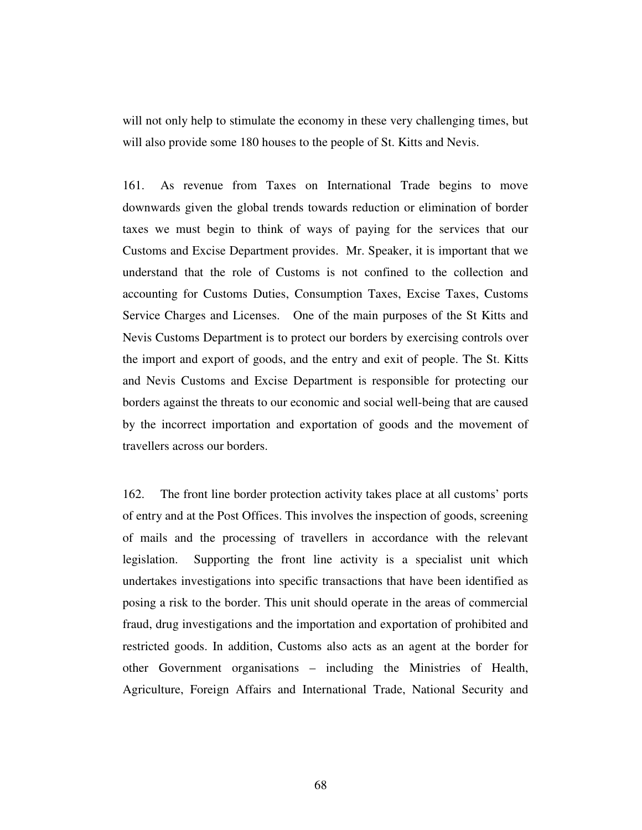will not only help to stimulate the economy in these very challenging times, but will also provide some 180 houses to the people of St. Kitts and Nevis.

161. As revenue from Taxes on International Trade begins to move downwards given the global trends towards reduction or elimination of border taxes we must begin to think of ways of paying for the services that our Customs and Excise Department provides. Mr. Speaker, it is important that we understand that the role of Customs is not confined to the collection and accounting for Customs Duties, Consumption Taxes, Excise Taxes, Customs Service Charges and Licenses. One of the main purposes of the St Kitts and Nevis Customs Department is to protect our borders by exercising controls over the import and export of goods, and the entry and exit of people. The St. Kitts and Nevis Customs and Excise Department is responsible for protecting our borders against the threats to our economic and social well-being that are caused by the incorrect importation and exportation of goods and the movement of travellers across our borders.

162. The front line border protection activity takes place at all customs' ports of entry and at the Post Offices. This involves the inspection of goods, screening of mails and the processing of travellers in accordance with the relevant legislation. Supporting the front line activity is a specialist unit which undertakes investigations into specific transactions that have been identified as posing a risk to the border. This unit should operate in the areas of commercial fraud, drug investigations and the importation and exportation of prohibited and restricted goods. In addition, Customs also acts as an agent at the border for other Government organisations – including the Ministries of Health, Agriculture, Foreign Affairs and International Trade, National Security and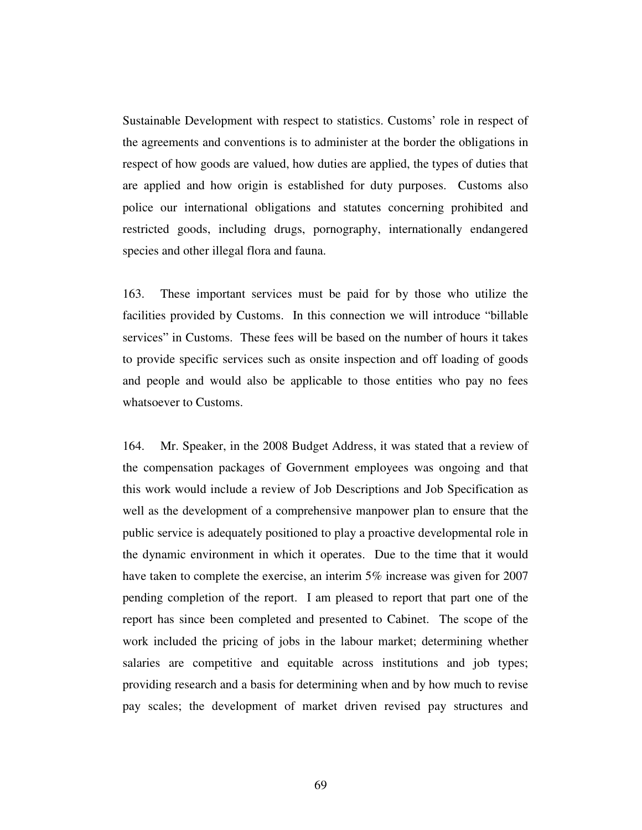Sustainable Development with respect to statistics. Customs' role in respect of the agreements and conventions is to administer at the border the obligations in respect of how goods are valued, how duties are applied, the types of duties that are applied and how origin is established for duty purposes. Customs also police our international obligations and statutes concerning prohibited and restricted goods, including drugs, pornography, internationally endangered species and other illegal flora and fauna.

163. These important services must be paid for by those who utilize the facilities provided by Customs. In this connection we will introduce "billable services" in Customs. These fees will be based on the number of hours it takes to provide specific services such as onsite inspection and off loading of goods and people and would also be applicable to those entities who pay no fees whatsoever to Customs.

164. Mr. Speaker, in the 2008 Budget Address, it was stated that a review of the compensation packages of Government employees was ongoing and that this work would include a review of Job Descriptions and Job Specification as well as the development of a comprehensive manpower plan to ensure that the public service is adequately positioned to play a proactive developmental role in the dynamic environment in which it operates. Due to the time that it would have taken to complete the exercise, an interim 5% increase was given for 2007 pending completion of the report. I am pleased to report that part one of the report has since been completed and presented to Cabinet. The scope of the work included the pricing of jobs in the labour market; determining whether salaries are competitive and equitable across institutions and job types; providing research and a basis for determining when and by how much to revise pay scales; the development of market driven revised pay structures and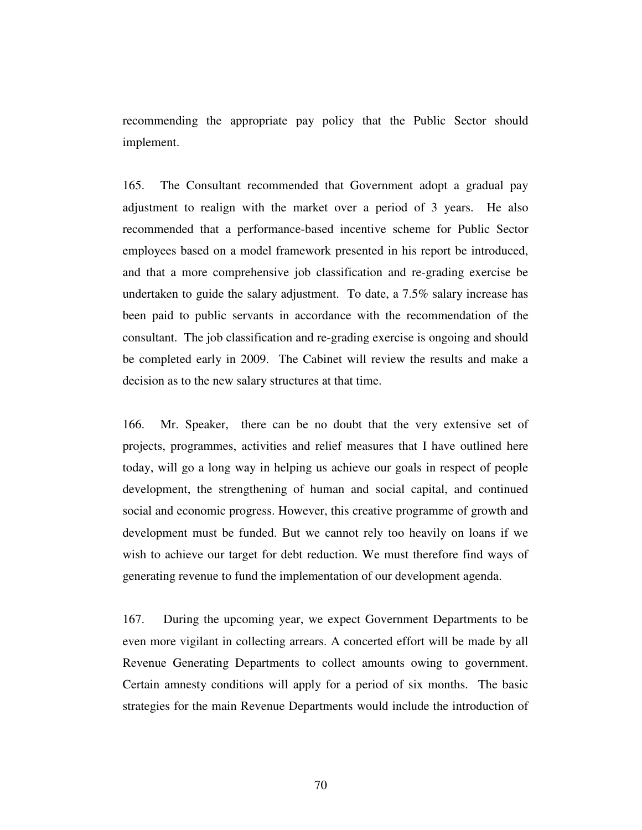recommending the appropriate pay policy that the Public Sector should implement.

165. The Consultant recommended that Government adopt a gradual pay adjustment to realign with the market over a period of 3 years. He also recommended that a performance-based incentive scheme for Public Sector employees based on a model framework presented in his report be introduced, and that a more comprehensive job classification and re-grading exercise be undertaken to guide the salary adjustment. To date, a 7.5% salary increase has been paid to public servants in accordance with the recommendation of the consultant. The job classification and re-grading exercise is ongoing and should be completed early in 2009. The Cabinet will review the results and make a decision as to the new salary structures at that time.

166. Mr. Speaker, there can be no doubt that the very extensive set of projects, programmes, activities and relief measures that I have outlined here today, will go a long way in helping us achieve our goals in respect of people development, the strengthening of human and social capital, and continued social and economic progress. However, this creative programme of growth and development must be funded. But we cannot rely too heavily on loans if we wish to achieve our target for debt reduction. We must therefore find ways of generating revenue to fund the implementation of our development agenda.

167. During the upcoming year, we expect Government Departments to be even more vigilant in collecting arrears. A concerted effort will be made by all Revenue Generating Departments to collect amounts owing to government. Certain amnesty conditions will apply for a period of six months. The basic strategies for the main Revenue Departments would include the introduction of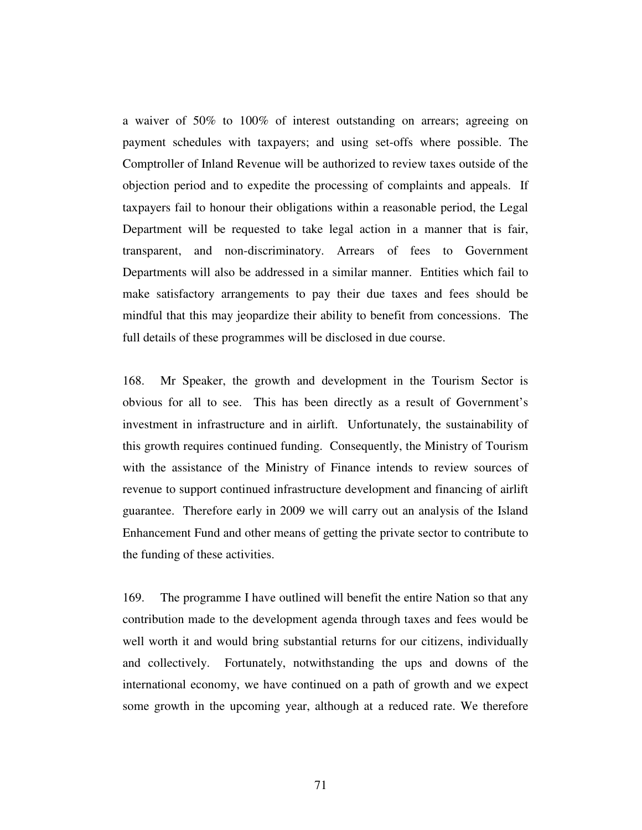a waiver of 50% to 100% of interest outstanding on arrears; agreeing on payment schedules with taxpayers; and using set-offs where possible. The Comptroller of Inland Revenue will be authorized to review taxes outside of the objection period and to expedite the processing of complaints and appeals. If taxpayers fail to honour their obligations within a reasonable period, the Legal Department will be requested to take legal action in a manner that is fair, transparent, and non-discriminatory. Arrears of fees to Government Departments will also be addressed in a similar manner. Entities which fail to make satisfactory arrangements to pay their due taxes and fees should be mindful that this may jeopardize their ability to benefit from concessions. The full details of these programmes will be disclosed in due course.

168. Mr Speaker, the growth and development in the Tourism Sector is obvious for all to see. This has been directly as a result of Government's investment in infrastructure and in airlift. Unfortunately, the sustainability of this growth requires continued funding. Consequently, the Ministry of Tourism with the assistance of the Ministry of Finance intends to review sources of revenue to support continued infrastructure development and financing of airlift guarantee. Therefore early in 2009 we will carry out an analysis of the Island Enhancement Fund and other means of getting the private sector to contribute to the funding of these activities.

169. The programme I have outlined will benefit the entire Nation so that any contribution made to the development agenda through taxes and fees would be well worth it and would bring substantial returns for our citizens, individually and collectively. Fortunately, notwithstanding the ups and downs of the international economy, we have continued on a path of growth and we expect some growth in the upcoming year, although at a reduced rate. We therefore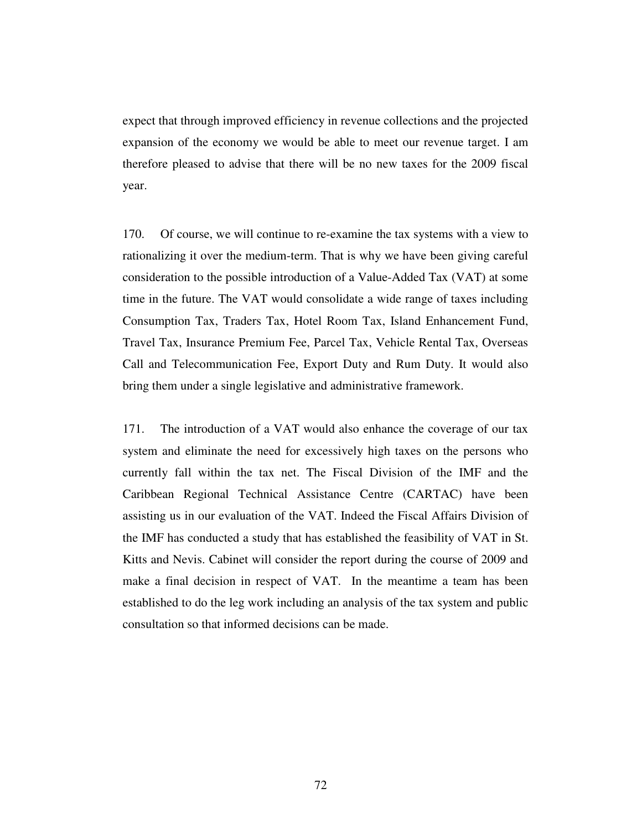expect that through improved efficiency in revenue collections and the projected expansion of the economy we would be able to meet our revenue target. I am therefore pleased to advise that there will be no new taxes for the 2009 fiscal year.

170. Of course, we will continue to re-examine the tax systems with a view to rationalizing it over the medium-term. That is why we have been giving careful consideration to the possible introduction of a Value-Added Tax (VAT) at some time in the future. The VAT would consolidate a wide range of taxes including Consumption Tax, Traders Tax, Hotel Room Tax, Island Enhancement Fund, Travel Tax, Insurance Premium Fee, Parcel Tax, Vehicle Rental Tax, Overseas Call and Telecommunication Fee, Export Duty and Rum Duty. It would also bring them under a single legislative and administrative framework.

171. The introduction of a VAT would also enhance the coverage of our tax system and eliminate the need for excessively high taxes on the persons who currently fall within the tax net. The Fiscal Division of the IMF and the Caribbean Regional Technical Assistance Centre (CARTAC) have been assisting us in our evaluation of the VAT. Indeed the Fiscal Affairs Division of the IMF has conducted a study that has established the feasibility of VAT in St. Kitts and Nevis. Cabinet will consider the report during the course of 2009 and make a final decision in respect of VAT. In the meantime a team has been established to do the leg work including an analysis of the tax system and public consultation so that informed decisions can be made.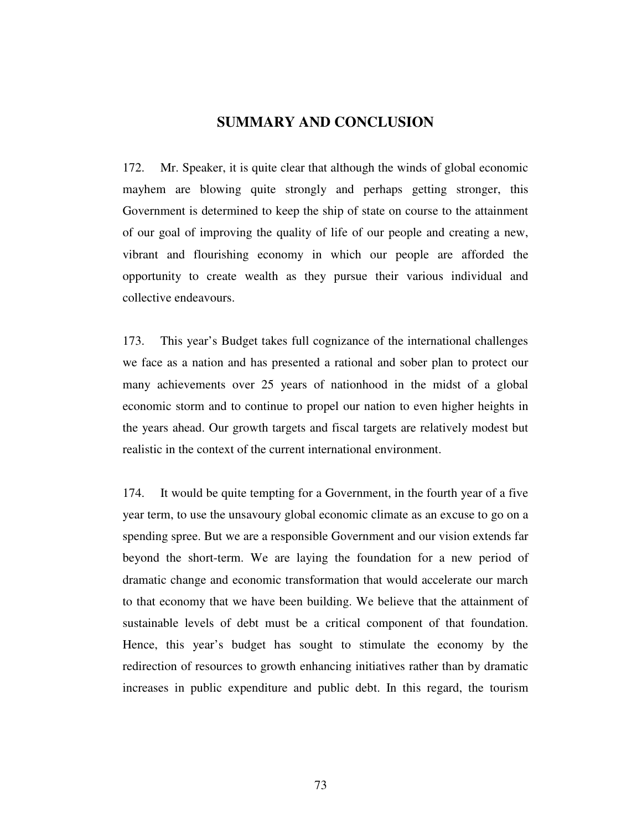## **SUMMARY AND CONCLUSION**

172. Mr. Speaker, it is quite clear that although the winds of global economic mayhem are blowing quite strongly and perhaps getting stronger, this Government is determined to keep the ship of state on course to the attainment of our goal of improving the quality of life of our people and creating a new, vibrant and flourishing economy in which our people are afforded the opportunity to create wealth as they pursue their various individual and collective endeavours.

173. This year's Budget takes full cognizance of the international challenges we face as a nation and has presented a rational and sober plan to protect our many achievements over 25 years of nationhood in the midst of a global economic storm and to continue to propel our nation to even higher heights in the years ahead. Our growth targets and fiscal targets are relatively modest but realistic in the context of the current international environment.

174. It would be quite tempting for a Government, in the fourth year of a five year term, to use the unsavoury global economic climate as an excuse to go on a spending spree. But we are a responsible Government and our vision extends far beyond the short-term. We are laying the foundation for a new period of dramatic change and economic transformation that would accelerate our march to that economy that we have been building. We believe that the attainment of sustainable levels of debt must be a critical component of that foundation. Hence, this year's budget has sought to stimulate the economy by the redirection of resources to growth enhancing initiatives rather than by dramatic increases in public expenditure and public debt. In this regard, the tourism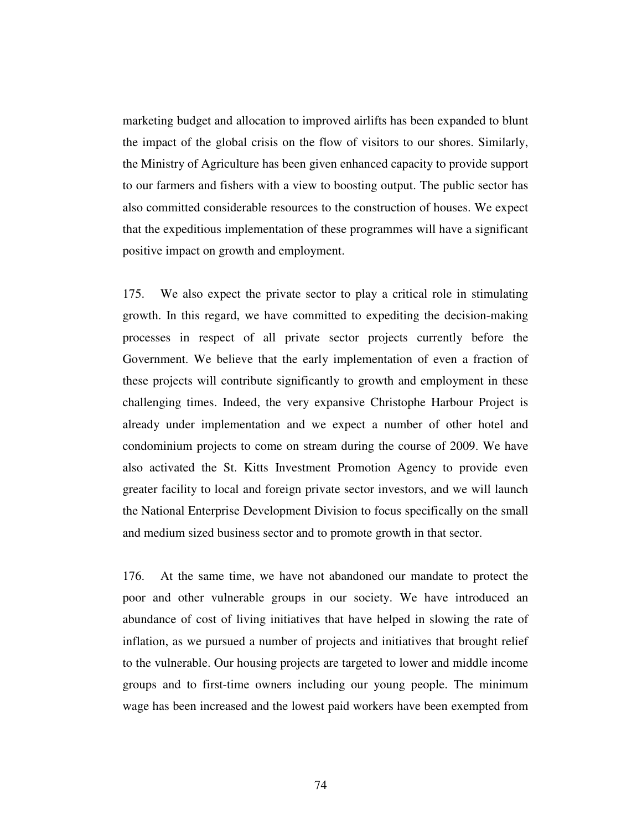marketing budget and allocation to improved airlifts has been expanded to blunt the impact of the global crisis on the flow of visitors to our shores. Similarly, the Ministry of Agriculture has been given enhanced capacity to provide support to our farmers and fishers with a view to boosting output. The public sector has also committed considerable resources to the construction of houses. We expect that the expeditious implementation of these programmes will have a significant positive impact on growth and employment.

175. We also expect the private sector to play a critical role in stimulating growth. In this regard, we have committed to expediting the decision-making processes in respect of all private sector projects currently before the Government. We believe that the early implementation of even a fraction of these projects will contribute significantly to growth and employment in these challenging times. Indeed, the very expansive Christophe Harbour Project is already under implementation and we expect a number of other hotel and condominium projects to come on stream during the course of 2009. We have also activated the St. Kitts Investment Promotion Agency to provide even greater facility to local and foreign private sector investors, and we will launch the National Enterprise Development Division to focus specifically on the small and medium sized business sector and to promote growth in that sector.

176. At the same time, we have not abandoned our mandate to protect the poor and other vulnerable groups in our society. We have introduced an abundance of cost of living initiatives that have helped in slowing the rate of inflation, as we pursued a number of projects and initiatives that brought relief to the vulnerable. Our housing projects are targeted to lower and middle income groups and to first-time owners including our young people. The minimum wage has been increased and the lowest paid workers have been exempted from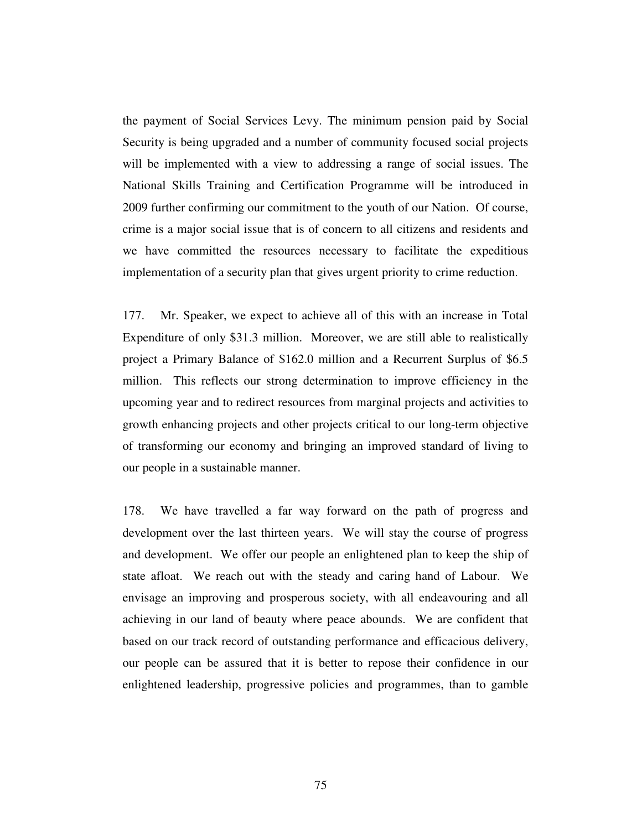the payment of Social Services Levy. The minimum pension paid by Social Security is being upgraded and a number of community focused social projects will be implemented with a view to addressing a range of social issues. The National Skills Training and Certification Programme will be introduced in 2009 further confirming our commitment to the youth of our Nation. Of course, crime is a major social issue that is of concern to all citizens and residents and we have committed the resources necessary to facilitate the expeditious implementation of a security plan that gives urgent priority to crime reduction.

177. Mr. Speaker, we expect to achieve all of this with an increase in Total Expenditure of only \$31.3 million. Moreover, we are still able to realistically project a Primary Balance of \$162.0 million and a Recurrent Surplus of \$6.5 million. This reflects our strong determination to improve efficiency in the upcoming year and to redirect resources from marginal projects and activities to growth enhancing projects and other projects critical to our long-term objective of transforming our economy and bringing an improved standard of living to our people in a sustainable manner.

178. We have travelled a far way forward on the path of progress and development over the last thirteen years. We will stay the course of progress and development. We offer our people an enlightened plan to keep the ship of state afloat. We reach out with the steady and caring hand of Labour. We envisage an improving and prosperous society, with all endeavouring and all achieving in our land of beauty where peace abounds. We are confident that based on our track record of outstanding performance and efficacious delivery, our people can be assured that it is better to repose their confidence in our enlightened leadership, progressive policies and programmes, than to gamble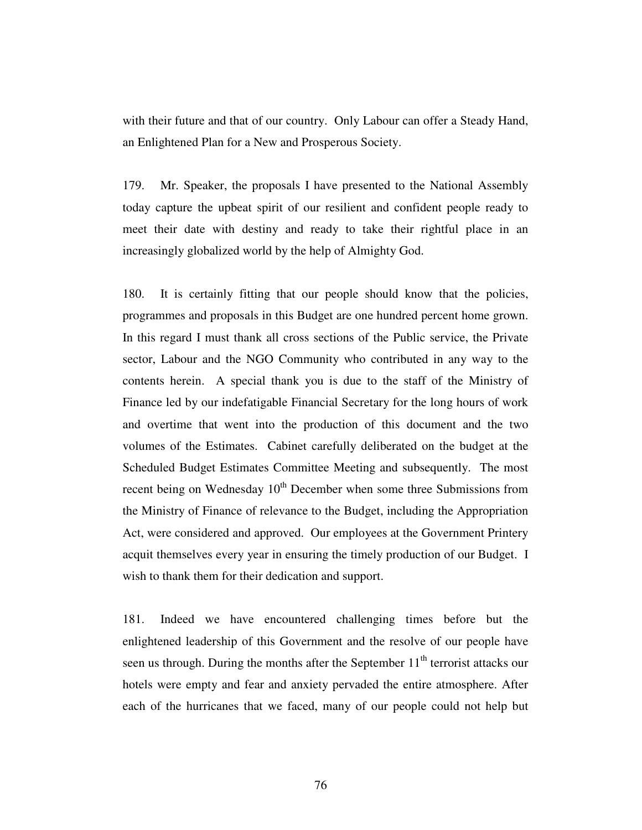with their future and that of our country. Only Labour can offer a Steady Hand, an Enlightened Plan for a New and Prosperous Society.

179. Mr. Speaker, the proposals I have presented to the National Assembly today capture the upbeat spirit of our resilient and confident people ready to meet their date with destiny and ready to take their rightful place in an increasingly globalized world by the help of Almighty God.

180. It is certainly fitting that our people should know that the policies, programmes and proposals in this Budget are one hundred percent home grown. In this regard I must thank all cross sections of the Public service, the Private sector, Labour and the NGO Community who contributed in any way to the contents herein. A special thank you is due to the staff of the Ministry of Finance led by our indefatigable Financial Secretary for the long hours of work and overtime that went into the production of this document and the two volumes of the Estimates. Cabinet carefully deliberated on the budget at the Scheduled Budget Estimates Committee Meeting and subsequently. The most recent being on Wednesday 10<sup>th</sup> December when some three Submissions from the Ministry of Finance of relevance to the Budget, including the Appropriation Act, were considered and approved. Our employees at the Government Printery acquit themselves every year in ensuring the timely production of our Budget. I wish to thank them for their dedication and support.

181. Indeed we have encountered challenging times before but the enlightened leadership of this Government and the resolve of our people have seen us through. During the months after the September  $11<sup>th</sup>$  terrorist attacks our hotels were empty and fear and anxiety pervaded the entire atmosphere. After each of the hurricanes that we faced, many of our people could not help but